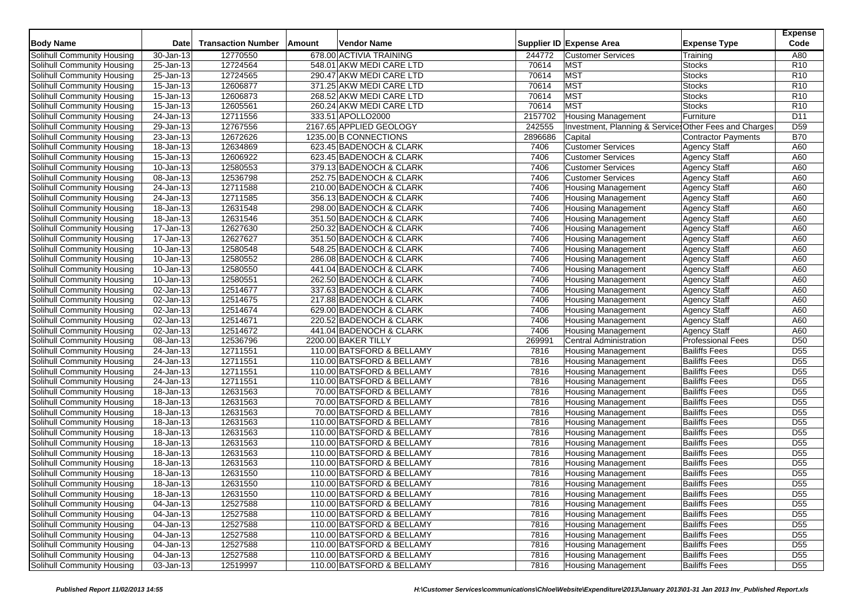| <b>Body Name</b>                  | Date                    | <b>Transaction Number</b> | Vendor Name<br>Amount     |         | Supplier ID Expense Area                               | <b>Expense Type</b>        | <b>Expense</b><br>Code |
|-----------------------------------|-------------------------|---------------------------|---------------------------|---------|--------------------------------------------------------|----------------------------|------------------------|
| Solihull Community Housing        | $30 - Jan-13$           | 12770550                  | 678.00 ACTIVIA TRAINING   | 244772  | <b>Customer Services</b>                               | Training                   | A80                    |
| Solihull Community Housing        | 25-Jan-13               | 12724564                  | 548.01 AKW MEDI CARE LTD  | 70614   | <b>MST</b>                                             | Stocks                     | R <sub>10</sub>        |
| Solihull Community Housing        | 25-Jan-13               | 12724565                  | 290.47 AKW MEDI CARE LTD  | 70614   | <b>MST</b>                                             | <b>Stocks</b>              | R <sub>10</sub>        |
| Solihull Community Housing        | $\overline{15}$ -Jan-13 | 12606877                  | 371.25 AKW MEDI CARE LTD  | 70614   | <b>MST</b>                                             | Stocks                     | R <sub>10</sub>        |
| Solihull Community Housing        | 15-Jan-13               | 12606873                  | 268.52 AKW MEDI CARE LTD  | 70614   | <b>MST</b>                                             | <b>Stocks</b>              | R <sub>10</sub>        |
| Solihull Community Housing        | 15-Jan-13               | 12605561                  | 260.24 AKW MEDI CARE LTD  | 70614   | <b>MST</b>                                             | <b>Stocks</b>              | R <sub>10</sub>        |
| Solihull Community Housing        | $\overline{24}$ -Jan-13 | 12711556                  | 333.51 APOLLO2000         | 2157702 | <b>Housing Management</b>                              | Furniture                  | D <sub>11</sub>        |
| Solihull Community Housing        | 29-Jan-13               | 12767556                  | 2167.65 APPLIED GEOLOGY   | 242555  | Investment, Planning & Services Other Fees and Charges |                            | D <sub>59</sub>        |
| Solihull Community Housing        | 23-Jan-13               | 12672626                  | 1235.00 B CONNECTIONS     | 2896686 | Capital                                                | <b>Contractor Payments</b> | <b>B70</b>             |
| Solihull Community Housing        | 18-Jan-13               | 12634869                  | 623.45 BADENOCH & CLARK   | 7406    | <b>Customer Services</b>                               | <b>Agency Staff</b>        | A60                    |
| Solihull Community Housing        | 15-Jan-13               | 12606922                  | 623.45 BADENOCH & CLARK   | 7406    | <b>Customer Services</b>                               | <b>Agency Staff</b>        | A60                    |
| Solihull Community Housing        | 10-Jan-13               | 12580553                  | 379.13 BADENOCH & CLARK   | 7406    | <b>Customer Services</b>                               | <b>Agency Staff</b>        | A60                    |
| Solihull Community Housing        | 08-Jan-13               | 12536798                  | 252.75 BADENOCH & CLARK   | 7406    | <b>Customer Services</b>                               | <b>Agency Staff</b>        | A60                    |
| Solihull Community Housing        | 24-Jan-13               | 12711588                  | 210.00 BADENOCH & CLARK   | 7406    | Housing Management                                     | <b>Agency Staff</b>        | A60                    |
| <b>Solihull Community Housing</b> | 24-Jan-13               | 12711585                  | 356.13 BADENOCH & CLARK   | 7406    | <b>Housing Management</b>                              | <b>Agency Staff</b>        | A60                    |
| Solihull Community Housing        | 18-Jan-13               | 12631548                  | 298.00 BADENOCH & CLARK   | 7406    | Housing Management                                     | <b>Agency Staff</b>        | A60                    |
| Solihull Community Housing        | 18-Jan-13               | 12631546                  | 351.50 BADENOCH & CLARK   | 7406    | <b>Housing Management</b>                              | <b>Agency Staff</b>        | A60                    |
| Solihull Community Housing        | 17-Jan-13               | 12627630                  | 250.32 BADENOCH & CLARK   | 7406    | <b>Housing Management</b>                              | <b>Agency Staff</b>        | A60                    |
| Solihull Community Housing        | 17-Jan-13               | 12627627                  | 351.50 BADENOCH & CLARK   | 7406    | <b>Housing Management</b>                              | <b>Agency Staff</b>        | A60                    |
| Solihull Community Housing        | 10-Jan-13               | 12580548                  | 548.25 BADENOCH & CLARK   | 7406    | <b>Housing Management</b>                              | <b>Agency Staff</b>        | A60                    |
| Solihull Community Housing        | 10-Jan-13               | 12580552                  | 286.08 BADENOCH & CLARK   | 7406    | <b>Housing Management</b>                              | <b>Agency Staff</b>        | A60                    |
| Solihull Community Housing        | 10-Jan-13               | 12580550                  | 441.04 BADENOCH & CLARK   | 7406    | <b>Housing Management</b>                              | <b>Agency Staff</b>        | A60                    |
| Solihull Community Housing        | 10-Jan-13               | 12580551                  | 262.50 BADENOCH & CLARK   | 7406    | <b>Housing Management</b>                              | <b>Agency Staff</b>        | A60                    |
| Solihull Community Housing        | 02-Jan-13               | 12514677                  | 337.63 BADENOCH & CLARK   | 7406    | <b>Housing Management</b>                              | <b>Agency Staff</b>        | A60                    |
| Solihull Community Housing        | 02-Jan-13               | 12514675                  | 217.88 BADENOCH & CLARK   | 7406    | <b>Housing Management</b>                              | <b>Agency Staff</b>        | A60                    |
| Solihull Community Housing        | 02-Jan-13               | 12514674                  | 629.00 BADENOCH & CLARK   | 7406    | <b>Housing Management</b>                              | <b>Agency Staff</b>        | A60                    |
| Solihull Community Housing        | 02-Jan-13               | 12514671                  | 220.52 BADENOCH & CLARK   | 7406    | <b>Housing Management</b>                              | <b>Agency Staff</b>        | A60                    |
| Solihull Community Housing        | $\overline{02}$ -Jan-13 | 12514672                  | 441.04 BADENOCH & CLARK   | 7406    | <b>Housing Management</b>                              | <b>Agency Staff</b>        | A60                    |
| Solihull Community Housing        | 08-Jan-13               | 12536796                  | 2200.00 BAKER TILLY       | 269991  | <b>Central Administration</b>                          | <b>Professional Fees</b>   | D <sub>50</sub>        |
| Solihull Community Housing        | 24-Jan-13               | 12711551                  | 110.00 BATSFORD & BELLAMY | 7816    | <b>Housing Management</b>                              | <b>Bailiffs Fees</b>       | $\overline{D55}$       |
| Solihull Community Housing        | 24-Jan-13               | 12711551                  | 110.00 BATSFORD & BELLAMY | 7816    | <b>Housing Management</b>                              | <b>Bailiffs Fees</b>       | D <sub>55</sub>        |
| Solihull Community Housing        | 24-Jan-13               | 12711551                  | 110.00 BATSFORD & BELLAMY | 7816    | <b>Housing Management</b>                              | <b>Bailiffs Fees</b>       | D <sub>55</sub>        |
| Solihull Community Housing        | 24-Jan-13               | 12711551                  | 110.00 BATSFORD & BELLAMY | 7816    | <b>Housing Management</b>                              | <b>Bailiffs Fees</b>       | D <sub>55</sub>        |
| Solihull Community Housing        | 18-Jan-13               | 12631563                  | 70.00 BATSFORD & BELLAMY  | 7816    | <b>Housing Management</b>                              | <b>Bailiffs Fees</b>       | D <sub>55</sub>        |
| Solihull Community Housing        | $18 - Jan - 13$         | 12631563                  | 70.00 BATSFORD & BELLAMY  | 7816    | <b>Housing Management</b>                              | <b>Bailiffs Fees</b>       | D <sub>55</sub>        |
| Solihull Community Housing        | 18-Jan-13               | 12631563                  | 70.00 BATSFORD & BELLAMY  | 7816    | <b>Housing Management</b>                              | <b>Bailiffs Fees</b>       | D <sub>55</sub>        |
| Solihull Community Housing        | 18-Jan-13               | 12631563                  | 110.00 BATSFORD & BELLAMY | 7816    | <b>Housing Management</b>                              | <b>Bailiffs Fees</b>       | D <sub>55</sub>        |
| Solihull Community Housing        | 18-Jan-13               | 12631563                  | 110.00 BATSFORD & BELLAMY | 7816    | <b>Housing Management</b>                              | <b>Bailiffs Fees</b>       | D <sub>55</sub>        |
| Solihull Community Housing        | 18-Jan-13               | 12631563                  | 110.00 BATSFORD & BELLAMY | 7816    | <b>Housing Management</b>                              | <b>Bailiffs Fees</b>       | D <sub>55</sub>        |
| Solihull Community Housing        | 18-Jan-13               | 12631563                  | 110.00 BATSFORD & BELLAMY | 7816    | <b>Housing Management</b>                              | <b>Bailiffs Fees</b>       | D <sub>55</sub>        |
| <b>Solihull Community Housing</b> | 18-Jan-13               | 12631563                  | 110.00 BATSFORD & BELLAMY | 7816    | <b>Housing Management</b>                              | <b>Bailiffs Fees</b>       | $\overline{D55}$       |
| Solihull Community Housing        | 18-Jan-13               | 12631550                  | 110.00 BATSFORD & BELLAMY | 7816    | <b>Housing Management</b>                              | <b>Bailiffs Fees</b>       | $\overline{D55}$       |
| <b>Solihull Community Housing</b> | 18-Jan-13               | 12631550                  | 110.00 BATSFORD & BELLAMY | 7816    | <b>Housing Management</b>                              | <b>Bailiffs Fees</b>       | D <sub>55</sub>        |
| Solihull Community Housing        | 18-Jan-13               | 12631550                  | 110.00 BATSFORD & BELLAMY | 7816    | <b>Housing Management</b>                              | <b>Bailiffs Fees</b>       | D <sub>55</sub>        |
| Solihull Community Housing        | 04-Jan-13               | 12527588                  | 110.00 BATSFORD & BELLAMY | 7816    | <b>Housing Management</b>                              | <b>Bailiffs Fees</b>       | D <sub>55</sub>        |
| Solihull Community Housing        | 04-Jan-13               | 12527588                  | 110.00 BATSFORD & BELLAMY | 7816    | <b>Housing Management</b>                              | <b>Bailiffs Fees</b>       | D <sub>55</sub>        |
| Solihull Community Housing        | 04-Jan-13               | 12527588                  | 110.00 BATSFORD & BELLAMY | 7816    | <b>Housing Management</b>                              | <b>Bailiffs Fees</b>       | D <sub>55</sub>        |
| Solihull Community Housing        | 04-Jan-13               | 12527588                  | 110.00 BATSFORD & BELLAMY | 7816    | <b>Housing Management</b>                              | <b>Bailiffs Fees</b>       | D <sub>55</sub>        |
| Solihull Community Housing        | 04-Jan-13               | 12527588                  | 110.00 BATSFORD & BELLAMY | 7816    | <b>Housing Management</b>                              | <b>Bailiffs Fees</b>       | D <sub>55</sub>        |
| Solihull Community Housing        | 04-Jan-13               | 12527588                  | 110.00 BATSFORD & BELLAMY | 7816    | <b>Housing Management</b>                              | <b>Bailiffs Fees</b>       | D <sub>55</sub>        |
| Solihull Community Housing        | $\overline{03}$ -Jan-13 | 12519997                  | 110.00 BATSFORD & BELLAMY | 7816    | <b>Housing Management</b>                              | <b>Bailiffs Fees</b>       | D <sub>55</sub>        |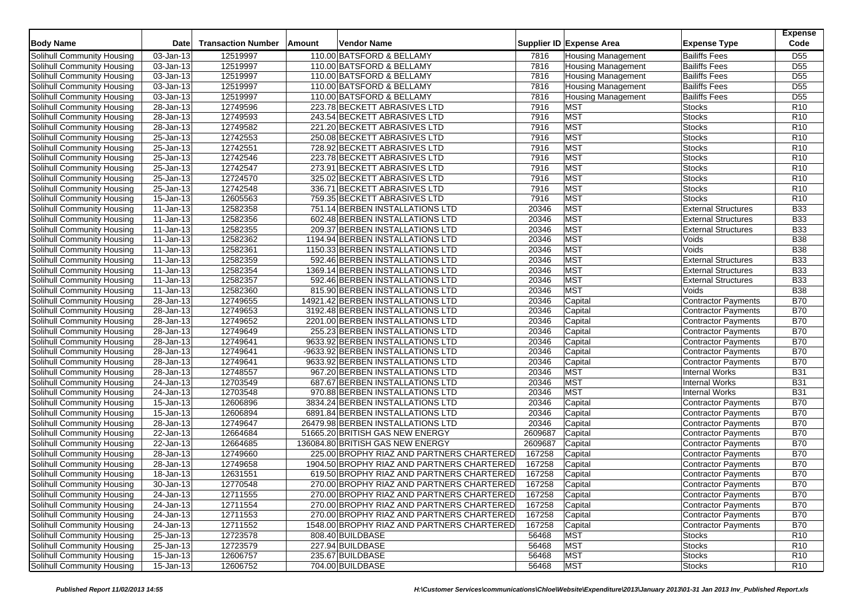| <b>Body Name</b>                  | <b>Date</b>             | <b>Transaction Number</b> | Amount | <b>Vendor Name</b>                         |         | Supplier ID Expense Area  | <b>Expense Type</b>        | <b>Expense</b><br>Code |
|-----------------------------------|-------------------------|---------------------------|--------|--------------------------------------------|---------|---------------------------|----------------------------|------------------------|
| Solihull Community Housing        | 03-Jan-13               | 12519997                  |        | 110.00 BATSFORD & BELLAMY                  | 7816    | <b>Housing Management</b> | <b>Bailiffs Fees</b>       | D <sub>55</sub>        |
| Solihull Community Housing        | 03-Jan-13               | 12519997                  |        | 110.00 BATSFORD & BELLAMY                  | 7816    | <b>Housing Management</b> | <b>Bailiffs Fees</b>       | D <sub>55</sub>        |
| Solihull Community Housing        | 03-Jan-13               | 12519997                  |        | 110.00 BATSFORD & BELLAMY                  | 7816    | <b>Housing Management</b> | <b>Bailiffs Fees</b>       | D <sub>55</sub>        |
| Solihull Community Housing        | 03-Jan-13               | 12519997                  |        | 110.00 BATSFORD & BELLAMY                  | 7816    | <b>Housing Management</b> | <b>Bailiffs Fees</b>       | D <sub>55</sub>        |
| Solihull Community Housing        | 03-Jan-13               | 12519997                  |        | 110.00 BATSFORD & BELLAMY                  | 7816    | <b>Housing Management</b> | <b>Bailiffs Fees</b>       | D <sub>55</sub>        |
| Solihull Community Housing        | 28-Jan-13               | 12749596                  |        | 223.78 BECKETT ABRASIVES LTD               | 7916    | <b>MST</b>                | Stocks                     | R <sub>10</sub>        |
| Solihull Community Housing        | 28-Jan-13               | 12749593                  |        | 243.54 BECKETT ABRASIVES LTD               | 7916    | <b>MST</b>                | Stocks                     | R <sub>10</sub>        |
| Solihull Community Housing        | 28-Jan-13               | 12749582                  |        | 221.20 BECKETT ABRASIVES LTD               | 7916    | <b>MST</b>                | Stocks                     | R <sub>10</sub>        |
| Solihull Community Housing        | 25-Jan-13               | 12742553                  |        | 250.08 BECKETT ABRASIVES LTD               | 7916    | <b>MST</b>                | <b>Stocks</b>              | R <sub>10</sub>        |
| Solihull Community Housing        | 25-Jan-13               | 12742551                  |        | 728.92 BECKETT ABRASIVES LTD               | 7916    | <b>MST</b>                | Stocks                     | R <sub>10</sub>        |
| Solihull Community Housing        | 25-Jan-13               | 12742546                  |        | 223.78 BECKETT ABRASIVES LTD               | 7916    | <b>MST</b>                | Stocks                     | R <sub>10</sub>        |
| Solihull Community Housing        | 25-Jan-13               | 12742547                  |        | 273.91 BECKETT ABRASIVES LTD               | 7916    | <b>MST</b>                | Stocks                     | R <sub>10</sub>        |
| Solihull Community Housing        | 25-Jan-13               | 12724570                  |        | 325.02 BECKETT ABRASIVES LTD               | 7916    | <b>MST</b>                | <b>Stocks</b>              | R <sub>10</sub>        |
| Solihull Community Housing        | 25-Jan-13               | 12742548                  |        | 336.71 BECKETT ABRASIVES LTD               | 7916    | <b>MST</b>                | <b>Stocks</b>              | R <sub>10</sub>        |
| Solihull Community Housing        | 15-Jan-13               | 12605563                  |        | 759.35 BECKETT ABRASIVES LTD               | 7916    | <b>MST</b>                | <b>Stocks</b>              | R <sub>10</sub>        |
| Solihull Community Housing        | 11-Jan-13               | 12582358                  |        | 751.14 BERBEN INSTALLATIONS LTD            | 20346   | <b>MST</b>                | <b>External Structures</b> | <b>B33</b>             |
| Solihull Community Housing        | $11$ -Jan-13            | 12582356                  |        | 602.48 BERBEN INSTALLATIONS LTD            | 20346   | <b>MST</b>                | <b>External Structures</b> | <b>B33</b>             |
| Solihull Community Housing        | 11-Jan-13               | 12582355                  |        | 209.37 BERBEN INSTALLATIONS LTD            | 20346   | <b>MST</b>                | <b>External Structures</b> | <b>B33</b>             |
| Solihull Community Housing        | $\overline{11}$ -Jan-13 | 12582362                  |        | 1194.94 BERBEN INSTALLATIONS LTD           | 20346   | <b>MST</b>                | Voids                      | <b>B</b> 38            |
| Solihull Community Housing        | 11-Jan-13               | 12582361                  |        | 1150.33 BERBEN INSTALLATIONS LTD           | 20346   | <b>MST</b>                | Voids                      | <b>B38</b>             |
| Solihull Community Housing        | 11-Jan-13               | 12582359                  |        | 592.46 BERBEN INSTALLATIONS LTD            | 20346   | <b>MST</b>                | <b>External Structures</b> | <b>B33</b>             |
| Solihull Community Housing        | 11-Jan-13               | 12582354                  |        | 1369.14 BERBEN INSTALLATIONS LTD           | 20346   | <b>MST</b>                | <b>External Structures</b> | <b>B33</b>             |
| Solihull Community Housing        | 11-Jan-13               | 12582357                  |        | 592.46 BERBEN INSTALLATIONS LTD            | 20346   | <b>MST</b>                | <b>External Structures</b> | <b>B33</b>             |
| Solihull Community Housing        | 11-Jan-13               | 12582360                  |        | 815.90 BERBEN INSTALLATIONS LTD            | 20346   | <b>MST</b>                | Voids                      | <b>B38</b>             |
| Solihull Community Housing        | $\overline{28}$ -Jan-13 | 12749655                  |        | 14921.42 BERBEN INSTALLATIONS LTD          | 20346   | Capital                   | <b>Contractor Payments</b> | <b>B70</b>             |
| Solihull Community Housing        | 28-Jan-13               | 12749653                  |        | 3192.48 BERBEN INSTALLATIONS LTD           | 20346   | Capital                   | <b>Contractor Payments</b> | <b>B70</b>             |
| Solihull Community Housing        | 28-Jan-13               | 12749652                  |        | 2201.00 BERBEN INSTALLATIONS LTD           | 20346   | Capital                   | <b>Contractor Payments</b> | <b>B70</b>             |
| Solihull Community Housing        | $\overline{28}$ -Jan-13 | 12749649                  |        | 255.23 BERBEN INSTALLATIONS LTD            | 20346   | Capital                   | Contractor Payments        | <b>B70</b>             |
| <b>Solihull Community Housing</b> | 28-Jan-13               | 12749641                  |        | 9633.92 BERBEN INSTALLATIONS LTD           | 20346   | Capital                   | <b>Contractor Payments</b> | <b>B70</b>             |
| Solihull Community Housing        | 28-Jan-13               | 12749641                  |        | -9633.92 BERBEN INSTALLATIONS LTD          | 20346   | Capital                   | <b>Contractor Payments</b> | <b>B70</b>             |
| Solihull Community Housing        | $\overline{28}$ -Jan-13 | 12749641                  |        | 9633.92 BERBEN INSTALLATIONS LTD           | 20346   | Capital                   | <b>Contractor Payments</b> | <b>B70</b>             |
| Solihull Community Housing        | 28-Jan-13               | 12748557                  |        | 967.20 BERBEN INSTALLATIONS LTD            | 20346   | <b>MST</b>                | <b>Internal Works</b>      | <b>B31</b>             |
| Solihull Community Housing        | $\overline{24}$ -Jan-13 | 12703549                  |        | 687.67 BERBEN INSTALLATIONS LTD            | 20346   | <b>MST</b>                | <b>Internal Works</b>      | <b>B31</b>             |
| Solihull Community Housing        | 24-Jan-13               | 12703548                  |        | 970.88 BERBEN INSTALLATIONS LTD            | 20346   | <b>MST</b>                | Internal Works             | <b>B31</b>             |
| Solihull Community Housing        | 15-Jan-13               | 12606896                  |        | 3834.24 BERBEN INSTALLATIONS LTD           | 20346   | Capital                   | <b>Contractor Payments</b> | <b>B70</b>             |
| Solihull Community Housing        | 15-Jan-13               | 12606894                  |        | 6891.84 BERBEN INSTALLATIONS LTD           | 20346   | Capital                   | <b>Contractor Payments</b> | <b>B70</b>             |
| Solihull Community Housing        | 28-Jan-13               | 12749647                  |        | 26479.98 BERBEN INSTALLATIONS LTD          | 20346   | Capital                   | <b>Contractor Payments</b> | <b>B70</b>             |
| Solihull Community Housing        | 22-Jan-13               | 12664684                  |        | 51665.20 BRITISH GAS NEW ENERGY            | 2609687 | Capital                   | <b>Contractor Payments</b> | <b>B70</b>             |
| Solihull Community Housing        | 22-Jan-13               | 12664685                  |        | 136084.80 BRITISH GAS NEW ENERGY           | 2609687 | Capital                   | <b>Contractor Payments</b> | <b>B70</b>             |
| Solihull Community Housing        | 28-Jan-13               | 12749660                  |        | 225.00 BROPHY RIAZ AND PARTNERS CHARTERED  | 167258  | Capital                   | <b>Contractor Payments</b> | <b>B70</b>             |
| Solihull Community Housing        | 28-Jan-13               | 12749658                  |        | 1904.50 BROPHY RIAZ AND PARTNERS CHARTERED | 167258  | Capital                   | <b>Contractor Payments</b> | <b>B70</b>             |
| Solihull Community Housing        | 18-Jan-13               | 12631551                  |        | 619.50 BROPHY RIAZ AND PARTNERS CHARTERED  | 167258  | Capital                   | Contractor Payments        | <b>B70</b>             |
| Solihull Community Housing        | 30-Jan-13               | 12770548                  |        | 270.00 BROPHY RIAZ AND PARTNERS CHARTERED  | 167258  | Capital                   | <b>Contractor Payments</b> | <b>B70</b>             |
| Solihull Community Housing        | 24-Jan-13               | 12711555                  |        | 270.00 BROPHY RIAZ AND PARTNERS CHARTERED  | 167258  | Capital                   | <b>Contractor Payments</b> | <b>B70</b>             |
| Solihull Community Housing        | $\overline{24}$ -Jan-13 | 12711554                  |        | 270.00 BROPHY RIAZ AND PARTNERS CHARTERED  | 167258  | Capital                   | <b>Contractor Payments</b> | <b>B70</b>             |
| Solihull Community Housing        | 24-Jan-13               | 12711553                  |        | 270.00 BROPHY RIAZ AND PARTNERS CHARTERED  | 167258  | Capital                   | <b>Contractor Payments</b> | <b>B70</b>             |
| Solihull Community Housing        | 24-Jan-13               | 12711552                  |        | 1548.00 BROPHY RIAZ AND PARTNERS CHARTERED | 167258  | Capital                   | <b>Contractor Payments</b> | <b>B70</b>             |
| Solihull Community Housing        | 25-Jan-13               | 12723578                  |        | 808.40 BUILDBASE                           | 56468   | <b>MST</b>                | Stocks                     | R <sub>10</sub>        |
| Solihull Community Housing        | 25-Jan-13               | 12723579                  |        | 227.94 BUILDBASE                           | 56468   | <b>MST</b>                | Stocks                     | R <sub>10</sub>        |
| <b>Solihull Community Housing</b> | 15-Jan-13               | 12606757                  |        | 235.67 BUILDBASE                           | 56468   | <b>MST</b>                | <b>Stocks</b>              | R <sub>10</sub>        |
| Solihull Community Housing        | $15$ -Jan-13            | 12606752                  |        | 704.00 BUILDBASE                           | 56468   | <b>MST</b>                | <b>Stocks</b>              | R <sub>10</sub>        |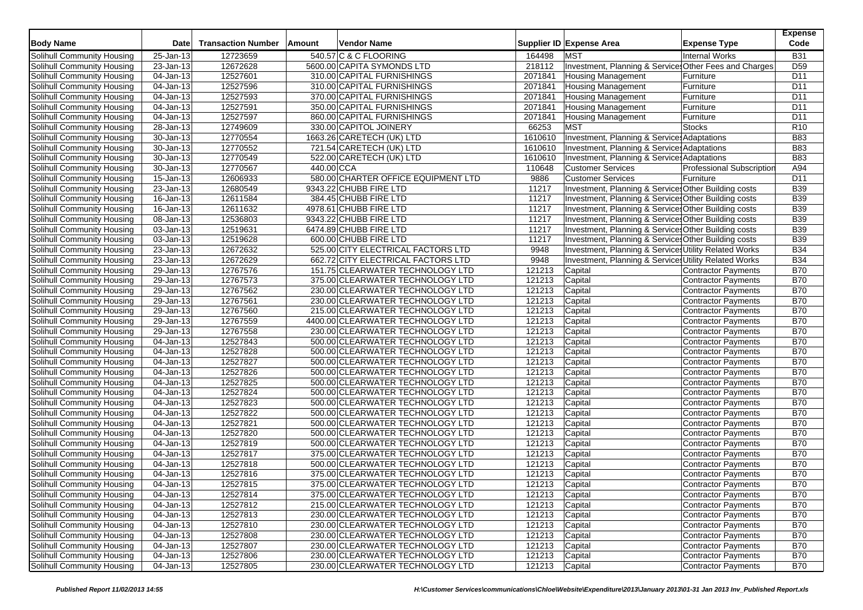| <b>Body Name</b>                  | <b>Date</b>             | <b>Transaction Number</b> | Amount     | <b>Vendor Name</b>                  |         | Supplier ID Expense Area                               | <b>Expense Type</b>              | <b>Expense</b><br>Code |
|-----------------------------------|-------------------------|---------------------------|------------|-------------------------------------|---------|--------------------------------------------------------|----------------------------------|------------------------|
| Solihull Community Housing        | 25-Jan-13               | 12723659                  |            | 540.57 C & C FLOORING               | 164498  | <b>MST</b>                                             | <b>Internal Works</b>            | <b>B31</b>             |
| Solihull Community Housing        | 23-Jan-13               | 12672628                  |            | 5600.00 CAPITA SYMONDS LTD          | 218112  | Investment, Planning & Services Other Fees and Charges |                                  | D <sub>59</sub>        |
| Solihull Community Housing        | 04-Jan-13               | 12527601                  |            | 310.00 CAPITAL FURNISHINGS          | 2071841 | <b>Housing Management</b>                              | Furniture                        | D <sub>11</sub>        |
| Solihull Community Housing        | 04-Jan-13               | 12527596                  |            | 310.00 CAPITAL FURNISHINGS          | 2071841 | <b>Housing Management</b>                              | Furniture                        | D <sub>11</sub>        |
| Solihull Community Housing        | 04-Jan-13               | 12527593                  |            | 370.00 CAPITAL FURNISHINGS          | 2071841 | <b>Housing Management</b>                              | Furniture                        | D11                    |
| Solihull Community Housing        | 04-Jan-13               | 12527591                  |            | 350.00 CAPITAL FURNISHINGS          | 2071841 | <b>Housing Management</b>                              | Furniture                        | D <sub>11</sub>        |
| Solihull Community Housing        | 04-Jan-13               | 12527597                  |            | 860.00 CAPITAL FURNISHINGS          | 2071841 | <b>Housing Management</b>                              | Furniture                        | D11                    |
| Solihull Community Housing        | 28-Jan-13               | 12749609                  |            | 330.00 CAPITOL JOINERY              | 66253   | <b>MST</b>                                             | <b>Stocks</b>                    | R <sub>10</sub>        |
| Solihull Community Housing        | 30-Jan-13               | 12770554                  |            | 1663.26 CARETECH (UK) LTD           | 1610610 | Investment, Planning & Services Adaptations            |                                  | <b>B83</b>             |
| Solihull Community Housing        | 30-Jan-13               | 12770552                  |            | 721.54 CARETECH (UK) LTD            | 1610610 | Investment, Planning & Services Adaptations            |                                  | <b>B83</b>             |
| Solihull Community Housing        | 30-Jan-13               | 12770549                  |            | 522.00 CARETECH (UK) LTD            | 1610610 | Investment, Planning & Service Adaptations             |                                  | <b>B83</b>             |
| Solihull Community Housing        | $30 - Jan - 13$         | 12770567                  | 440.00 CCA |                                     | 110648  | <b>Customer Services</b>                               | <b>Professional Subscription</b> | A94                    |
| Solihull Community Housing        | $\overline{15}$ -Jan-13 | 12606933                  |            | 580.00 CHARTER OFFICE EQUIPMENT LTD | 9886    | <b>Customer Services</b>                               | Furniture                        | D11                    |
| Solihull Community Housing        | 23-Jan-13               | 12680549                  |            | 9343.22 CHUBB FIRE LTD              | 11217   | Investment, Planning & Service: Other Building costs   |                                  | <b>B39</b>             |
| Solihull Community Housing        | 16-Jan-13               | 12611584                  |            | 384.45 CHUBB FIRE LTD               | 11217   | Investment, Planning & Service Other Building costs    |                                  | <b>B39</b>             |
| Solihull Community Housing        | 16-Jan-13               | 12611632                  |            | 4978.61 CHUBB FIRE LTD              | 11217   | Investment, Planning & Services Other Building costs   |                                  | <b>B39</b>             |
| Solihull Community Housing        | 08-Jan-13               | 12536803                  |            | 9343.22 CHUBB FIRE LTD              | 11217   | Investment, Planning & Service: Other Building costs   |                                  | <b>B39</b>             |
| Solihull Community Housing        | 03-Jan-13               | 12519631                  |            | 6474.89 CHUBB FIRE LTD              | 11217   | Investment, Planning & Service Other Building costs    |                                  | <b>B39</b>             |
| Solihull Community Housing        | $03$ -Jan-13            | 12519628                  |            | 600.00 CHUBB FIRE LTD               | 11217   | Investment, Planning & Services Other Building costs   |                                  | <b>B39</b>             |
| Solihull Community Housing        | 23-Jan-13               | 12672632                  |            | 525.00 CITY ELECTRICAL FACTORS LTD  | 9948    | Investment, Planning & Services Utility Related Works  |                                  | <b>B34</b>             |
| Solihull Community Housing        | 23-Jan-13               | 12672629                  |            | 662.72 CITY ELECTRICAL FACTORS LTD  | 9948    | Investment, Planning & Services Utility Related Works  |                                  | <b>B34</b>             |
| <b>Solihull Community Housing</b> | 29-Jan-13               | 12767576                  |            | 151.75 CLEARWATER TECHNOLOGY LTD    | 121213  | Capital                                                | <b>Contractor Payments</b>       | <b>B70</b>             |
| Solihull Community Housing        | 29-Jan-13               | 12767573                  |            | 375.00 CLEARWATER TECHNOLOGY LTD    | 121213  | Capital                                                | <b>Contractor Payments</b>       | <b>B70</b>             |
| Solihull Community Housing        | $29$ -Jan-13            | 12767562                  |            | 230.00 CLEARWATER TECHNOLOGY LTD    | 121213  | Capital                                                | <b>Contractor Payments</b>       | <b>B70</b>             |
| Solihull Community Housing        | 29-Jan-13               | 12767561                  |            | 230.00 CLEARWATER TECHNOLOGY LTD    | 121213  | Capital                                                | <b>Contractor Payments</b>       | <b>B70</b>             |
| Solihull Community Housing        | 29-Jan-13               | 12767560                  |            | 215.00 CLEARWATER TECHNOLOGY LTD    | 121213  | Capital                                                | <b>Contractor Payments</b>       | <b>B70</b>             |
| Solihull Community Housing        | 29-Jan-13               | 12767559                  |            | 4400.00 CLEARWATER TECHNOLOGY LTD   | 121213  | Capital                                                | <b>Contractor Payments</b>       | <b>B70</b>             |
| Solihull Community Housing        | 29-Jan-13               | 12767558                  |            | 230.00 CLEARWATER TECHNOLOGY LTD    | 121213  | Capital                                                | Contractor Payments              | <b>B70</b>             |
| Solihull Community Housing        | 04-Jan-13               | 12527843                  |            | 500.00 CLEARWATER TECHNOLOGY LTD    | 121213  | Capital                                                | Contractor Payments              | <b>B70</b>             |
| Solihull Community Housing        | 04-Jan-13               | 12527828                  |            | 500.00 CLEARWATER TECHNOLOGY LTD    | 121213  | Capital                                                | <b>Contractor Payments</b>       | <b>B70</b>             |
| Solihull Community Housing        | 04-Jan-13               | 12527827                  |            | 500.00 CLEARWATER TECHNOLOGY LTD    | 121213  | Capital                                                | <b>Contractor Payments</b>       | <b>B70</b>             |
| Solihull Community Housing        | 04-Jan-13               | 12527826                  |            | 500.00 CLEARWATER TECHNOLOGY LTD    | 121213  | Capital                                                | <b>Contractor Payments</b>       | <b>B70</b>             |
| Solihull Community Housing        | 04-Jan-13               | 12527825                  |            | 500.00 CLEARWATER TECHNOLOGY LTD    | 121213  | Capital                                                | <b>Contractor Payments</b>       | <b>B70</b>             |
| Solihull Community Housing        | 04-Jan-13               | 12527824                  |            | 500.00 CLEARWATER TECHNOLOGY LTD    | 121213  | Capital                                                | Contractor Payments              | <b>B70</b>             |
| Solihull Community Housing        | 04-Jan-13               | 12527823                  |            | 500.00 CLEARWATER TECHNOLOGY LTD    | 121213  | Capital                                                | Contractor Payments              | <b>B70</b>             |
| Solihull Community Housing        | 04-Jan-13               | 12527822                  |            | 500.00 CLEARWATER TECHNOLOGY LTD    | 121213  | Capital                                                | Contractor Payments              | <b>B70</b>             |
| Solihull Community Housing        | 04-Jan-13               | 12527821                  |            | 500.00 CLEARWATER TECHNOLOGY LTD    | 121213  | Capital                                                | Contractor Payments              | <b>B70</b>             |
| Solihull Community Housing        | 04-Jan-13               | 12527820                  |            | 500.00 CLEARWATER TECHNOLOGY LTD    | 121213  | Capital                                                | Contractor Payments              | <b>B70</b>             |
| Solihull Community Housing        | 04-Jan-13               | 12527819                  |            | 500.00 CLEARWATER TECHNOLOGY LTD    | 121213  | Capital                                                | Contractor Payments              | <b>B70</b>             |
| Solihull Community Housing        | 04-Jan-13               | 12527817                  |            | 375.00 CLEARWATER TECHNOLOGY LTD    | 121213  | Capital                                                | Contractor Payments              | <b>B70</b>             |
| Solihull Community Housing        | 04-Jan-13               | 12527818                  |            | 500.00 CLEARWATER TECHNOLOGY LTD    | 121213  | Capital                                                | <b>Contractor Payments</b>       | <b>B70</b>             |
| Solihull Community Housing        | 04-Jan-13               | 12527816                  |            | 375.00 CLEARWATER TECHNOLOGY LTD    | 121213  | Capital                                                | Contractor Payments              | <b>B70</b>             |
| Solihull Community Housing        | 04-Jan-13               | 12527815                  |            | 375.00 CLEARWATER TECHNOLOGY LTD    | 121213  | Capital                                                | <b>Contractor Payments</b>       | <b>B70</b>             |
| Solihull Community Housing        | 04-Jan-13               | 12527814                  |            | 375.00 CLEARWATER TECHNOLOGY LTD    | 121213  | Capital                                                | <b>Contractor Payments</b>       | <b>B70</b>             |
| Solihull Community Housing        | 04-Jan-13               | 12527812                  |            | 215.00 CLEARWATER TECHNOLOGY LTD    | 121213  | Capital                                                | Contractor Payments              | <b>B70</b>             |
| Solihull Community Housing        | 04-Jan-13               | 12527813                  |            | 230.00 CLEARWATER TECHNOLOGY LTD    | 121213  | Capital                                                | <b>Contractor Payments</b>       | <b>B70</b>             |
| Solihull Community Housing        | 04-Jan-13               | 12527810                  |            | 230.00 CLEARWATER TECHNOLOGY LTD    | 121213  | Capital                                                | Contractor Payments              | <b>B70</b>             |
| Solihull Community Housing        | 04-Jan-13               | 12527808                  |            | 230.00 CLEARWATER TECHNOLOGY LTD    | 121213  | Capital                                                | Contractor Payments              | <b>B70</b>             |
| Solihull Community Housing        | 04-Jan-13               | 12527807                  |            | 230.00 CLEARWATER TECHNOLOGY LTD    | 121213  | Capital                                                | Contractor Payments              | <b>B70</b>             |
| Solihull Community Housing        | 04-Jan-13               | 12527806                  |            | 230.00 CLEARWATER TECHNOLOGY LTD    | 121213  | Capital                                                | Contractor Payments              | <b>B70</b>             |
| Solihull Community Housing        | 04-Jan-13               | 12527805                  |            | 230.00 CLEARWATER TECHNOLOGY LTD    | 121213  | Capital                                                | Contractor Payments              | <b>B70</b>             |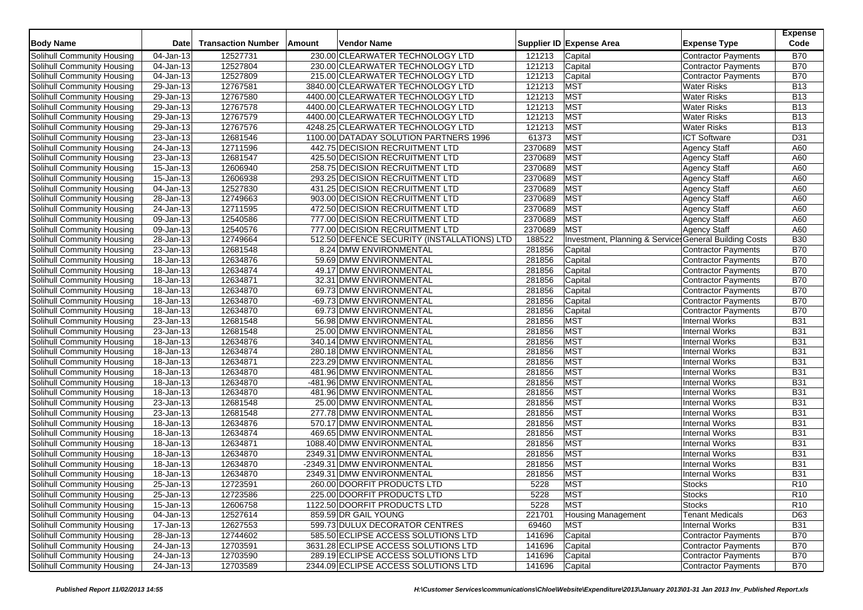| <b>Body Name</b>                  | <b>Date</b>             | <b>Transaction Number</b> | Amount | <b>Vendor Name</b>                          |         | Supplier ID Expense Area                              | <b>Expense Type</b>        | <b>Expense</b><br>Code |
|-----------------------------------|-------------------------|---------------------------|--------|---------------------------------------------|---------|-------------------------------------------------------|----------------------------|------------------------|
| Solihull Community Housing        | 04-Jan-13               | 12527731                  |        | 230.00 CLEARWATER TECHNOLOGY LTD            | 121213  | Capital                                               | <b>Contractor Payments</b> | <b>B70</b>             |
| Solihull Community Housing        | 04-Jan-13               | 12527804                  |        | 230.00 CLEARWATER TECHNOLOGY LTD            | 121213  | Capital                                               | <b>Contractor Payments</b> | <b>B70</b>             |
| Solihull Community Housing        | 04-Jan-13               | 12527809                  |        | 215.00 CLEARWATER TECHNOLOGY LTD            | 121213  | Capital                                               | <b>Contractor Payments</b> | <b>B70</b>             |
| Solihull Community Housing        | $29$ -Jan-13            | 12767581                  |        | 3840.00 CLEARWATER TECHNOLOGY LTD           | 121213  | MST                                                   | <b>Water Risks</b>         | <b>B13</b>             |
| Solihull Community Housing        | 29-Jan-13               | 12767580                  |        | 4400.00 CLEARWATER TECHNOLOGY LTD           | 121213  | MST                                                   | <b>Water Risks</b>         | <b>B13</b>             |
| Solihull Community Housing        | 29-Jan-13               | 12767578                  |        | 4400.00 CLEARWATER TECHNOLOGY LTD           | 121213  | <b>MST</b>                                            | <b>Water Risks</b>         | <b>B13</b>             |
| Solihull Community Housing        | 29-Jan-13               | 12767579                  |        | 4400.00 CLEARWATER TECHNOLOGY LTD           | 121213  | <b>MST</b>                                            | <b>Water Risks</b>         | <b>B13</b>             |
| Solihull Community Housing        | 29-Jan-13               | 12767576                  |        | 4248.25 CLEARWATER TECHNOLOGY LTD           | 121213  | <b>MST</b>                                            | <b>Water Risks</b>         | <b>B13</b>             |
| Solihull Community Housing        | 23-Jan-13               | 12681546                  |        | 1100.00 DATADAY SOLUTION PARTNERS 1996      | 61373   | <b>MST</b>                                            | <b>ICT Software</b>        | D31                    |
| Solihull Community Housing        | 24-Jan-13               | 12711596                  |        | 442.75 DECISION RECRUITMENT LTD             | 2370689 | <b>MST</b>                                            | <b>Agency Staff</b>        | A60                    |
| Solihull Community Housing        | 23-Jan-13               | 12681547                  |        | 425.50 DECISION RECRUITMENT LTD             | 2370689 | <b>MST</b>                                            | Agency Staff               | A60                    |
| Solihull Community Housing        | $15$ -Jan-13            | 12606940                  |        | 258.75 DECISION RECRUITMENT LTD             | 2370689 | <b>MST</b>                                            | <b>Agency Staff</b>        | A60                    |
| Solihull Community Housing        | 15-Jan-13               | 12606938                  |        | 293.25 DECISION RECRUITMENT LTD             | 2370689 | <b>MST</b>                                            | <b>Agency Staff</b>        | A60                    |
| Solihull Community Housing        | 04-Jan-13               | 12527830                  |        | 431.25 DECISION RECRUITMENT LTD             | 2370689 | <b>MST</b>                                            | Agency Staff               | A60                    |
| Solihull Community Housing        | 28-Jan-13               | 12749663                  |        | 903.00 DECISION RECRUITMENT LTD             | 2370689 | <b>MST</b>                                            | <b>Agency Staff</b>        | A60                    |
| Solihull Community Housing        | 24-Jan-13               | 12711595                  |        | 472.50 DECISION RECRUITMENT LTD             | 2370689 | <b>MST</b>                                            | <b>Agency Staff</b>        | A60                    |
| Solihull Community Housing        | 09-Jan-13               | 12540586                  |        | 777.00 DECISION RECRUITMENT LTD             | 2370689 | <b>MST</b>                                            | Agency Staff               | A60                    |
| Solihull Community Housing        | 09-Jan-13               | 12540576                  |        | 777.00 DECISION RECRUITMENT LTD             | 2370689 | <b>MST</b>                                            | <b>Agency Staff</b>        | A60                    |
| Solihull Community Housing        | 28-Jan-13               | 12749664                  |        | 512.50 DEFENCE SECURITY (INSTALLATIONS) LTD | 188522  | Investment, Planning & Service General Building Costs |                            | <b>B30</b>             |
| Solihull Community Housing        | 23-Jan-13               | 12681548                  |        | 8.24 DMW ENVIRONMENTAL                      | 281856  | Capital                                               | Contractor Payments        | <b>B70</b>             |
| Solihull Community Housing        | 18-Jan-13               | 12634876                  |        | 59.69 DMW ENVIRONMENTAL                     | 281856  | Capital                                               | <b>Contractor Payments</b> | <b>B70</b>             |
| <b>Solihull Community Housing</b> | 18-Jan-13               | 12634874                  |        | 49.17 DMW ENVIRONMENTAL                     | 281856  | Capital                                               | <b>Contractor Payments</b> | <b>B70</b>             |
| Solihull Community Housing        | 18-Jan-13               | 12634871                  |        | 32.31 DMW ENVIRONMENTAL                     | 281856  | Capital                                               | <b>Contractor Payments</b> | <b>B70</b>             |
| Solihull Community Housing        | 18-Jan-13               | 12634870                  |        | 69.73 DMW ENVIRONMENTAL                     | 281856  | Capital                                               | Contractor Payments        | <b>B70</b>             |
| Solihull Community Housing        | $\overline{18}$ -Jan-13 | 12634870                  |        | -69.73 DMW ENVIRONMENTAL                    | 281856  | Capital                                               | <b>Contractor Payments</b> | <b>B70</b>             |
| Solihull Community Housing        | 18-Jan-13               | 12634870                  |        | 69.73 DMW ENVIRONMENTAL                     | 281856  | Capital                                               | Contractor Payments        | <b>B70</b>             |
| Solihull Community Housing        | $\overline{23}$ -Jan-13 | 12681548                  |        | 56.98 DMW ENVIRONMENTAL                     | 281856  | <b>MST</b>                                            | <b>Internal Works</b>      | <b>B31</b>             |
| Solihull Community Housing        | 23-Jan-13               | 12681548                  |        | 25.00 DMW ENVIRONMENTAL                     | 281856  | <b>MST</b>                                            | <b>Internal Works</b>      | <b>B31</b>             |
| Solihull Community Housing        | 18-Jan-13               | 12634876                  |        | 340.14 DMW ENVIRONMENTAL                    | 281856  | <b>MST</b>                                            | <b>Internal Works</b>      | <b>B31</b>             |
| Solihull Community Housing        | 18-Jan-13               | 12634874                  |        | 280.18 DMW ENVIRONMENTAL                    | 281856  | <b>MST</b>                                            | <b>Internal Works</b>      | <b>B31</b>             |
| Solihull Community Housing        | 18-Jan-13               | 12634871                  |        | 223.29 DMW ENVIRONMENTAL                    | 281856  | <b>MST</b>                                            | <b>Internal Works</b>      | <b>B31</b>             |
| Solihull Community Housing        | 18-Jan-13               | 12634870                  |        | 481.96 DMW ENVIRONMENTAL                    | 281856  | <b>MST</b>                                            | <b>Internal Works</b>      | <b>B31</b>             |
| Solihull Community Housing        | 18-Jan-13               | 12634870                  |        | -481.96 DMW ENVIRONMENTAL                   | 281856  | <b>MST</b>                                            | <b>Internal Works</b>      | <b>B31</b>             |
| Solihull Community Housing        | 18-Jan-13               | 12634870                  |        | 481.96 DMW ENVIRONMENTAL                    | 281856  | <b>MST</b>                                            | <b>Internal Works</b>      | <b>B31</b>             |
| Solihull Community Housing        | 23-Jan-13               | 12681548                  |        | 25.00 DMW ENVIRONMENTAL                     | 281856  | <b>MST</b>                                            | <b>Internal Works</b>      | <b>B31</b>             |
| Solihull Community Housing        | 23-Jan-13               | 12681548                  |        | 277.78 DMW ENVIRONMENTAL                    | 281856  | <b>MST</b>                                            | <b>Internal Works</b>      | <b>B31</b>             |
| Solihull Community Housing        | 18-Jan-13               | 12634876                  |        | 570.17 DMW ENVIRONMENTAL                    | 281856  | <b>MST</b>                                            | <b>Internal Works</b>      | <b>B31</b>             |
| Solihull Community Housing        | 18-Jan-13               | 12634874                  |        | 469.65 DMW ENVIRONMENTAL                    | 281856  | <b>MST</b>                                            | Internal Works             | <b>B31</b>             |
| Solihull Community Housing        | 18-Jan-13               | 12634871                  |        | 1088.40 DMW ENVIRONMENTAL                   | 281856  | <b>MST</b>                                            | <b>Internal Works</b>      | <b>B31</b>             |
| Solihull Community Housing        | 18-Jan-13               | 12634870                  |        | 2349.31 DMW ENVIRONMENTAL                   | 281856  | <b>MST</b>                                            | <b>Internal Works</b>      | <b>B31</b>             |
| Solihull Community Housing        | 18-Jan-13               | 12634870                  |        | -2349.31 DMW ENVIRONMENTAL                  | 281856  | <b>MST</b>                                            | Internal Works             | <b>B31</b>             |
| Solihull Community Housing        | 18-Jan-13               | 12634870                  |        | 2349.31 DMW ENVIRONMENTAL                   | 281856  | <b>MST</b>                                            | <b>Internal Works</b>      | <b>B31</b>             |
| Solihull Community Housing        | 25-Jan-13               | 12723591                  |        | 260.00 DOORFIT PRODUCTS LTD                 | 5228    | <b>MST</b>                                            | <b>Stocks</b>              | R <sub>10</sub>        |
| Solihull Community Housing        | 25-Jan-13               | 12723586                  |        | 225.00 DOORFIT PRODUCTS LTD                 | 5228    | <b>MST</b>                                            | <b>Stocks</b>              | R <sub>10</sub>        |
| Solihull Community Housing        | 15-Jan-13               | 12606758                  |        | 1122.50 DOORFIT PRODUCTS LTD                | 5228    | <b>MST</b>                                            | <b>Stocks</b>              | R <sub>10</sub>        |
| Solihull Community Housing        | 04-Jan-13               | 12527614                  |        | 859.59 DR GAIL YOUNG                        | 221701  | <b>Housing Management</b>                             | <b>Tenant Medicals</b>     | D63                    |
| Solihull Community Housing        | 17-Jan-13               | 12627553                  |        | 599.73 DULUX DECORATOR CENTRES              | 69460   | <b>MST</b>                                            | <b>Internal Works</b>      | <b>B31</b>             |
| Solihull Community Housing        | 28-Jan-13               | 12744602                  |        | 585.50 ECLIPSE ACCESS SOLUTIONS LTD         | 141696  | Capital                                               | Contractor Payments        | <b>B70</b>             |
| Solihull Community Housing        | 24-Jan-13               | 12703591                  |        | 3631.28 ECLIPSE ACCESS SOLUTIONS LTD        | 141696  | Capital                                               | Contractor Payments        | <b>B70</b>             |
| <b>Solihull Community Housing</b> | $24$ -Jan-13            | 12703590                  |        | 289.19 ECLIPSE ACCESS SOLUTIONS LTD         | 141696  | Capital                                               | Contractor Payments        | <b>B70</b>             |
| Solihull Community Housing        | 24-Jan-13               | 12703589                  |        | 2344.09 ECLIPSE ACCESS SOLUTIONS LTD        | 141696  | Capital                                               | <b>Contractor Payments</b> | <b>B70</b>             |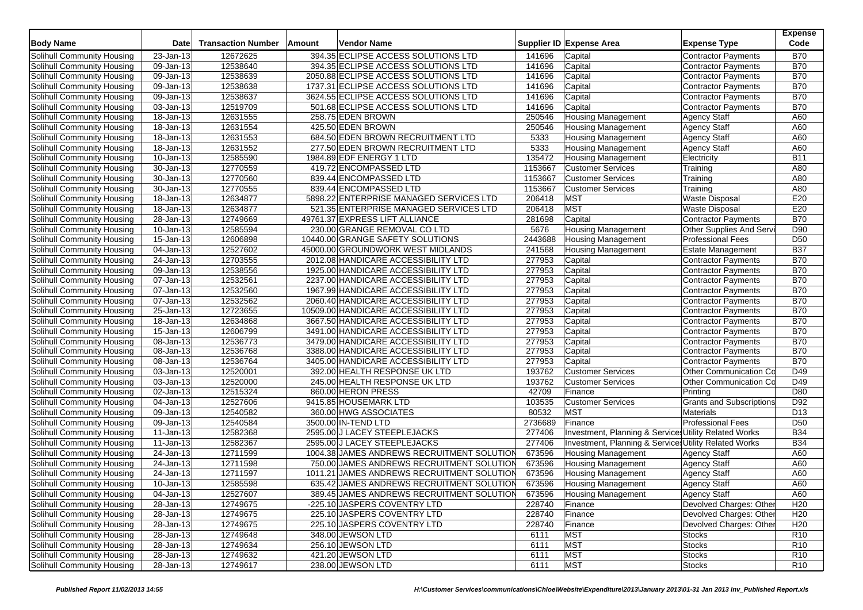| 12672625<br>394.35 ECLIPSE ACCESS SOLUTIONS LTD<br><b>B70</b><br>23-Jan-13<br>141696<br>Capital<br><b>Contractor Payments</b><br><b>B70</b><br>12538640<br>394.35 ECLIPSE ACCESS SOLUTIONS LTD<br>141696<br>Capital<br>09-Jan-13<br><b>Contractor Payments</b><br><b>B70</b><br>12538639<br>2050.88 ECLIPSE ACCESS SOLUTIONS LTD<br>141696<br>Capital<br>Solihull Community Housing<br>09-Jan-13<br><b>Contractor Payments</b><br><b>B70</b><br>$\overline{09}$ -Jan-13<br>12538638<br>1737.31 ECLIPSE ACCESS SOLUTIONS LTD<br>141696<br>Capital<br>Solihull Community Housing<br><b>Contractor Payments</b><br><b>B70</b><br>12538637<br>3624.55 ECLIPSE ACCESS SOLUTIONS LTD<br>141696<br>Capital<br>Solihull Community Housing<br>09-Jan-13<br><b>Contractor Payments</b><br>12519709<br><b>B70</b><br>501.68 ECLIPSE ACCESS SOLUTIONS LTD<br>141696<br>Solihull Community Housing<br>03-Jan-13<br>Capital<br><b>Contractor Payments</b><br>18-Jan-13<br>12631555<br>250546<br>A60<br>Solihull Community Housing<br>258.75 EDEN BROWN<br><b>Housing Management</b><br><b>Agency Staff</b><br>12631554<br>425.50 EDEN BROWN<br>250546<br>A60<br>Solihull Community Housing<br>18-Jan-13<br><b>Housing Management</b><br><b>Agency Staff</b><br>5333<br>18-Jan-13<br>12631553<br>684.50 EDEN BROWN RECRUITMENT LTD<br>A60<br>Solihull Community Housing<br><b>Housing Management</b><br><b>Agency Staff</b><br>Solihull Community Housing<br>18-Jan-13<br>12631552<br>277.50 EDEN BROWN RECRUITMENT LTD<br>5333<br><b>Housing Management</b><br><b>Agency Staff</b><br>A60<br>12585590<br>1984.89 EDF ENERGY 1 LTD<br>135472<br><b>B11</b><br>Solihull Community Housing<br>10-Jan-13<br><b>Housing Management</b><br>Electricity<br>12770559<br>1153667<br>A80<br>$\overline{30}$ -Jan-13<br>419.72 ENCOMPASSED LTD<br>Solihull Community Housing<br><b>Customer Services</b><br>Training<br>12770560<br>1153667<br>$\overline{30}$ -Jan-13<br>839.44 ENCOMPASSED LTD<br><b>Customer Services</b><br>A80<br>Solihull Community Housing<br>Training<br>12770555<br>839.44 ENCOMPASSED LTD<br>1153667<br><b>Customer Services</b><br>A80<br>Solihull Community Housing<br>30-Jan-13<br>Training<br><b>MST</b><br>E20<br>12634877<br>5898.22 ENTERPRISE MANAGED SERVICES LTD<br>206418<br><b>Waste Disposal</b><br>Solihull Community Housing<br>18-Jan-13<br><b>MST</b><br>E20<br>12634877<br>521.35 ENTERPRISE MANAGED SERVICES LTD<br>206418<br>Solihull Community Housing<br>18-Jan-13<br><b>Waste Disposal</b><br>12749669<br>49761.37 EXPRESS LIFT ALLIANCE<br>281698<br>Capital<br><b>B70</b><br>Solihull Community Housing<br>28-Jan-13<br><b>Contractor Payments</b><br>12585594<br>230.00 GRANGE REMOVAL CO LTD<br>D90<br>Solihull Community Housing<br>10-Jan-13<br>5676<br><b>Housing Management</b><br>Other Supplies And Servi<br>D50<br>15-Jan-13<br>12606898<br>10440.00 GRANGE SAFETY SOLUTIONS<br>2443688<br><b>Professional Fees</b><br>Solihull Community Housing<br><b>Housing Management</b><br>12527602<br>241568<br><b>Estate Management</b><br><b>B37</b><br>Solihull Community Housing<br>04-Jan-13<br>45000.00 GROUNDWORK WEST MIDLANDS<br><b>Housing Management</b><br><b>B70</b><br>12703555<br>2012.08 HANDICARE ACCESSIBILITY LTD<br>277953<br>Capital<br>Solihull Community Housing<br>24-Jan-13<br><b>Contractor Payments</b><br><b>B70</b><br>12538556<br>277953<br>Capital<br>Solihull Community Housing<br>09-Jan-13<br>1925.00 HANDICARE ACCESSIBILITY LTD<br><b>Contractor Payments</b><br>12532561<br><b>B70</b><br>07-Jan-13<br>2237.00 HANDICARE ACCESSIBILITY LTD<br>277953<br>Capital<br>Solihull Community Housing<br><b>Contractor Payments</b><br><b>B70</b><br>Solihull Community Housing<br>$\overline{07}$ -Jan-13<br>12532560<br>1967.99 HANDICARE ACCESSIBILITY LTD<br>277953<br>Capital<br><b>Contractor Payments</b><br><b>B70</b><br>12532562<br>277953<br>2060.40 HANDICARE ACCESSIBILITY LTD<br>Solihull Community Housing<br>07-Jan-13<br>Capital<br><b>Contractor Payments</b><br>12723655<br>277953<br><b>B70</b><br>25-Jan-13<br>10509.00 HANDICARE ACCESSIBILITY LTD<br><b>Contractor Payments</b><br>Solihull Community Housing<br>Capital<br>277953<br><b>B70</b><br>12634868<br>Capital<br>Solihull Community Housing<br>18-Jan-13<br>3667.50 HANDICARE ACCESSIBILITY LTD<br><b>Contractor Payments</b><br><b>B70</b><br>15-Jan-13<br>12606799<br>3491.00 HANDICARE ACCESSIBILITY LTD<br>277953<br>Solihull Community Housing<br>Capital<br><b>Contractor Payments</b><br>12536773<br>277953<br><b>B70</b><br>3479.00 HANDICARE ACCESSIBILITY LTD<br>Capital<br><b>Contractor Payments</b><br>Solihull Community Housing<br>08-Jan-13<br>12536768<br>277953<br><b>B70</b><br>Solihull Community Housing<br>08-Jan-13<br>3388.00 HANDICARE ACCESSIBILITY LTD<br>Capital<br><b>Contractor Payments</b><br><b>B70</b><br>277953<br>Solihull Community Housing<br>08-Jan-13<br>12536764<br>3405.00 HANDICARE ACCESSIBILITY LTD<br>Capital<br><b>Contractor Payments</b><br>D49<br>12520001<br>193762<br>Other Communication Co<br>Solihull Community Housing<br>03-Jan-13<br>392.00 HEALTH RESPONSE UK LTD<br><b>Customer Services</b><br>12520000<br>193762<br>D49<br>03-Jan-13<br>245.00 HEALTH RESPONSE UK LTD<br><b>Customer Services</b><br>Other Communication Co<br>12515324<br>42709<br>D80<br>02-Jan-13<br>860.00 HERON PRESS<br>Finance<br>Printing<br>12527606<br><b>Grants and Subscriptions</b><br>9415.85 HOUSEMARK LTD<br>103535<br>D92<br>04-Jan-13<br><b>Customer Services</b><br>12540582<br>80532<br><b>MST</b><br>D <sub>13</sub><br>Solihull Community Housing<br>09-Jan-13<br>360.00 HWG ASSOCIATES<br><b>Materials</b><br>12540584<br>2736689<br>Finance<br>D <sub>50</sub><br>09-Jan-13<br>3500.00 IN-TEND LTD<br><b>Professional Fees</b><br>12582368<br>2595.00 J LACEY STEEPLEJACKS<br>277406<br>Investment, Planning & Services Utility Related Works<br><b>B34</b><br>11-Jan-13<br>277406<br><b>B34</b><br>11-Jan-13<br>12582367<br>2595.00 J LACEY STEEPLEJACKS<br>Investment, Planning & Services Utility Related Works<br>673596<br>12711599<br>1004.38 JAMES ANDREWS RECRUITMENT SOLUTION<br>A60<br>Solihull Community Housing<br>$\overline{2}$ 4-Jan-13<br><b>Housing Management</b><br><b>Agency Staff</b><br>673596<br>12711598<br>750.00 JAMES ANDREWS RECRUITMENT SOLUTION<br><b>Housing Management</b><br>A60<br>Solihull Community Housing<br>24-Jan-13<br><b>Agency Staff</b><br>24-Jan-13<br>12711597<br>1011.21 JAMES ANDREWS RECRUITMENT SOLUTION<br>673596<br>A60<br><b>Housing Management</b><br><b>Agency Staff</b><br>12585598<br>635.42 JAMES ANDREWS RECRUITMENT SOLUTION<br>673596<br>A60<br>10-Jan-13<br><b>Housing Management</b><br><b>Agency Staff</b><br>$04$ -Jan-13<br>12527607<br><b>Agency Staff</b><br>Solihull Community Housing<br>389.45 JAMES ANDREWS RECRUITMENT SOLUTION<br>673596<br><b>Housing Management</b><br>A60<br>Solihull Community Housing<br>28-Jan-13<br>228740<br>Devolved Charges: Other<br>H <sub>20</sub><br>12749675<br>-225.10 JASPERS COVENTRY LTD<br>Finance<br>Devolved Charges: Other<br>Solihull Community Housing<br>28-Jan-13<br>12749675<br>225.10 JASPERS COVENTRY LTD<br>228740<br>Finance<br>H <sub>20</sub><br>Devolved Charges: Other<br>Solihull Community Housing<br>$\overline{28}$ -Jan-13<br>12749675<br>H <sub>20</sub><br>225.10 JASPERS COVENTRY LTD<br>228740<br>Finance<br>Solihull Community Housing<br>28-Jan-13<br>348.00 JEWSON LTD<br><b>MST</b><br>R <sub>10</sub><br>12749648<br>6111<br><b>Stocks</b><br>Solihull Community Housing<br>12749634<br>256.10 JEWSON LTD<br><b>MST</b><br>28-Jan-13<br>6111<br><b>Stocks</b><br>R <sub>10</sub><br><b>MST</b><br><b>Solihull Community Housing</b><br>28-Jan-13<br>12749632<br>421.20 JEWSON LTD<br><b>Stocks</b><br>R <sub>10</sub><br>6111 | <b>Body Name</b>           | <b>Date</b> | <b>Transaction Number</b> | Amount | Vendor Name | Supplier ID Expense Area | <b>Expense Type</b> | <b>Expense</b><br>Code |
|--------------------------------------------------------------------------------------------------------------------------------------------------------------------------------------------------------------------------------------------------------------------------------------------------------------------------------------------------------------------------------------------------------------------------------------------------------------------------------------------------------------------------------------------------------------------------------------------------------------------------------------------------------------------------------------------------------------------------------------------------------------------------------------------------------------------------------------------------------------------------------------------------------------------------------------------------------------------------------------------------------------------------------------------------------------------------------------------------------------------------------------------------------------------------------------------------------------------------------------------------------------------------------------------------------------------------------------------------------------------------------------------------------------------------------------------------------------------------------------------------------------------------------------------------------------------------------------------------------------------------------------------------------------------------------------------------------------------------------------------------------------------------------------------------------------------------------------------------------------------------------------------------------------------------------------------------------------------------------------------------------------------------------------------------------------------------------------------------------------------------------------------------------------------------------------------------------------------------------------------------------------------------------------------------------------------------------------------------------------------------------------------------------------------------------------------------------------------------------------------------------------------------------------------------------------------------------------------------------------------------------------------------------------------------------------------------------------------------------------------------------------------------------------------------------------------------------------------------------------------------------------------------------------------------------------------------------------------------------------------------------------------------------------------------------------------------------------------------------------------------------------------------------------------------------------------------------------------------------------------------------------------------------------------------------------------------------------------------------------------------------------------------------------------------------------------------------------------------------------------------------------------------------------------------------------------------------------------------------------------------------------------------------------------------------------------------------------------------------------------------------------------------------------------------------------------------------------------------------------------------------------------------------------------------------------------------------------------------------------------------------------------------------------------------------------------------------------------------------------------------------------------------------------------------------------------------------------------------------------------------------------------------------------------------------------------------------------------------------------------------------------------------------------------------------------------------------------------------------------------------------------------------------------------------------------------------------------------------------------------------------------------------------------------------------------------------------------------------------------------------------------------------------------------------------------------------------------------------------------------------------------------------------------------------------------------------------------------------------------------------------------------------------------------------------------------------------------------------------------------------------------------------------------------------------------------------------------------------------------------------------------------------------------------------------------------------------------------------------------------------------------------------------------------------------------------------------------------------------------------------------------------------------------------------------------------------------------------------------------------------------------------------------------------------------------------------------------------------------------------------------------------------------------------------------------------------------------------------------------------------------------------------------------------------------------------------------------------------------------------------------------------------------------------------------------------------------------------------------------------------------------------------------------------------------------------------------------------------------------------------------------------------------------------------------------------------------------------------------------------------------------------------------------------------------------------------------------------------------------------------------------------------------------------------------------------------------------------------------------------------------------------------------------------------------------------------------------------------------------------------------------------------------------------------------------------------------------------------------------------------------------------------------------------------------------------------------------------------------------------------------------------------------------------------------------------------------------------------------------------------------------------------------------------------------------------------------------------------------------------------------------------------------------------------------------------------------------------------------------------------------------------------------------------------------------------------------------------------------------------------------------------------------------------------------------------------------------------------------------------------------------------------------------------------------------------------------------------------------------------------------------------------------------------------------------------------------------------------------------------------|----------------------------|-------------|---------------------------|--------|-------------|--------------------------|---------------------|------------------------|
|                                                                                                                                                                                                                                                                                                                                                                                                                                                                                                                                                                                                                                                                                                                                                                                                                                                                                                                                                                                                                                                                                                                                                                                                                                                                                                                                                                                                                                                                                                                                                                                                                                                                                                                                                                                                                                                                                                                                                                                                                                                                                                                                                                                                                                                                                                                                                                                                                                                                                                                                                                                                                                                                                                                                                                                                                                                                                                                                                                                                                                                                                                                                                                                                                                                                                                                                                                                                                                                                                                                                                                                                                                                                                                                                                                                                                                                                                                                                                                                                                                                                                                                                                                                                                                                                                                                                                                                                                                                                                                                                                                                                                                                                                                                                                                                                                                                                                                                                                                                                                                                                                                                                                                                                                                                                                                                                                                                                                                                                                                                                                                                                                                                                                                                                                                                                                                                                                                                                                                                                                                                                                                                                                                                                                                                                                                                                                                                                                                                                                                                                                                                                                                                                                                                                                                                                                                                                                                                                                                                                                                                                                                                                                                                                                                                                                                                                                                                                                                                                                                                                                                                                                                                                                                                                                                                                                                                                          | Solihull Community Housing |             |                           |        |             |                          |                     |                        |
|                                                                                                                                                                                                                                                                                                                                                                                                                                                                                                                                                                                                                                                                                                                                                                                                                                                                                                                                                                                                                                                                                                                                                                                                                                                                                                                                                                                                                                                                                                                                                                                                                                                                                                                                                                                                                                                                                                                                                                                                                                                                                                                                                                                                                                                                                                                                                                                                                                                                                                                                                                                                                                                                                                                                                                                                                                                                                                                                                                                                                                                                                                                                                                                                                                                                                                                                                                                                                                                                                                                                                                                                                                                                                                                                                                                                                                                                                                                                                                                                                                                                                                                                                                                                                                                                                                                                                                                                                                                                                                                                                                                                                                                                                                                                                                                                                                                                                                                                                                                                                                                                                                                                                                                                                                                                                                                                                                                                                                                                                                                                                                                                                                                                                                                                                                                                                                                                                                                                                                                                                                                                                                                                                                                                                                                                                                                                                                                                                                                                                                                                                                                                                                                                                                                                                                                                                                                                                                                                                                                                                                                                                                                                                                                                                                                                                                                                                                                                                                                                                                                                                                                                                                                                                                                                                                                                                                                                          | Solihull Community Housing |             |                           |        |             |                          |                     |                        |
|                                                                                                                                                                                                                                                                                                                                                                                                                                                                                                                                                                                                                                                                                                                                                                                                                                                                                                                                                                                                                                                                                                                                                                                                                                                                                                                                                                                                                                                                                                                                                                                                                                                                                                                                                                                                                                                                                                                                                                                                                                                                                                                                                                                                                                                                                                                                                                                                                                                                                                                                                                                                                                                                                                                                                                                                                                                                                                                                                                                                                                                                                                                                                                                                                                                                                                                                                                                                                                                                                                                                                                                                                                                                                                                                                                                                                                                                                                                                                                                                                                                                                                                                                                                                                                                                                                                                                                                                                                                                                                                                                                                                                                                                                                                                                                                                                                                                                                                                                                                                                                                                                                                                                                                                                                                                                                                                                                                                                                                                                                                                                                                                                                                                                                                                                                                                                                                                                                                                                                                                                                                                                                                                                                                                                                                                                                                                                                                                                                                                                                                                                                                                                                                                                                                                                                                                                                                                                                                                                                                                                                                                                                                                                                                                                                                                                                                                                                                                                                                                                                                                                                                                                                                                                                                                                                                                                                                                          |                            |             |                           |        |             |                          |                     |                        |
|                                                                                                                                                                                                                                                                                                                                                                                                                                                                                                                                                                                                                                                                                                                                                                                                                                                                                                                                                                                                                                                                                                                                                                                                                                                                                                                                                                                                                                                                                                                                                                                                                                                                                                                                                                                                                                                                                                                                                                                                                                                                                                                                                                                                                                                                                                                                                                                                                                                                                                                                                                                                                                                                                                                                                                                                                                                                                                                                                                                                                                                                                                                                                                                                                                                                                                                                                                                                                                                                                                                                                                                                                                                                                                                                                                                                                                                                                                                                                                                                                                                                                                                                                                                                                                                                                                                                                                                                                                                                                                                                                                                                                                                                                                                                                                                                                                                                                                                                                                                                                                                                                                                                                                                                                                                                                                                                                                                                                                                                                                                                                                                                                                                                                                                                                                                                                                                                                                                                                                                                                                                                                                                                                                                                                                                                                                                                                                                                                                                                                                                                                                                                                                                                                                                                                                                                                                                                                                                                                                                                                                                                                                                                                                                                                                                                                                                                                                                                                                                                                                                                                                                                                                                                                                                                                                                                                                                                          |                            |             |                           |        |             |                          |                     |                        |
|                                                                                                                                                                                                                                                                                                                                                                                                                                                                                                                                                                                                                                                                                                                                                                                                                                                                                                                                                                                                                                                                                                                                                                                                                                                                                                                                                                                                                                                                                                                                                                                                                                                                                                                                                                                                                                                                                                                                                                                                                                                                                                                                                                                                                                                                                                                                                                                                                                                                                                                                                                                                                                                                                                                                                                                                                                                                                                                                                                                                                                                                                                                                                                                                                                                                                                                                                                                                                                                                                                                                                                                                                                                                                                                                                                                                                                                                                                                                                                                                                                                                                                                                                                                                                                                                                                                                                                                                                                                                                                                                                                                                                                                                                                                                                                                                                                                                                                                                                                                                                                                                                                                                                                                                                                                                                                                                                                                                                                                                                                                                                                                                                                                                                                                                                                                                                                                                                                                                                                                                                                                                                                                                                                                                                                                                                                                                                                                                                                                                                                                                                                                                                                                                                                                                                                                                                                                                                                                                                                                                                                                                                                                                                                                                                                                                                                                                                                                                                                                                                                                                                                                                                                                                                                                                                                                                                                                                          |                            |             |                           |        |             |                          |                     |                        |
|                                                                                                                                                                                                                                                                                                                                                                                                                                                                                                                                                                                                                                                                                                                                                                                                                                                                                                                                                                                                                                                                                                                                                                                                                                                                                                                                                                                                                                                                                                                                                                                                                                                                                                                                                                                                                                                                                                                                                                                                                                                                                                                                                                                                                                                                                                                                                                                                                                                                                                                                                                                                                                                                                                                                                                                                                                                                                                                                                                                                                                                                                                                                                                                                                                                                                                                                                                                                                                                                                                                                                                                                                                                                                                                                                                                                                                                                                                                                                                                                                                                                                                                                                                                                                                                                                                                                                                                                                                                                                                                                                                                                                                                                                                                                                                                                                                                                                                                                                                                                                                                                                                                                                                                                                                                                                                                                                                                                                                                                                                                                                                                                                                                                                                                                                                                                                                                                                                                                                                                                                                                                                                                                                                                                                                                                                                                                                                                                                                                                                                                                                                                                                                                                                                                                                                                                                                                                                                                                                                                                                                                                                                                                                                                                                                                                                                                                                                                                                                                                                                                                                                                                                                                                                                                                                                                                                                                                          |                            |             |                           |        |             |                          |                     |                        |
|                                                                                                                                                                                                                                                                                                                                                                                                                                                                                                                                                                                                                                                                                                                                                                                                                                                                                                                                                                                                                                                                                                                                                                                                                                                                                                                                                                                                                                                                                                                                                                                                                                                                                                                                                                                                                                                                                                                                                                                                                                                                                                                                                                                                                                                                                                                                                                                                                                                                                                                                                                                                                                                                                                                                                                                                                                                                                                                                                                                                                                                                                                                                                                                                                                                                                                                                                                                                                                                                                                                                                                                                                                                                                                                                                                                                                                                                                                                                                                                                                                                                                                                                                                                                                                                                                                                                                                                                                                                                                                                                                                                                                                                                                                                                                                                                                                                                                                                                                                                                                                                                                                                                                                                                                                                                                                                                                                                                                                                                                                                                                                                                                                                                                                                                                                                                                                                                                                                                                                                                                                                                                                                                                                                                                                                                                                                                                                                                                                                                                                                                                                                                                                                                                                                                                                                                                                                                                                                                                                                                                                                                                                                                                                                                                                                                                                                                                                                                                                                                                                                                                                                                                                                                                                                                                                                                                                                                          |                            |             |                           |        |             |                          |                     |                        |
|                                                                                                                                                                                                                                                                                                                                                                                                                                                                                                                                                                                                                                                                                                                                                                                                                                                                                                                                                                                                                                                                                                                                                                                                                                                                                                                                                                                                                                                                                                                                                                                                                                                                                                                                                                                                                                                                                                                                                                                                                                                                                                                                                                                                                                                                                                                                                                                                                                                                                                                                                                                                                                                                                                                                                                                                                                                                                                                                                                                                                                                                                                                                                                                                                                                                                                                                                                                                                                                                                                                                                                                                                                                                                                                                                                                                                                                                                                                                                                                                                                                                                                                                                                                                                                                                                                                                                                                                                                                                                                                                                                                                                                                                                                                                                                                                                                                                                                                                                                                                                                                                                                                                                                                                                                                                                                                                                                                                                                                                                                                                                                                                                                                                                                                                                                                                                                                                                                                                                                                                                                                                                                                                                                                                                                                                                                                                                                                                                                                                                                                                                                                                                                                                                                                                                                                                                                                                                                                                                                                                                                                                                                                                                                                                                                                                                                                                                                                                                                                                                                                                                                                                                                                                                                                                                                                                                                                                          |                            |             |                           |        |             |                          |                     |                        |
|                                                                                                                                                                                                                                                                                                                                                                                                                                                                                                                                                                                                                                                                                                                                                                                                                                                                                                                                                                                                                                                                                                                                                                                                                                                                                                                                                                                                                                                                                                                                                                                                                                                                                                                                                                                                                                                                                                                                                                                                                                                                                                                                                                                                                                                                                                                                                                                                                                                                                                                                                                                                                                                                                                                                                                                                                                                                                                                                                                                                                                                                                                                                                                                                                                                                                                                                                                                                                                                                                                                                                                                                                                                                                                                                                                                                                                                                                                                                                                                                                                                                                                                                                                                                                                                                                                                                                                                                                                                                                                                                                                                                                                                                                                                                                                                                                                                                                                                                                                                                                                                                                                                                                                                                                                                                                                                                                                                                                                                                                                                                                                                                                                                                                                                                                                                                                                                                                                                                                                                                                                                                                                                                                                                                                                                                                                                                                                                                                                                                                                                                                                                                                                                                                                                                                                                                                                                                                                                                                                                                                                                                                                                                                                                                                                                                                                                                                                                                                                                                                                                                                                                                                                                                                                                                                                                                                                                                          |                            |             |                           |        |             |                          |                     |                        |
|                                                                                                                                                                                                                                                                                                                                                                                                                                                                                                                                                                                                                                                                                                                                                                                                                                                                                                                                                                                                                                                                                                                                                                                                                                                                                                                                                                                                                                                                                                                                                                                                                                                                                                                                                                                                                                                                                                                                                                                                                                                                                                                                                                                                                                                                                                                                                                                                                                                                                                                                                                                                                                                                                                                                                                                                                                                                                                                                                                                                                                                                                                                                                                                                                                                                                                                                                                                                                                                                                                                                                                                                                                                                                                                                                                                                                                                                                                                                                                                                                                                                                                                                                                                                                                                                                                                                                                                                                                                                                                                                                                                                                                                                                                                                                                                                                                                                                                                                                                                                                                                                                                                                                                                                                                                                                                                                                                                                                                                                                                                                                                                                                                                                                                                                                                                                                                                                                                                                                                                                                                                                                                                                                                                                                                                                                                                                                                                                                                                                                                                                                                                                                                                                                                                                                                                                                                                                                                                                                                                                                                                                                                                                                                                                                                                                                                                                                                                                                                                                                                                                                                                                                                                                                                                                                                                                                                                                          |                            |             |                           |        |             |                          |                     |                        |
|                                                                                                                                                                                                                                                                                                                                                                                                                                                                                                                                                                                                                                                                                                                                                                                                                                                                                                                                                                                                                                                                                                                                                                                                                                                                                                                                                                                                                                                                                                                                                                                                                                                                                                                                                                                                                                                                                                                                                                                                                                                                                                                                                                                                                                                                                                                                                                                                                                                                                                                                                                                                                                                                                                                                                                                                                                                                                                                                                                                                                                                                                                                                                                                                                                                                                                                                                                                                                                                                                                                                                                                                                                                                                                                                                                                                                                                                                                                                                                                                                                                                                                                                                                                                                                                                                                                                                                                                                                                                                                                                                                                                                                                                                                                                                                                                                                                                                                                                                                                                                                                                                                                                                                                                                                                                                                                                                                                                                                                                                                                                                                                                                                                                                                                                                                                                                                                                                                                                                                                                                                                                                                                                                                                                                                                                                                                                                                                                                                                                                                                                                                                                                                                                                                                                                                                                                                                                                                                                                                                                                                                                                                                                                                                                                                                                                                                                                                                                                                                                                                                                                                                                                                                                                                                                                                                                                                                                          |                            |             |                           |        |             |                          |                     |                        |
|                                                                                                                                                                                                                                                                                                                                                                                                                                                                                                                                                                                                                                                                                                                                                                                                                                                                                                                                                                                                                                                                                                                                                                                                                                                                                                                                                                                                                                                                                                                                                                                                                                                                                                                                                                                                                                                                                                                                                                                                                                                                                                                                                                                                                                                                                                                                                                                                                                                                                                                                                                                                                                                                                                                                                                                                                                                                                                                                                                                                                                                                                                                                                                                                                                                                                                                                                                                                                                                                                                                                                                                                                                                                                                                                                                                                                                                                                                                                                                                                                                                                                                                                                                                                                                                                                                                                                                                                                                                                                                                                                                                                                                                                                                                                                                                                                                                                                                                                                                                                                                                                                                                                                                                                                                                                                                                                                                                                                                                                                                                                                                                                                                                                                                                                                                                                                                                                                                                                                                                                                                                                                                                                                                                                                                                                                                                                                                                                                                                                                                                                                                                                                                                                                                                                                                                                                                                                                                                                                                                                                                                                                                                                                                                                                                                                                                                                                                                                                                                                                                                                                                                                                                                                                                                                                                                                                                                                          |                            |             |                           |        |             |                          |                     |                        |
|                                                                                                                                                                                                                                                                                                                                                                                                                                                                                                                                                                                                                                                                                                                                                                                                                                                                                                                                                                                                                                                                                                                                                                                                                                                                                                                                                                                                                                                                                                                                                                                                                                                                                                                                                                                                                                                                                                                                                                                                                                                                                                                                                                                                                                                                                                                                                                                                                                                                                                                                                                                                                                                                                                                                                                                                                                                                                                                                                                                                                                                                                                                                                                                                                                                                                                                                                                                                                                                                                                                                                                                                                                                                                                                                                                                                                                                                                                                                                                                                                                                                                                                                                                                                                                                                                                                                                                                                                                                                                                                                                                                                                                                                                                                                                                                                                                                                                                                                                                                                                                                                                                                                                                                                                                                                                                                                                                                                                                                                                                                                                                                                                                                                                                                                                                                                                                                                                                                                                                                                                                                                                                                                                                                                                                                                                                                                                                                                                                                                                                                                                                                                                                                                                                                                                                                                                                                                                                                                                                                                                                                                                                                                                                                                                                                                                                                                                                                                                                                                                                                                                                                                                                                                                                                                                                                                                                                                          |                            |             |                           |        |             |                          |                     |                        |
|                                                                                                                                                                                                                                                                                                                                                                                                                                                                                                                                                                                                                                                                                                                                                                                                                                                                                                                                                                                                                                                                                                                                                                                                                                                                                                                                                                                                                                                                                                                                                                                                                                                                                                                                                                                                                                                                                                                                                                                                                                                                                                                                                                                                                                                                                                                                                                                                                                                                                                                                                                                                                                                                                                                                                                                                                                                                                                                                                                                                                                                                                                                                                                                                                                                                                                                                                                                                                                                                                                                                                                                                                                                                                                                                                                                                                                                                                                                                                                                                                                                                                                                                                                                                                                                                                                                                                                                                                                                                                                                                                                                                                                                                                                                                                                                                                                                                                                                                                                                                                                                                                                                                                                                                                                                                                                                                                                                                                                                                                                                                                                                                                                                                                                                                                                                                                                                                                                                                                                                                                                                                                                                                                                                                                                                                                                                                                                                                                                                                                                                                                                                                                                                                                                                                                                                                                                                                                                                                                                                                                                                                                                                                                                                                                                                                                                                                                                                                                                                                                                                                                                                                                                                                                                                                                                                                                                                                          |                            |             |                           |        |             |                          |                     |                        |
|                                                                                                                                                                                                                                                                                                                                                                                                                                                                                                                                                                                                                                                                                                                                                                                                                                                                                                                                                                                                                                                                                                                                                                                                                                                                                                                                                                                                                                                                                                                                                                                                                                                                                                                                                                                                                                                                                                                                                                                                                                                                                                                                                                                                                                                                                                                                                                                                                                                                                                                                                                                                                                                                                                                                                                                                                                                                                                                                                                                                                                                                                                                                                                                                                                                                                                                                                                                                                                                                                                                                                                                                                                                                                                                                                                                                                                                                                                                                                                                                                                                                                                                                                                                                                                                                                                                                                                                                                                                                                                                                                                                                                                                                                                                                                                                                                                                                                                                                                                                                                                                                                                                                                                                                                                                                                                                                                                                                                                                                                                                                                                                                                                                                                                                                                                                                                                                                                                                                                                                                                                                                                                                                                                                                                                                                                                                                                                                                                                                                                                                                                                                                                                                                                                                                                                                                                                                                                                                                                                                                                                                                                                                                                                                                                                                                                                                                                                                                                                                                                                                                                                                                                                                                                                                                                                                                                                                                          |                            |             |                           |        |             |                          |                     |                        |
|                                                                                                                                                                                                                                                                                                                                                                                                                                                                                                                                                                                                                                                                                                                                                                                                                                                                                                                                                                                                                                                                                                                                                                                                                                                                                                                                                                                                                                                                                                                                                                                                                                                                                                                                                                                                                                                                                                                                                                                                                                                                                                                                                                                                                                                                                                                                                                                                                                                                                                                                                                                                                                                                                                                                                                                                                                                                                                                                                                                                                                                                                                                                                                                                                                                                                                                                                                                                                                                                                                                                                                                                                                                                                                                                                                                                                                                                                                                                                                                                                                                                                                                                                                                                                                                                                                                                                                                                                                                                                                                                                                                                                                                                                                                                                                                                                                                                                                                                                                                                                                                                                                                                                                                                                                                                                                                                                                                                                                                                                                                                                                                                                                                                                                                                                                                                                                                                                                                                                                                                                                                                                                                                                                                                                                                                                                                                                                                                                                                                                                                                                                                                                                                                                                                                                                                                                                                                                                                                                                                                                                                                                                                                                                                                                                                                                                                                                                                                                                                                                                                                                                                                                                                                                                                                                                                                                                                                          |                            |             |                           |        |             |                          |                     |                        |
|                                                                                                                                                                                                                                                                                                                                                                                                                                                                                                                                                                                                                                                                                                                                                                                                                                                                                                                                                                                                                                                                                                                                                                                                                                                                                                                                                                                                                                                                                                                                                                                                                                                                                                                                                                                                                                                                                                                                                                                                                                                                                                                                                                                                                                                                                                                                                                                                                                                                                                                                                                                                                                                                                                                                                                                                                                                                                                                                                                                                                                                                                                                                                                                                                                                                                                                                                                                                                                                                                                                                                                                                                                                                                                                                                                                                                                                                                                                                                                                                                                                                                                                                                                                                                                                                                                                                                                                                                                                                                                                                                                                                                                                                                                                                                                                                                                                                                                                                                                                                                                                                                                                                                                                                                                                                                                                                                                                                                                                                                                                                                                                                                                                                                                                                                                                                                                                                                                                                                                                                                                                                                                                                                                                                                                                                                                                                                                                                                                                                                                                                                                                                                                                                                                                                                                                                                                                                                                                                                                                                                                                                                                                                                                                                                                                                                                                                                                                                                                                                                                                                                                                                                                                                                                                                                                                                                                                                          |                            |             |                           |        |             |                          |                     |                        |
|                                                                                                                                                                                                                                                                                                                                                                                                                                                                                                                                                                                                                                                                                                                                                                                                                                                                                                                                                                                                                                                                                                                                                                                                                                                                                                                                                                                                                                                                                                                                                                                                                                                                                                                                                                                                                                                                                                                                                                                                                                                                                                                                                                                                                                                                                                                                                                                                                                                                                                                                                                                                                                                                                                                                                                                                                                                                                                                                                                                                                                                                                                                                                                                                                                                                                                                                                                                                                                                                                                                                                                                                                                                                                                                                                                                                                                                                                                                                                                                                                                                                                                                                                                                                                                                                                                                                                                                                                                                                                                                                                                                                                                                                                                                                                                                                                                                                                                                                                                                                                                                                                                                                                                                                                                                                                                                                                                                                                                                                                                                                                                                                                                                                                                                                                                                                                                                                                                                                                                                                                                                                                                                                                                                                                                                                                                                                                                                                                                                                                                                                                                                                                                                                                                                                                                                                                                                                                                                                                                                                                                                                                                                                                                                                                                                                                                                                                                                                                                                                                                                                                                                                                                                                                                                                                                                                                                                                          |                            |             |                           |        |             |                          |                     |                        |
|                                                                                                                                                                                                                                                                                                                                                                                                                                                                                                                                                                                                                                                                                                                                                                                                                                                                                                                                                                                                                                                                                                                                                                                                                                                                                                                                                                                                                                                                                                                                                                                                                                                                                                                                                                                                                                                                                                                                                                                                                                                                                                                                                                                                                                                                                                                                                                                                                                                                                                                                                                                                                                                                                                                                                                                                                                                                                                                                                                                                                                                                                                                                                                                                                                                                                                                                                                                                                                                                                                                                                                                                                                                                                                                                                                                                                                                                                                                                                                                                                                                                                                                                                                                                                                                                                                                                                                                                                                                                                                                                                                                                                                                                                                                                                                                                                                                                                                                                                                                                                                                                                                                                                                                                                                                                                                                                                                                                                                                                                                                                                                                                                                                                                                                                                                                                                                                                                                                                                                                                                                                                                                                                                                                                                                                                                                                                                                                                                                                                                                                                                                                                                                                                                                                                                                                                                                                                                                                                                                                                                                                                                                                                                                                                                                                                                                                                                                                                                                                                                                                                                                                                                                                                                                                                                                                                                                                                          |                            |             |                           |        |             |                          |                     |                        |
|                                                                                                                                                                                                                                                                                                                                                                                                                                                                                                                                                                                                                                                                                                                                                                                                                                                                                                                                                                                                                                                                                                                                                                                                                                                                                                                                                                                                                                                                                                                                                                                                                                                                                                                                                                                                                                                                                                                                                                                                                                                                                                                                                                                                                                                                                                                                                                                                                                                                                                                                                                                                                                                                                                                                                                                                                                                                                                                                                                                                                                                                                                                                                                                                                                                                                                                                                                                                                                                                                                                                                                                                                                                                                                                                                                                                                                                                                                                                                                                                                                                                                                                                                                                                                                                                                                                                                                                                                                                                                                                                                                                                                                                                                                                                                                                                                                                                                                                                                                                                                                                                                                                                                                                                                                                                                                                                                                                                                                                                                                                                                                                                                                                                                                                                                                                                                                                                                                                                                                                                                                                                                                                                                                                                                                                                                                                                                                                                                                                                                                                                                                                                                                                                                                                                                                                                                                                                                                                                                                                                                                                                                                                                                                                                                                                                                                                                                                                                                                                                                                                                                                                                                                                                                                                                                                                                                                                                          |                            |             |                           |        |             |                          |                     |                        |
|                                                                                                                                                                                                                                                                                                                                                                                                                                                                                                                                                                                                                                                                                                                                                                                                                                                                                                                                                                                                                                                                                                                                                                                                                                                                                                                                                                                                                                                                                                                                                                                                                                                                                                                                                                                                                                                                                                                                                                                                                                                                                                                                                                                                                                                                                                                                                                                                                                                                                                                                                                                                                                                                                                                                                                                                                                                                                                                                                                                                                                                                                                                                                                                                                                                                                                                                                                                                                                                                                                                                                                                                                                                                                                                                                                                                                                                                                                                                                                                                                                                                                                                                                                                                                                                                                                                                                                                                                                                                                                                                                                                                                                                                                                                                                                                                                                                                                                                                                                                                                                                                                                                                                                                                                                                                                                                                                                                                                                                                                                                                                                                                                                                                                                                                                                                                                                                                                                                                                                                                                                                                                                                                                                                                                                                                                                                                                                                                                                                                                                                                                                                                                                                                                                                                                                                                                                                                                                                                                                                                                                                                                                                                                                                                                                                                                                                                                                                                                                                                                                                                                                                                                                                                                                                                                                                                                                                                          |                            |             |                           |        |             |                          |                     |                        |
|                                                                                                                                                                                                                                                                                                                                                                                                                                                                                                                                                                                                                                                                                                                                                                                                                                                                                                                                                                                                                                                                                                                                                                                                                                                                                                                                                                                                                                                                                                                                                                                                                                                                                                                                                                                                                                                                                                                                                                                                                                                                                                                                                                                                                                                                                                                                                                                                                                                                                                                                                                                                                                                                                                                                                                                                                                                                                                                                                                                                                                                                                                                                                                                                                                                                                                                                                                                                                                                                                                                                                                                                                                                                                                                                                                                                                                                                                                                                                                                                                                                                                                                                                                                                                                                                                                                                                                                                                                                                                                                                                                                                                                                                                                                                                                                                                                                                                                                                                                                                                                                                                                                                                                                                                                                                                                                                                                                                                                                                                                                                                                                                                                                                                                                                                                                                                                                                                                                                                                                                                                                                                                                                                                                                                                                                                                                                                                                                                                                                                                                                                                                                                                                                                                                                                                                                                                                                                                                                                                                                                                                                                                                                                                                                                                                                                                                                                                                                                                                                                                                                                                                                                                                                                                                                                                                                                                                                          |                            |             |                           |        |             |                          |                     |                        |
|                                                                                                                                                                                                                                                                                                                                                                                                                                                                                                                                                                                                                                                                                                                                                                                                                                                                                                                                                                                                                                                                                                                                                                                                                                                                                                                                                                                                                                                                                                                                                                                                                                                                                                                                                                                                                                                                                                                                                                                                                                                                                                                                                                                                                                                                                                                                                                                                                                                                                                                                                                                                                                                                                                                                                                                                                                                                                                                                                                                                                                                                                                                                                                                                                                                                                                                                                                                                                                                                                                                                                                                                                                                                                                                                                                                                                                                                                                                                                                                                                                                                                                                                                                                                                                                                                                                                                                                                                                                                                                                                                                                                                                                                                                                                                                                                                                                                                                                                                                                                                                                                                                                                                                                                                                                                                                                                                                                                                                                                                                                                                                                                                                                                                                                                                                                                                                                                                                                                                                                                                                                                                                                                                                                                                                                                                                                                                                                                                                                                                                                                                                                                                                                                                                                                                                                                                                                                                                                                                                                                                                                                                                                                                                                                                                                                                                                                                                                                                                                                                                                                                                                                                                                                                                                                                                                                                                                                          |                            |             |                           |        |             |                          |                     |                        |
|                                                                                                                                                                                                                                                                                                                                                                                                                                                                                                                                                                                                                                                                                                                                                                                                                                                                                                                                                                                                                                                                                                                                                                                                                                                                                                                                                                                                                                                                                                                                                                                                                                                                                                                                                                                                                                                                                                                                                                                                                                                                                                                                                                                                                                                                                                                                                                                                                                                                                                                                                                                                                                                                                                                                                                                                                                                                                                                                                                                                                                                                                                                                                                                                                                                                                                                                                                                                                                                                                                                                                                                                                                                                                                                                                                                                                                                                                                                                                                                                                                                                                                                                                                                                                                                                                                                                                                                                                                                                                                                                                                                                                                                                                                                                                                                                                                                                                                                                                                                                                                                                                                                                                                                                                                                                                                                                                                                                                                                                                                                                                                                                                                                                                                                                                                                                                                                                                                                                                                                                                                                                                                                                                                                                                                                                                                                                                                                                                                                                                                                                                                                                                                                                                                                                                                                                                                                                                                                                                                                                                                                                                                                                                                                                                                                                                                                                                                                                                                                                                                                                                                                                                                                                                                                                                                                                                                                                          |                            |             |                           |        |             |                          |                     |                        |
|                                                                                                                                                                                                                                                                                                                                                                                                                                                                                                                                                                                                                                                                                                                                                                                                                                                                                                                                                                                                                                                                                                                                                                                                                                                                                                                                                                                                                                                                                                                                                                                                                                                                                                                                                                                                                                                                                                                                                                                                                                                                                                                                                                                                                                                                                                                                                                                                                                                                                                                                                                                                                                                                                                                                                                                                                                                                                                                                                                                                                                                                                                                                                                                                                                                                                                                                                                                                                                                                                                                                                                                                                                                                                                                                                                                                                                                                                                                                                                                                                                                                                                                                                                                                                                                                                                                                                                                                                                                                                                                                                                                                                                                                                                                                                                                                                                                                                                                                                                                                                                                                                                                                                                                                                                                                                                                                                                                                                                                                                                                                                                                                                                                                                                                                                                                                                                                                                                                                                                                                                                                                                                                                                                                                                                                                                                                                                                                                                                                                                                                                                                                                                                                                                                                                                                                                                                                                                                                                                                                                                                                                                                                                                                                                                                                                                                                                                                                                                                                                                                                                                                                                                                                                                                                                                                                                                                                                          |                            |             |                           |        |             |                          |                     |                        |
|                                                                                                                                                                                                                                                                                                                                                                                                                                                                                                                                                                                                                                                                                                                                                                                                                                                                                                                                                                                                                                                                                                                                                                                                                                                                                                                                                                                                                                                                                                                                                                                                                                                                                                                                                                                                                                                                                                                                                                                                                                                                                                                                                                                                                                                                                                                                                                                                                                                                                                                                                                                                                                                                                                                                                                                                                                                                                                                                                                                                                                                                                                                                                                                                                                                                                                                                                                                                                                                                                                                                                                                                                                                                                                                                                                                                                                                                                                                                                                                                                                                                                                                                                                                                                                                                                                                                                                                                                                                                                                                                                                                                                                                                                                                                                                                                                                                                                                                                                                                                                                                                                                                                                                                                                                                                                                                                                                                                                                                                                                                                                                                                                                                                                                                                                                                                                                                                                                                                                                                                                                                                                                                                                                                                                                                                                                                                                                                                                                                                                                                                                                                                                                                                                                                                                                                                                                                                                                                                                                                                                                                                                                                                                                                                                                                                                                                                                                                                                                                                                                                                                                                                                                                                                                                                                                                                                                                                          |                            |             |                           |        |             |                          |                     |                        |
|                                                                                                                                                                                                                                                                                                                                                                                                                                                                                                                                                                                                                                                                                                                                                                                                                                                                                                                                                                                                                                                                                                                                                                                                                                                                                                                                                                                                                                                                                                                                                                                                                                                                                                                                                                                                                                                                                                                                                                                                                                                                                                                                                                                                                                                                                                                                                                                                                                                                                                                                                                                                                                                                                                                                                                                                                                                                                                                                                                                                                                                                                                                                                                                                                                                                                                                                                                                                                                                                                                                                                                                                                                                                                                                                                                                                                                                                                                                                                                                                                                                                                                                                                                                                                                                                                                                                                                                                                                                                                                                                                                                                                                                                                                                                                                                                                                                                                                                                                                                                                                                                                                                                                                                                                                                                                                                                                                                                                                                                                                                                                                                                                                                                                                                                                                                                                                                                                                                                                                                                                                                                                                                                                                                                                                                                                                                                                                                                                                                                                                                                                                                                                                                                                                                                                                                                                                                                                                                                                                                                                                                                                                                                                                                                                                                                                                                                                                                                                                                                                                                                                                                                                                                                                                                                                                                                                                                                          |                            |             |                           |        |             |                          |                     |                        |
|                                                                                                                                                                                                                                                                                                                                                                                                                                                                                                                                                                                                                                                                                                                                                                                                                                                                                                                                                                                                                                                                                                                                                                                                                                                                                                                                                                                                                                                                                                                                                                                                                                                                                                                                                                                                                                                                                                                                                                                                                                                                                                                                                                                                                                                                                                                                                                                                                                                                                                                                                                                                                                                                                                                                                                                                                                                                                                                                                                                                                                                                                                                                                                                                                                                                                                                                                                                                                                                                                                                                                                                                                                                                                                                                                                                                                                                                                                                                                                                                                                                                                                                                                                                                                                                                                                                                                                                                                                                                                                                                                                                                                                                                                                                                                                                                                                                                                                                                                                                                                                                                                                                                                                                                                                                                                                                                                                                                                                                                                                                                                                                                                                                                                                                                                                                                                                                                                                                                                                                                                                                                                                                                                                                                                                                                                                                                                                                                                                                                                                                                                                                                                                                                                                                                                                                                                                                                                                                                                                                                                                                                                                                                                                                                                                                                                                                                                                                                                                                                                                                                                                                                                                                                                                                                                                                                                                                                          |                            |             |                           |        |             |                          |                     |                        |
|                                                                                                                                                                                                                                                                                                                                                                                                                                                                                                                                                                                                                                                                                                                                                                                                                                                                                                                                                                                                                                                                                                                                                                                                                                                                                                                                                                                                                                                                                                                                                                                                                                                                                                                                                                                                                                                                                                                                                                                                                                                                                                                                                                                                                                                                                                                                                                                                                                                                                                                                                                                                                                                                                                                                                                                                                                                                                                                                                                                                                                                                                                                                                                                                                                                                                                                                                                                                                                                                                                                                                                                                                                                                                                                                                                                                                                                                                                                                                                                                                                                                                                                                                                                                                                                                                                                                                                                                                                                                                                                                                                                                                                                                                                                                                                                                                                                                                                                                                                                                                                                                                                                                                                                                                                                                                                                                                                                                                                                                                                                                                                                                                                                                                                                                                                                                                                                                                                                                                                                                                                                                                                                                                                                                                                                                                                                                                                                                                                                                                                                                                                                                                                                                                                                                                                                                                                                                                                                                                                                                                                                                                                                                                                                                                                                                                                                                                                                                                                                                                                                                                                                                                                                                                                                                                                                                                                                                          |                            |             |                           |        |             |                          |                     |                        |
|                                                                                                                                                                                                                                                                                                                                                                                                                                                                                                                                                                                                                                                                                                                                                                                                                                                                                                                                                                                                                                                                                                                                                                                                                                                                                                                                                                                                                                                                                                                                                                                                                                                                                                                                                                                                                                                                                                                                                                                                                                                                                                                                                                                                                                                                                                                                                                                                                                                                                                                                                                                                                                                                                                                                                                                                                                                                                                                                                                                                                                                                                                                                                                                                                                                                                                                                                                                                                                                                                                                                                                                                                                                                                                                                                                                                                                                                                                                                                                                                                                                                                                                                                                                                                                                                                                                                                                                                                                                                                                                                                                                                                                                                                                                                                                                                                                                                                                                                                                                                                                                                                                                                                                                                                                                                                                                                                                                                                                                                                                                                                                                                                                                                                                                                                                                                                                                                                                                                                                                                                                                                                                                                                                                                                                                                                                                                                                                                                                                                                                                                                                                                                                                                                                                                                                                                                                                                                                                                                                                                                                                                                                                                                                                                                                                                                                                                                                                                                                                                                                                                                                                                                                                                                                                                                                                                                                                                          |                            |             |                           |        |             |                          |                     |                        |
|                                                                                                                                                                                                                                                                                                                                                                                                                                                                                                                                                                                                                                                                                                                                                                                                                                                                                                                                                                                                                                                                                                                                                                                                                                                                                                                                                                                                                                                                                                                                                                                                                                                                                                                                                                                                                                                                                                                                                                                                                                                                                                                                                                                                                                                                                                                                                                                                                                                                                                                                                                                                                                                                                                                                                                                                                                                                                                                                                                                                                                                                                                                                                                                                                                                                                                                                                                                                                                                                                                                                                                                                                                                                                                                                                                                                                                                                                                                                                                                                                                                                                                                                                                                                                                                                                                                                                                                                                                                                                                                                                                                                                                                                                                                                                                                                                                                                                                                                                                                                                                                                                                                                                                                                                                                                                                                                                                                                                                                                                                                                                                                                                                                                                                                                                                                                                                                                                                                                                                                                                                                                                                                                                                                                                                                                                                                                                                                                                                                                                                                                                                                                                                                                                                                                                                                                                                                                                                                                                                                                                                                                                                                                                                                                                                                                                                                                                                                                                                                                                                                                                                                                                                                                                                                                                                                                                                                                          |                            |             |                           |        |             |                          |                     |                        |
|                                                                                                                                                                                                                                                                                                                                                                                                                                                                                                                                                                                                                                                                                                                                                                                                                                                                                                                                                                                                                                                                                                                                                                                                                                                                                                                                                                                                                                                                                                                                                                                                                                                                                                                                                                                                                                                                                                                                                                                                                                                                                                                                                                                                                                                                                                                                                                                                                                                                                                                                                                                                                                                                                                                                                                                                                                                                                                                                                                                                                                                                                                                                                                                                                                                                                                                                                                                                                                                                                                                                                                                                                                                                                                                                                                                                                                                                                                                                                                                                                                                                                                                                                                                                                                                                                                                                                                                                                                                                                                                                                                                                                                                                                                                                                                                                                                                                                                                                                                                                                                                                                                                                                                                                                                                                                                                                                                                                                                                                                                                                                                                                                                                                                                                                                                                                                                                                                                                                                                                                                                                                                                                                                                                                                                                                                                                                                                                                                                                                                                                                                                                                                                                                                                                                                                                                                                                                                                                                                                                                                                                                                                                                                                                                                                                                                                                                                                                                                                                                                                                                                                                                                                                                                                                                                                                                                                                                          |                            |             |                           |        |             |                          |                     |                        |
|                                                                                                                                                                                                                                                                                                                                                                                                                                                                                                                                                                                                                                                                                                                                                                                                                                                                                                                                                                                                                                                                                                                                                                                                                                                                                                                                                                                                                                                                                                                                                                                                                                                                                                                                                                                                                                                                                                                                                                                                                                                                                                                                                                                                                                                                                                                                                                                                                                                                                                                                                                                                                                                                                                                                                                                                                                                                                                                                                                                                                                                                                                                                                                                                                                                                                                                                                                                                                                                                                                                                                                                                                                                                                                                                                                                                                                                                                                                                                                                                                                                                                                                                                                                                                                                                                                                                                                                                                                                                                                                                                                                                                                                                                                                                                                                                                                                                                                                                                                                                                                                                                                                                                                                                                                                                                                                                                                                                                                                                                                                                                                                                                                                                                                                                                                                                                                                                                                                                                                                                                                                                                                                                                                                                                                                                                                                                                                                                                                                                                                                                                                                                                                                                                                                                                                                                                                                                                                                                                                                                                                                                                                                                                                                                                                                                                                                                                                                                                                                                                                                                                                                                                                                                                                                                                                                                                                                                          |                            |             |                           |        |             |                          |                     |                        |
|                                                                                                                                                                                                                                                                                                                                                                                                                                                                                                                                                                                                                                                                                                                                                                                                                                                                                                                                                                                                                                                                                                                                                                                                                                                                                                                                                                                                                                                                                                                                                                                                                                                                                                                                                                                                                                                                                                                                                                                                                                                                                                                                                                                                                                                                                                                                                                                                                                                                                                                                                                                                                                                                                                                                                                                                                                                                                                                                                                                                                                                                                                                                                                                                                                                                                                                                                                                                                                                                                                                                                                                                                                                                                                                                                                                                                                                                                                                                                                                                                                                                                                                                                                                                                                                                                                                                                                                                                                                                                                                                                                                                                                                                                                                                                                                                                                                                                                                                                                                                                                                                                                                                                                                                                                                                                                                                                                                                                                                                                                                                                                                                                                                                                                                                                                                                                                                                                                                                                                                                                                                                                                                                                                                                                                                                                                                                                                                                                                                                                                                                                                                                                                                                                                                                                                                                                                                                                                                                                                                                                                                                                                                                                                                                                                                                                                                                                                                                                                                                                                                                                                                                                                                                                                                                                                                                                                                                          | Solihull Community Housing |             |                           |        |             |                          |                     |                        |
|                                                                                                                                                                                                                                                                                                                                                                                                                                                                                                                                                                                                                                                                                                                                                                                                                                                                                                                                                                                                                                                                                                                                                                                                                                                                                                                                                                                                                                                                                                                                                                                                                                                                                                                                                                                                                                                                                                                                                                                                                                                                                                                                                                                                                                                                                                                                                                                                                                                                                                                                                                                                                                                                                                                                                                                                                                                                                                                                                                                                                                                                                                                                                                                                                                                                                                                                                                                                                                                                                                                                                                                                                                                                                                                                                                                                                                                                                                                                                                                                                                                                                                                                                                                                                                                                                                                                                                                                                                                                                                                                                                                                                                                                                                                                                                                                                                                                                                                                                                                                                                                                                                                                                                                                                                                                                                                                                                                                                                                                                                                                                                                                                                                                                                                                                                                                                                                                                                                                                                                                                                                                                                                                                                                                                                                                                                                                                                                                                                                                                                                                                                                                                                                                                                                                                                                                                                                                                                                                                                                                                                                                                                                                                                                                                                                                                                                                                                                                                                                                                                                                                                                                                                                                                                                                                                                                                                                                          | Solihull Community Housing |             |                           |        |             |                          |                     |                        |
|                                                                                                                                                                                                                                                                                                                                                                                                                                                                                                                                                                                                                                                                                                                                                                                                                                                                                                                                                                                                                                                                                                                                                                                                                                                                                                                                                                                                                                                                                                                                                                                                                                                                                                                                                                                                                                                                                                                                                                                                                                                                                                                                                                                                                                                                                                                                                                                                                                                                                                                                                                                                                                                                                                                                                                                                                                                                                                                                                                                                                                                                                                                                                                                                                                                                                                                                                                                                                                                                                                                                                                                                                                                                                                                                                                                                                                                                                                                                                                                                                                                                                                                                                                                                                                                                                                                                                                                                                                                                                                                                                                                                                                                                                                                                                                                                                                                                                                                                                                                                                                                                                                                                                                                                                                                                                                                                                                                                                                                                                                                                                                                                                                                                                                                                                                                                                                                                                                                                                                                                                                                                                                                                                                                                                                                                                                                                                                                                                                                                                                                                                                                                                                                                                                                                                                                                                                                                                                                                                                                                                                                                                                                                                                                                                                                                                                                                                                                                                                                                                                                                                                                                                                                                                                                                                                                                                                                                          | Solihull Community Housing |             |                           |        |             |                          |                     |                        |
|                                                                                                                                                                                                                                                                                                                                                                                                                                                                                                                                                                                                                                                                                                                                                                                                                                                                                                                                                                                                                                                                                                                                                                                                                                                                                                                                                                                                                                                                                                                                                                                                                                                                                                                                                                                                                                                                                                                                                                                                                                                                                                                                                                                                                                                                                                                                                                                                                                                                                                                                                                                                                                                                                                                                                                                                                                                                                                                                                                                                                                                                                                                                                                                                                                                                                                                                                                                                                                                                                                                                                                                                                                                                                                                                                                                                                                                                                                                                                                                                                                                                                                                                                                                                                                                                                                                                                                                                                                                                                                                                                                                                                                                                                                                                                                                                                                                                                                                                                                                                                                                                                                                                                                                                                                                                                                                                                                                                                                                                                                                                                                                                                                                                                                                                                                                                                                                                                                                                                                                                                                                                                                                                                                                                                                                                                                                                                                                                                                                                                                                                                                                                                                                                                                                                                                                                                                                                                                                                                                                                                                                                                                                                                                                                                                                                                                                                                                                                                                                                                                                                                                                                                                                                                                                                                                                                                                                                          |                            |             |                           |        |             |                          |                     |                        |
|                                                                                                                                                                                                                                                                                                                                                                                                                                                                                                                                                                                                                                                                                                                                                                                                                                                                                                                                                                                                                                                                                                                                                                                                                                                                                                                                                                                                                                                                                                                                                                                                                                                                                                                                                                                                                                                                                                                                                                                                                                                                                                                                                                                                                                                                                                                                                                                                                                                                                                                                                                                                                                                                                                                                                                                                                                                                                                                                                                                                                                                                                                                                                                                                                                                                                                                                                                                                                                                                                                                                                                                                                                                                                                                                                                                                                                                                                                                                                                                                                                                                                                                                                                                                                                                                                                                                                                                                                                                                                                                                                                                                                                                                                                                                                                                                                                                                                                                                                                                                                                                                                                                                                                                                                                                                                                                                                                                                                                                                                                                                                                                                                                                                                                                                                                                                                                                                                                                                                                                                                                                                                                                                                                                                                                                                                                                                                                                                                                                                                                                                                                                                                                                                                                                                                                                                                                                                                                                                                                                                                                                                                                                                                                                                                                                                                                                                                                                                                                                                                                                                                                                                                                                                                                                                                                                                                                                                          | Solihull Community Housing |             |                           |        |             |                          |                     |                        |
|                                                                                                                                                                                                                                                                                                                                                                                                                                                                                                                                                                                                                                                                                                                                                                                                                                                                                                                                                                                                                                                                                                                                                                                                                                                                                                                                                                                                                                                                                                                                                                                                                                                                                                                                                                                                                                                                                                                                                                                                                                                                                                                                                                                                                                                                                                                                                                                                                                                                                                                                                                                                                                                                                                                                                                                                                                                                                                                                                                                                                                                                                                                                                                                                                                                                                                                                                                                                                                                                                                                                                                                                                                                                                                                                                                                                                                                                                                                                                                                                                                                                                                                                                                                                                                                                                                                                                                                                                                                                                                                                                                                                                                                                                                                                                                                                                                                                                                                                                                                                                                                                                                                                                                                                                                                                                                                                                                                                                                                                                                                                                                                                                                                                                                                                                                                                                                                                                                                                                                                                                                                                                                                                                                                                                                                                                                                                                                                                                                                                                                                                                                                                                                                                                                                                                                                                                                                                                                                                                                                                                                                                                                                                                                                                                                                                                                                                                                                                                                                                                                                                                                                                                                                                                                                                                                                                                                                                          | Solihull Community Housing |             |                           |        |             |                          |                     |                        |
|                                                                                                                                                                                                                                                                                                                                                                                                                                                                                                                                                                                                                                                                                                                                                                                                                                                                                                                                                                                                                                                                                                                                                                                                                                                                                                                                                                                                                                                                                                                                                                                                                                                                                                                                                                                                                                                                                                                                                                                                                                                                                                                                                                                                                                                                                                                                                                                                                                                                                                                                                                                                                                                                                                                                                                                                                                                                                                                                                                                                                                                                                                                                                                                                                                                                                                                                                                                                                                                                                                                                                                                                                                                                                                                                                                                                                                                                                                                                                                                                                                                                                                                                                                                                                                                                                                                                                                                                                                                                                                                                                                                                                                                                                                                                                                                                                                                                                                                                                                                                                                                                                                                                                                                                                                                                                                                                                                                                                                                                                                                                                                                                                                                                                                                                                                                                                                                                                                                                                                                                                                                                                                                                                                                                                                                                                                                                                                                                                                                                                                                                                                                                                                                                                                                                                                                                                                                                                                                                                                                                                                                                                                                                                                                                                                                                                                                                                                                                                                                                                                                                                                                                                                                                                                                                                                                                                                                                          | Solihull Community Housing |             |                           |        |             |                          |                     |                        |
|                                                                                                                                                                                                                                                                                                                                                                                                                                                                                                                                                                                                                                                                                                                                                                                                                                                                                                                                                                                                                                                                                                                                                                                                                                                                                                                                                                                                                                                                                                                                                                                                                                                                                                                                                                                                                                                                                                                                                                                                                                                                                                                                                                                                                                                                                                                                                                                                                                                                                                                                                                                                                                                                                                                                                                                                                                                                                                                                                                                                                                                                                                                                                                                                                                                                                                                                                                                                                                                                                                                                                                                                                                                                                                                                                                                                                                                                                                                                                                                                                                                                                                                                                                                                                                                                                                                                                                                                                                                                                                                                                                                                                                                                                                                                                                                                                                                                                                                                                                                                                                                                                                                                                                                                                                                                                                                                                                                                                                                                                                                                                                                                                                                                                                                                                                                                                                                                                                                                                                                                                                                                                                                                                                                                                                                                                                                                                                                                                                                                                                                                                                                                                                                                                                                                                                                                                                                                                                                                                                                                                                                                                                                                                                                                                                                                                                                                                                                                                                                                                                                                                                                                                                                                                                                                                                                                                                                                          |                            |             |                           |        |             |                          |                     |                        |
|                                                                                                                                                                                                                                                                                                                                                                                                                                                                                                                                                                                                                                                                                                                                                                                                                                                                                                                                                                                                                                                                                                                                                                                                                                                                                                                                                                                                                                                                                                                                                                                                                                                                                                                                                                                                                                                                                                                                                                                                                                                                                                                                                                                                                                                                                                                                                                                                                                                                                                                                                                                                                                                                                                                                                                                                                                                                                                                                                                                                                                                                                                                                                                                                                                                                                                                                                                                                                                                                                                                                                                                                                                                                                                                                                                                                                                                                                                                                                                                                                                                                                                                                                                                                                                                                                                                                                                                                                                                                                                                                                                                                                                                                                                                                                                                                                                                                                                                                                                                                                                                                                                                                                                                                                                                                                                                                                                                                                                                                                                                                                                                                                                                                                                                                                                                                                                                                                                                                                                                                                                                                                                                                                                                                                                                                                                                                                                                                                                                                                                                                                                                                                                                                                                                                                                                                                                                                                                                                                                                                                                                                                                                                                                                                                                                                                                                                                                                                                                                                                                                                                                                                                                                                                                                                                                                                                                                                          |                            |             |                           |        |             |                          |                     |                        |
|                                                                                                                                                                                                                                                                                                                                                                                                                                                                                                                                                                                                                                                                                                                                                                                                                                                                                                                                                                                                                                                                                                                                                                                                                                                                                                                                                                                                                                                                                                                                                                                                                                                                                                                                                                                                                                                                                                                                                                                                                                                                                                                                                                                                                                                                                                                                                                                                                                                                                                                                                                                                                                                                                                                                                                                                                                                                                                                                                                                                                                                                                                                                                                                                                                                                                                                                                                                                                                                                                                                                                                                                                                                                                                                                                                                                                                                                                                                                                                                                                                                                                                                                                                                                                                                                                                                                                                                                                                                                                                                                                                                                                                                                                                                                                                                                                                                                                                                                                                                                                                                                                                                                                                                                                                                                                                                                                                                                                                                                                                                                                                                                                                                                                                                                                                                                                                                                                                                                                                                                                                                                                                                                                                                                                                                                                                                                                                                                                                                                                                                                                                                                                                                                                                                                                                                                                                                                                                                                                                                                                                                                                                                                                                                                                                                                                                                                                                                                                                                                                                                                                                                                                                                                                                                                                                                                                                                                          | Solihull Community Housing |             |                           |        |             |                          |                     |                        |
|                                                                                                                                                                                                                                                                                                                                                                                                                                                                                                                                                                                                                                                                                                                                                                                                                                                                                                                                                                                                                                                                                                                                                                                                                                                                                                                                                                                                                                                                                                                                                                                                                                                                                                                                                                                                                                                                                                                                                                                                                                                                                                                                                                                                                                                                                                                                                                                                                                                                                                                                                                                                                                                                                                                                                                                                                                                                                                                                                                                                                                                                                                                                                                                                                                                                                                                                                                                                                                                                                                                                                                                                                                                                                                                                                                                                                                                                                                                                                                                                                                                                                                                                                                                                                                                                                                                                                                                                                                                                                                                                                                                                                                                                                                                                                                                                                                                                                                                                                                                                                                                                                                                                                                                                                                                                                                                                                                                                                                                                                                                                                                                                                                                                                                                                                                                                                                                                                                                                                                                                                                                                                                                                                                                                                                                                                                                                                                                                                                                                                                                                                                                                                                                                                                                                                                                                                                                                                                                                                                                                                                                                                                                                                                                                                                                                                                                                                                                                                                                                                                                                                                                                                                                                                                                                                                                                                                                                          | Solihull Community Housing |             |                           |        |             |                          |                     |                        |
|                                                                                                                                                                                                                                                                                                                                                                                                                                                                                                                                                                                                                                                                                                                                                                                                                                                                                                                                                                                                                                                                                                                                                                                                                                                                                                                                                                                                                                                                                                                                                                                                                                                                                                                                                                                                                                                                                                                                                                                                                                                                                                                                                                                                                                                                                                                                                                                                                                                                                                                                                                                                                                                                                                                                                                                                                                                                                                                                                                                                                                                                                                                                                                                                                                                                                                                                                                                                                                                                                                                                                                                                                                                                                                                                                                                                                                                                                                                                                                                                                                                                                                                                                                                                                                                                                                                                                                                                                                                                                                                                                                                                                                                                                                                                                                                                                                                                                                                                                                                                                                                                                                                                                                                                                                                                                                                                                                                                                                                                                                                                                                                                                                                                                                                                                                                                                                                                                                                                                                                                                                                                                                                                                                                                                                                                                                                                                                                                                                                                                                                                                                                                                                                                                                                                                                                                                                                                                                                                                                                                                                                                                                                                                                                                                                                                                                                                                                                                                                                                                                                                                                                                                                                                                                                                                                                                                                                                          |                            |             |                           |        |             |                          |                     |                        |
|                                                                                                                                                                                                                                                                                                                                                                                                                                                                                                                                                                                                                                                                                                                                                                                                                                                                                                                                                                                                                                                                                                                                                                                                                                                                                                                                                                                                                                                                                                                                                                                                                                                                                                                                                                                                                                                                                                                                                                                                                                                                                                                                                                                                                                                                                                                                                                                                                                                                                                                                                                                                                                                                                                                                                                                                                                                                                                                                                                                                                                                                                                                                                                                                                                                                                                                                                                                                                                                                                                                                                                                                                                                                                                                                                                                                                                                                                                                                                                                                                                                                                                                                                                                                                                                                                                                                                                                                                                                                                                                                                                                                                                                                                                                                                                                                                                                                                                                                                                                                                                                                                                                                                                                                                                                                                                                                                                                                                                                                                                                                                                                                                                                                                                                                                                                                                                                                                                                                                                                                                                                                                                                                                                                                                                                                                                                                                                                                                                                                                                                                                                                                                                                                                                                                                                                                                                                                                                                                                                                                                                                                                                                                                                                                                                                                                                                                                                                                                                                                                                                                                                                                                                                                                                                                                                                                                                                                          |                            |             |                           |        |             |                          |                     |                        |
|                                                                                                                                                                                                                                                                                                                                                                                                                                                                                                                                                                                                                                                                                                                                                                                                                                                                                                                                                                                                                                                                                                                                                                                                                                                                                                                                                                                                                                                                                                                                                                                                                                                                                                                                                                                                                                                                                                                                                                                                                                                                                                                                                                                                                                                                                                                                                                                                                                                                                                                                                                                                                                                                                                                                                                                                                                                                                                                                                                                                                                                                                                                                                                                                                                                                                                                                                                                                                                                                                                                                                                                                                                                                                                                                                                                                                                                                                                                                                                                                                                                                                                                                                                                                                                                                                                                                                                                                                                                                                                                                                                                                                                                                                                                                                                                                                                                                                                                                                                                                                                                                                                                                                                                                                                                                                                                                                                                                                                                                                                                                                                                                                                                                                                                                                                                                                                                                                                                                                                                                                                                                                                                                                                                                                                                                                                                                                                                                                                                                                                                                                                                                                                                                                                                                                                                                                                                                                                                                                                                                                                                                                                                                                                                                                                                                                                                                                                                                                                                                                                                                                                                                                                                                                                                                                                                                                                                                          |                            |             |                           |        |             |                          |                     |                        |
|                                                                                                                                                                                                                                                                                                                                                                                                                                                                                                                                                                                                                                                                                                                                                                                                                                                                                                                                                                                                                                                                                                                                                                                                                                                                                                                                                                                                                                                                                                                                                                                                                                                                                                                                                                                                                                                                                                                                                                                                                                                                                                                                                                                                                                                                                                                                                                                                                                                                                                                                                                                                                                                                                                                                                                                                                                                                                                                                                                                                                                                                                                                                                                                                                                                                                                                                                                                                                                                                                                                                                                                                                                                                                                                                                                                                                                                                                                                                                                                                                                                                                                                                                                                                                                                                                                                                                                                                                                                                                                                                                                                                                                                                                                                                                                                                                                                                                                                                                                                                                                                                                                                                                                                                                                                                                                                                                                                                                                                                                                                                                                                                                                                                                                                                                                                                                                                                                                                                                                                                                                                                                                                                                                                                                                                                                                                                                                                                                                                                                                                                                                                                                                                                                                                                                                                                                                                                                                                                                                                                                                                                                                                                                                                                                                                                                                                                                                                                                                                                                                                                                                                                                                                                                                                                                                                                                                                                          |                            |             |                           |        |             |                          |                     |                        |
|                                                                                                                                                                                                                                                                                                                                                                                                                                                                                                                                                                                                                                                                                                                                                                                                                                                                                                                                                                                                                                                                                                                                                                                                                                                                                                                                                                                                                                                                                                                                                                                                                                                                                                                                                                                                                                                                                                                                                                                                                                                                                                                                                                                                                                                                                                                                                                                                                                                                                                                                                                                                                                                                                                                                                                                                                                                                                                                                                                                                                                                                                                                                                                                                                                                                                                                                                                                                                                                                                                                                                                                                                                                                                                                                                                                                                                                                                                                                                                                                                                                                                                                                                                                                                                                                                                                                                                                                                                                                                                                                                                                                                                                                                                                                                                                                                                                                                                                                                                                                                                                                                                                                                                                                                                                                                                                                                                                                                                                                                                                                                                                                                                                                                                                                                                                                                                                                                                                                                                                                                                                                                                                                                                                                                                                                                                                                                                                                                                                                                                                                                                                                                                                                                                                                                                                                                                                                                                                                                                                                                                                                                                                                                                                                                                                                                                                                                                                                                                                                                                                                                                                                                                                                                                                                                                                                                                                                          |                            |             |                           |        |             |                          |                     |                        |
|                                                                                                                                                                                                                                                                                                                                                                                                                                                                                                                                                                                                                                                                                                                                                                                                                                                                                                                                                                                                                                                                                                                                                                                                                                                                                                                                                                                                                                                                                                                                                                                                                                                                                                                                                                                                                                                                                                                                                                                                                                                                                                                                                                                                                                                                                                                                                                                                                                                                                                                                                                                                                                                                                                                                                                                                                                                                                                                                                                                                                                                                                                                                                                                                                                                                                                                                                                                                                                                                                                                                                                                                                                                                                                                                                                                                                                                                                                                                                                                                                                                                                                                                                                                                                                                                                                                                                                                                                                                                                                                                                                                                                                                                                                                                                                                                                                                                                                                                                                                                                                                                                                                                                                                                                                                                                                                                                                                                                                                                                                                                                                                                                                                                                                                                                                                                                                                                                                                                                                                                                                                                                                                                                                                                                                                                                                                                                                                                                                                                                                                                                                                                                                                                                                                                                                                                                                                                                                                                                                                                                                                                                                                                                                                                                                                                                                                                                                                                                                                                                                                                                                                                                                                                                                                                                                                                                                                                          |                            |             |                           |        |             |                          |                     |                        |
|                                                                                                                                                                                                                                                                                                                                                                                                                                                                                                                                                                                                                                                                                                                                                                                                                                                                                                                                                                                                                                                                                                                                                                                                                                                                                                                                                                                                                                                                                                                                                                                                                                                                                                                                                                                                                                                                                                                                                                                                                                                                                                                                                                                                                                                                                                                                                                                                                                                                                                                                                                                                                                                                                                                                                                                                                                                                                                                                                                                                                                                                                                                                                                                                                                                                                                                                                                                                                                                                                                                                                                                                                                                                                                                                                                                                                                                                                                                                                                                                                                                                                                                                                                                                                                                                                                                                                                                                                                                                                                                                                                                                                                                                                                                                                                                                                                                                                                                                                                                                                                                                                                                                                                                                                                                                                                                                                                                                                                                                                                                                                                                                                                                                                                                                                                                                                                                                                                                                                                                                                                                                                                                                                                                                                                                                                                                                                                                                                                                                                                                                                                                                                                                                                                                                                                                                                                                                                                                                                                                                                                                                                                                                                                                                                                                                                                                                                                                                                                                                                                                                                                                                                                                                                                                                                                                                                                                                          |                            |             |                           |        |             |                          |                     |                        |
| 238.00 JEWSON LTD<br>6111<br><b>MST</b><br>R <sub>10</sub><br><b>Stocks</b>                                                                                                                                                                                                                                                                                                                                                                                                                                                                                                                                                                                                                                                                                                                                                                                                                                                                                                                                                                                                                                                                                                                                                                                                                                                                                                                                                                                                                                                                                                                                                                                                                                                                                                                                                                                                                                                                                                                                                                                                                                                                                                                                                                                                                                                                                                                                                                                                                                                                                                                                                                                                                                                                                                                                                                                                                                                                                                                                                                                                                                                                                                                                                                                                                                                                                                                                                                                                                                                                                                                                                                                                                                                                                                                                                                                                                                                                                                                                                                                                                                                                                                                                                                                                                                                                                                                                                                                                                                                                                                                                                                                                                                                                                                                                                                                                                                                                                                                                                                                                                                                                                                                                                                                                                                                                                                                                                                                                                                                                                                                                                                                                                                                                                                                                                                                                                                                                                                                                                                                                                                                                                                                                                                                                                                                                                                                                                                                                                                                                                                                                                                                                                                                                                                                                                                                                                                                                                                                                                                                                                                                                                                                                                                                                                                                                                                                                                                                                                                                                                                                                                                                                                                                                                                                                                                                              | Solihull Community Housing | 28-Jan-13   | 12749617                  |        |             |                          |                     |                        |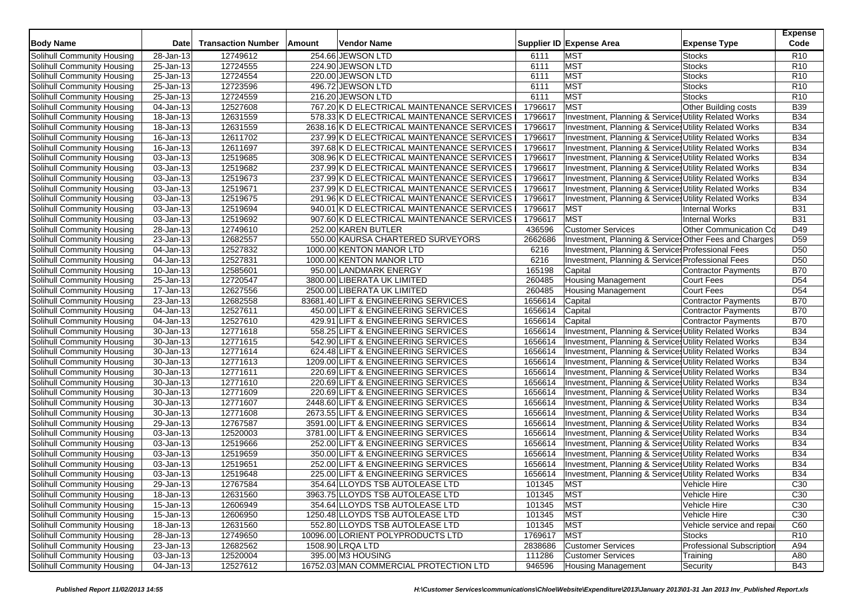| <b>Body Name</b>           | <b>Date</b>   | <b>Transaction Number</b> | Amount | <b>Vendor Name</b>                          |            | Supplier ID Expense Area                               | <b>Expense Type</b>              | <b>Expense</b><br>Code |
|----------------------------|---------------|---------------------------|--------|---------------------------------------------|------------|--------------------------------------------------------|----------------------------------|------------------------|
| Solihull Community Housing | 28-Jan-13     | 12749612                  |        | 254.66 JEWSON LTD                           | 6111       | <b>MST</b>                                             | <b>Stocks</b>                    | R <sub>10</sub>        |
| Solihull Community Housing | 25-Jan-13     | 12724555                  |        | 224.90 JEWSON LTD                           | 6111       | <b>MST</b>                                             | <b>Stocks</b>                    | R <sub>10</sub>        |
| Solihull Community Housing | 25-Jan-13     | 12724554                  |        | 220.00 JEWSON LTD                           | 6111       | <b>MST</b>                                             | <b>Stocks</b>                    | R <sub>10</sub>        |
| Solihull Community Housing | 25-Jan-13     | 12723596                  |        | 496.72 JEWSON LTD                           | 6111       | <b>MST</b>                                             | <b>Stocks</b>                    | R <sub>10</sub>        |
| Solihull Community Housing | 25-Jan-13     | 12724559                  |        | 216.20 JEWSON LTD                           | 6111       | <b>MST</b>                                             | <b>Stocks</b>                    | R <sub>10</sub>        |
| Solihull Community Housing | 04-Jan-13     | 12527608                  |        | 767.20 K D ELECTRICAL MAINTENANCE SERVICES  | 1796617    | <b>MST</b>                                             | Other Building costs             | <b>B39</b>             |
| Solihull Community Housing | 18-Jan-13     | 12631559                  |        | 578.33 K D ELECTRICAL MAINTENANCE SERVICES  | 1796617    | Investment, Planning & Services Utility Related Works  |                                  | <b>B34</b>             |
| Solihull Community Housing | 18-Jan-13     | 12631559                  |        | 2638.16 K D ELECTRICAL MAINTENANCE SERVICES | 1796617    | Investment, Planning & Services Utility Related Works  |                                  | <b>B34</b>             |
| Solihull Community Housing | 16-Jan-13     | 12611702                  |        | 237.99 K D ELECTRICAL MAINTENANCE SERVICES  | 1796617    | Investment, Planning & Services Utility Related Works  |                                  | <b>B34</b>             |
| Solihull Community Housing | 16-Jan-13     | 12611697                  |        | 397.68 K D ELECTRICAL MAINTENANCE SERVICES  | 1796617    | Investment, Planning & Services Utility Related Works  |                                  | <b>B34</b>             |
| Solihull Community Housing | 03-Jan-13     | 12519685                  |        | 308.96 K D ELECTRICAL MAINTENANCE SERVICES  | 1796617    | Investment, Planning & Services Utility Related Works  |                                  | <b>B34</b>             |
| Solihull Community Housing | 03-Jan-13     | 12519682                  |        | 237.99 K D ELECTRICAL MAINTENANCE SERVICES  | 1796617    | Investment, Planning & Services Utility Related Works  |                                  | <b>B34</b>             |
| Solihull Community Housing | 03-Jan-13     | 12519673                  |        | 237.99 K D ELECTRICAL MAINTENANCE SERVICES  | 1796617    | Investment, Planning & Services Utility Related Works  |                                  | <b>B34</b>             |
| Solihull Community Housing | 03-Jan-13     | 12519671                  |        | 237.99 K D ELECTRICAL MAINTENANCE SERVICES  | 1796617    | Investment, Planning & Services Utility Related Works  |                                  | <b>B34</b>             |
| Solihull Community Housing | 03-Jan-13     | 12519675                  |        | 291.96 K D ELECTRICAL MAINTENANCE SERVICES  | 1796617    | Investment, Planning & Services Utility Related Works  |                                  | <b>B34</b>             |
| Solihull Community Housing | 03-Jan-13     | 12519694                  |        | 940.01 K D ELECTRICAL MAINTENANCE SERVICES  | 1796617    | <b>MST</b>                                             | <b>Internal Works</b>            | <b>B31</b>             |
| Solihull Community Housing | 03-Jan-13     | 12519692                  |        | 907.60 K D ELECTRICAL MAINTENANCE SERVICES  | 1796617    | MST                                                    | <b>Internal Works</b>            | <b>B31</b>             |
| Solihull Community Housing | 28-Jan-13     | 12749610                  |        | 252.00 KAREN BUTLER                         | 436596     | <b>Customer Services</b>                               | Other Communication Co           | D49                    |
| Solihull Community Housing | 23-Jan-13     | 12682557                  |        | 550.00 KAURSA CHARTERED SURVEYORS           | 2662686    | Investment, Planning & Services Other Fees and Charges |                                  | D <sub>59</sub>        |
| Solihull Community Housing | 04-Jan-13     | 12527832                  |        | 1000.00 KENTON MANOR LTD                    | 6216       | Investment, Planning & Service: Professional Fees      |                                  | D <sub>50</sub>        |
| Solihull Community Housing | 04-Jan-13     | 12527831                  |        | 1000.00 KENTON MANOR LTD                    | 6216       | Investment, Planning & Services Professional Fees      |                                  | D <sub>50</sub>        |
| Solihull Community Housing | 10-Jan-13     | 12585601                  |        | 950.00 LANDMARK ENERGY                      | 165198     | Capital                                                | <b>Contractor Payments</b>       | <b>B70</b>             |
| Solihull Community Housing | 25-Jan-13     | 12720547                  |        | 3800.00 LIBERATA UK LIMITED                 | 260485     | <b>Housing Management</b>                              | Court Fees                       | D <sub>54</sub>        |
| Solihull Community Housing | 17-Jan-13     | 12627556                  |        | 2500.00 LIBERATA UK LIMITED                 | 260485     | <b>Housing Management</b>                              | <b>Court Fees</b>                | D <sub>54</sub>        |
| Solihull Community Housing | 23-Jan-13     | 12682558                  |        | 83681.40 LIFT & ENGINEERING SERVICES        | 1656614    | Capital                                                | <b>Contractor Payments</b>       | <b>B70</b>             |
| Solihull Community Housing | 04-Jan-13     | 12527611                  |        | 450.00 LIFT & ENGINEERING SERVICES          | 1656614    | Capital                                                | Contractor Payments              | <b>B70</b>             |
| Solihull Community Housing | 04-Jan-13     | 12527610                  |        | 429.91 LIFT & ENGINEERING SERVICES          | 1656614    | Capital                                                | <b>Contractor Payments</b>       | <b>B70</b>             |
| Solihull Community Housing | 30-Jan-13     | 12771618                  |        | 558.25 LIFT & ENGINEERING SERVICES          | 1656614    | Investment, Planning & Services Utility Related Works  |                                  | <b>B34</b>             |
| Solihull Community Housing | 30-Jan-13     | 12771615                  |        | 542.90 LIFT & ENGINEERING SERVICES          | 1656614    | Investment, Planning & Services Utility Related Works  |                                  | <b>B34</b>             |
| Solihull Community Housing | 30-Jan-13     | 12771614                  |        | 624.48 LIFT & ENGINEERING SERVICES          | 1656614    | Investment, Planning & Services Utility Related Works  |                                  | <b>B34</b>             |
| Solihull Community Housing | 30-Jan-13     | 12771613                  |        | 1209.00 LIFT & ENGINEERING SERVICES         | 1656614    | Investment, Planning & Service Utility Related Works   |                                  | <b>B34</b>             |
| Solihull Community Housing | 30-Jan-13     | 12771611                  |        | 220.69 LIFT & ENGINEERING SERVICES          | 1656614    | Investment, Planning & Services Utility Related Works  |                                  | <b>B34</b>             |
| Solihull Community Housing | 30-Jan-13     | 12771610                  |        | 220.69 LIFT & ENGINEERING SERVICES          | 1656614    | Investment, Planning & Services Utility Related Works  |                                  | <b>B34</b>             |
| Solihull Community Housing | $30 - Jan-13$ | 12771609                  |        | 220.69 LIFT & ENGINEERING SERVICES          | 1656614    | Investment, Planning & Service Utility Related Works   |                                  | <b>B34</b>             |
| Solihull Community Housing | 30-Jan-13     | 12771607                  |        | 2448.60 LIFT & ENGINEERING SERVICES         | 1656614    | Investment, Planning & Services Utility Related Works  |                                  | <b>B34</b>             |
| Solihull Community Housing | 30-Jan-13     | 12771608                  |        | 2673.55 LIFT & ENGINEERING SERVICES         | 1656614    | Investment, Planning & Services Utility Related Works  |                                  | <b>B34</b>             |
| Solihull Community Housing | 29-Jan-13     | 12767587                  |        | 3591.00 LIFT & ENGINEERING SERVICES         | 1656614    | Investment, Planning & Service Utility Related Works   |                                  | <b>B34</b>             |
| Solihull Community Housing | 03-Jan-13     | 12520003                  |        | 3781.00 LIFT & ENGINEERING SERVICES         | 1656614    | Investment, Planning & Services Utility Related Works  |                                  | <b>B34</b>             |
| Solihull Community Housing | 03-Jan-13     | 12519666                  |        | 252.00 LIFT & ENGINEERING SERVICES          | 1656614    | Investment, Planning & Services Utility Related Works  |                                  | <b>B34</b>             |
| Solihull Community Housing | 03-Jan-13     | 12519659                  |        | 350.00 LIFT & ENGINEERING SERVICES          | 1656614    | Investment, Planning & Services Utility Related Works  |                                  | <b>B34</b>             |
| Solihull Community Housing | 03-Jan-13     | 12519651                  |        | 252.00 LIFT & ENGINEERING SERVICES          | 1656614    | Investment, Planning & Services Utility Related Works  |                                  | <b>B34</b>             |
| Solihull Community Housing | 03-Jan-13     | 12519648                  |        | 225.00 LIFT & ENGINEERING SERVICES          | 1656614    | Investment, Planning & Services Utility Related Works  |                                  | <b>B34</b>             |
| Solihull Community Housing | 29-Jan-13     | 12767584                  |        | 354.64 LLOYDS TSB AUTOLEASE LTD             | 101345     | MST                                                    | Vehicle Hire                     | C30                    |
| Solihull Community Housing | 18-Jan-13     | 12631560                  |        | 3963.75 LLOYDS TSB AUTOLEASE LTD            | 101345 MST |                                                        | Vehicle Hire                     | C <sub>30</sub>        |
| Solihull Community Housing | 15-Jan-13     | 12606949                  |        | 354.64 LLOYDS TSB AUTOLEASE LTD             | 101345     | <b>MST</b>                                             | Vehicle Hire                     | C30                    |
| Solihull Community Housing | 15-Jan-13     | 12606950                  |        | 1250.48 LLOYDS TSB AUTOLEASE LTD            | 101345     | <b>MST</b>                                             | Vehicle Hire                     | C <sub>30</sub>        |
| Solihull Community Housing | 18-Jan-13     | 12631560                  |        | 552.80 LLOYDS TSB AUTOLEASE LTD             | 101345     | <b>MST</b>                                             | Vehicle service and repai        | C60                    |
| Solihull Community Housing | 28-Jan-13     | 12749650                  |        | 10096.00 LORIENT POLYPRODUCTS LTD           | 1769617    | <b>MST</b>                                             | Stocks                           | R <sub>10</sub>        |
| Solihull Community Housing | 23-Jan-13     | 12682562                  |        | 1508.90 LRQA LTD                            | 2838686    | <b>Customer Services</b>                               | <b>Professional Subscription</b> | A94                    |
| Solihull Community Housing | $03$ -Jan-13  | 12520004                  |        | 395.00 M3 HOUSING                           | 111286     | <b>Customer Services</b>                               | Training                         | A80                    |
| Solihull Community Housing | 04-Jan-13     | 12527612                  |        | 16752.03 MAN COMMERCIAL PROTECTION LTD      | 946596     | <b>Housing Management</b>                              | Security                         | <b>B43</b>             |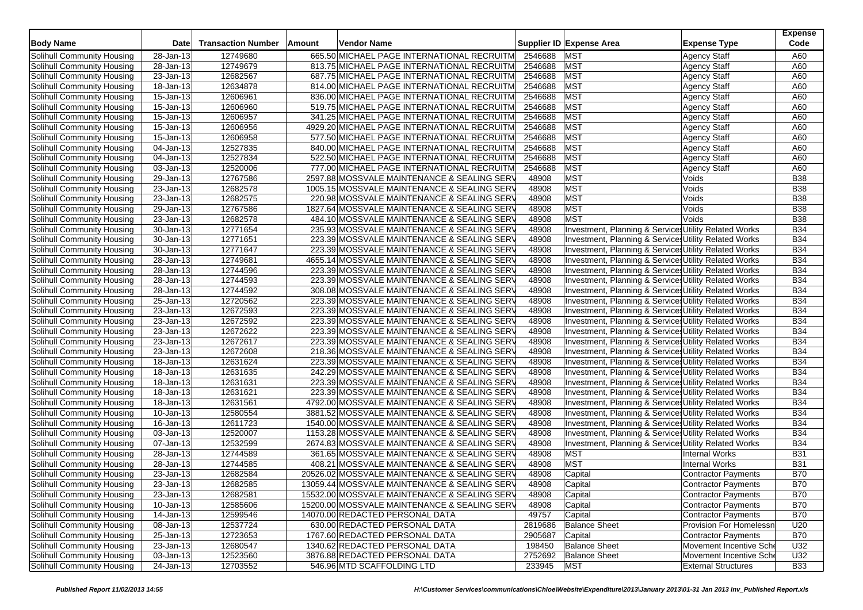| <b>Body Name</b>           | Date                    | <b>Transaction Number</b> | <b>Amount</b> | <b>Vendor Name</b>                           |         | Supplier ID Expense Area                              | <b>Expense Type</b>            | <b>Expense</b><br>Code   |
|----------------------------|-------------------------|---------------------------|---------------|----------------------------------------------|---------|-------------------------------------------------------|--------------------------------|--------------------------|
| Solihull Community Housing | 28-Jan-13               | 12749680                  |               | 665.50 MICHAEL PAGE INTERNATIONAL RECRUITM   | 2546688 | MST                                                   | <b>Agency Staff</b>            | A60                      |
| Solihull Community Housing | 28-Jan-13               | 12749679                  |               | 813.75 MICHAEL PAGE INTERNATIONAL RECRUITM   | 2546688 | <b>MST</b>                                            | <b>Agency Staff</b>            | A60                      |
| Solihull Community Housing | 23-Jan-13               | 12682567                  |               | 687.75 MICHAEL PAGE INTERNATIONAL RECRUITM   | 2546688 | <b>MST</b>                                            | <b>Agency Staff</b>            | A60                      |
| Solihull Community Housing | 18-Jan-13               | 12634878                  |               | 814.00 MICHAEL PAGE INTERNATIONAL RECRUITM   | 2546688 | <b>MST</b>                                            | <b>Agency Staff</b>            | A60                      |
| Solihull Community Housing | 15-Jan-13               | 12606961                  |               | 836.00 MICHAEL PAGE INTERNATIONAL RECRUITM   | 2546688 | <b>MST</b>                                            | <b>Agency Staff</b>            | A60                      |
| Solihull Community Housing | 15-Jan-13               | 12606960                  |               | 519.75 MICHAEL PAGE INTERNATIONAL RECRUITM   | 2546688 | <b>MST</b>                                            | Agency Staff                   | A60                      |
| Solihull Community Housing | 15-Jan-13               | 12606957                  |               | 341.25 MICHAEL PAGE INTERNATIONAL RECRUITM   | 2546688 | <b>MST</b>                                            | <b>Agency Staff</b>            | A60                      |
| Solihull Community Housing | 15-Jan-13               | 12606956                  |               | 4929.20 MICHAEL PAGE INTERNATIONAL RECRUITM  | 2546688 | <b>MST</b>                                            | Agency Staff                   | A60                      |
| Solihull Community Housing | 15-Jan-13               | 12606958                  |               | 577.50 MICHAEL PAGE INTERNATIONAL RECRUITM   | 2546688 | <b>MST</b>                                            | <b>Agency Staff</b>            | A60                      |
| Solihull Community Housing | 04-Jan-13               | 12527835                  |               | 840.00 MICHAEL PAGE INTERNATIONAL RECRUITM   | 2546688 | <b>MST</b>                                            | <b>Agency Staff</b>            | A60                      |
| Solihull Community Housing | 04-Jan-13               | 12527834                  |               | 522.50 MICHAEL PAGE INTERNATIONAL RECRUITM   | 2546688 | <b>MST</b>                                            | <b>Agency Staff</b>            | A60                      |
| Solihull Community Housing | 03-Jan-13               | 12520006                  |               | 777.00 MICHAEL PAGE INTERNATIONAL RECRUITM   | 2546688 | <b>MST</b>                                            | <b>Agency Staff</b>            | A60                      |
| Solihull Community Housing | 29-Jan-13               | 12767586                  |               | 2597.88 MOSSVALE MAINTENANCE & SEALING SERV  | 48908   | <b>MST</b>                                            | Voids                          | <b>B38</b>               |
| Solihull Community Housing | 23-Jan-13               | 12682578                  |               | 1005.15 MOSSVALE MAINTENANCE & SEALING SERV  | 48908   | <b>MST</b>                                            | Voids                          | <b>B38</b>               |
| Solihull Community Housing | 23-Jan-13               | 12682575                  |               | 220.98 MOSSVALE MAINTENANCE & SEALING SERV   | 48908   | <b>MST</b>                                            | Voids                          | <b>B38</b>               |
| Solihull Community Housing | 29-Jan-13               | 12767586                  |               | 1827.64 MOSSVALE MAINTENANCE & SEALING SERV  | 48908   | <b>MST</b>                                            | Voids                          | <b>B38</b>               |
| Solihull Community Housing | 23-Jan-13               | 12682578                  |               | 484.10 MOSSVALE MAINTENANCE & SEALING SERV   | 48908   | <b>MST</b>                                            | Voids                          | <b>B38</b>               |
| Solihull Community Housing | 30-Jan-13               | 12771654                  |               | 235.93 MOSSVALE MAINTENANCE & SEALING SERV   | 48908   | Investment, Planning & Service Utility Related Works  |                                | <b>B34</b>               |
| Solihull Community Housing | $\overline{30}$ -Jan-13 | 12771651                  |               | 223.39 MOSSVALE MAINTENANCE & SEALING SERV   | 48908   | Investment, Planning & Services Utility Related Works |                                | <b>B34</b>               |
| Solihull Community Housing | 30-Jan-13               | 12771647                  |               | 223.39 MOSSVALE MAINTENANCE & SEALING SERV   | 48908   | Investment, Planning & Service Utility Related Works  |                                | <b>B34</b>               |
| Solihull Community Housing | 28-Jan-13               | 12749681                  |               | 4655.14 MOSSVALE MAINTENANCE & SEALING SERV  | 48908   | Investment, Planning & Services Utility Related Works |                                | <b>B34</b>               |
| Solihull Community Housing | $\overline{28}$ -Jan-13 | 12744596                  |               | 223.39 MOSSVALE MAINTENANCE & SEALING SERV   | 48908   | Investment, Planning & Services Utility Related Works |                                | <b>B34</b>               |
| Solihull Community Housing | 28-Jan-13               | 12744593                  |               | 223.39 MOSSVALE MAINTENANCE & SEALING SERV   | 48908   | Investment, Planning & Services Utility Related Works |                                | <b>B34</b>               |
| Solihull Community Housing | 28-Jan-13               | 12744592                  |               | 308.08 MOSSVALE MAINTENANCE & SEALING SERV   | 48908   | Investment, Planning & Services Utility Related Works |                                | <b>B34</b>               |
| Solihull Community Housing | 25-Jan-13               | 12720562                  |               | 223.39 MOSSVALE MAINTENANCE & SEALING SERV   | 48908   | Investment, Planning & Services Utility Related Works |                                | <b>B34</b>               |
| Solihull Community Housing | 23-Jan-13               | 12672593                  |               | 223.39 MOSSVALE MAINTENANCE & SEALING SERV   | 48908   | Investment, Planning & Services Utility Related Works |                                | <b>B34</b>               |
| Solihull Community Housing | 23-Jan-13               | 12672592                  |               | 223.39 MOSSVALE MAINTENANCE & SEALING SERV   | 48908   | Investment, Planning & Services Utility Related Works |                                | <b>B34</b>               |
| Solihull Community Housing | 23-Jan-13               | 12672622                  |               | 223.39 MOSSVALE MAINTENANCE & SEALING SERV   | 48908   |                                                       |                                | <b>B34</b>               |
|                            | 23-Jan-13               | 12672617                  |               | 223.39 MOSSVALE MAINTENANCE & SEALING SERV   | 48908   | Investment, Planning & Services Utility Related Works |                                | <b>B34</b>               |
| Solihull Community Housing |                         |                           |               |                                              |         | Investment, Planning & Services Utility Related Works |                                | <b>B34</b>               |
| Solihull Community Housing | 23-Jan-13               | 12672608                  |               | 218.36 MOSSVALE MAINTENANCE & SEALING SERV   | 48908   | Investment, Planning & Services Utility Related Works |                                | <b>B34</b>               |
| Solihull Community Housing | 18-Jan-13               | 12631624                  |               | 223.39 MOSSVALE MAINTENANCE & SEALING SERV   | 48908   | Investment, Planning & Services Utility Related Works |                                | <b>B34</b>               |
| Solihull Community Housing | 18-Jan-13               | 12631635                  |               | 242.29 MOSSVALE MAINTENANCE & SEALING SERV   | 48908   | Investment, Planning & Services Utility Related Works |                                |                          |
| Solihull Community Housing | 18-Jan-13               | 12631631                  |               | 223.39 MOSSVALE MAINTENANCE & SEALING SERV   | 48908   | Investment, Planning & Services Utility Related Works |                                | <b>B34</b><br><b>B34</b> |
| Solihull Community Housing | 18-Jan-13               | 12631621                  |               | 223.39 MOSSVALE MAINTENANCE & SEALING SERV   | 48908   | Investment, Planning & Services Utility Related Works |                                | <b>B34</b>               |
| Solihull Community Housing | 18-Jan-13               | 12631561                  |               | 4792.00 MOSSVALE MAINTENANCE & SEALING SERV  | 48908   | Investment, Planning & Services Utility Related Works |                                | <b>B34</b>               |
| Solihull Community Housing | 10-Jan-13               | 12580554                  |               | 3881.52 MOSSVALE MAINTENANCE & SEALING SERV  | 48908   | Investment, Planning & Services Utility Related Works |                                |                          |
| Solihull Community Housing | 16-Jan-13               | 12611723                  |               | 1540.00 MOSSVALE MAINTENANCE & SEALING SERV  | 48908   | Investment, Planning & Services Utility Related Works |                                | <b>B34</b>               |
| Solihull Community Housing | 03-Jan-13               | 12520007                  |               | 1153.28 MOSSVALE MAINTENANCE & SEALING SERV  | 48908   | Investment, Planning & Service Utility Related Works  |                                | <b>B34</b><br><b>B34</b> |
| Solihull Community Housing | 07-Jan-13               | 12532599                  |               | 2674.83 MOSSVALE MAINTENANCE & SEALING SERV  | 48908   | Investment, Planning & Services Utility Related Works |                                |                          |
| Solihull Community Housing | 28-Jan-13               | 12744589<br>12744585      |               | 361.65 MOSSVALE MAINTENANCE & SEALING SERV   | 48908   | <b>MST</b><br><b>MST</b>                              | <b>Internal Works</b>          | <b>B31</b>               |
| Solihull Community Housing | 28-Jan-13               |                           |               | 408.21 MOSSVALE MAINTENANCE & SEALING SERV   | 48908   |                                                       | <b>Internal Works</b>          | <b>B31</b>               |
| Solihull Community Housing | 23-Jan-13               | 12682584                  |               | 20526.02 MOSSVALE MAINTENANCE & SEALING SERV | 48908   | Capital                                               | <b>Contractor Payments</b>     | <b>B70</b>               |
| Solihull Community Housing | 23-Jan-13               | 12682585                  |               | 13059.44 MOSSVALE MAINTENANCE & SEALING SERV | 48908   | Capital                                               | <b>Contractor Payments</b>     | <b>B70</b>               |
| Solihull Community Housing | 23-Jan-13               | 12682581                  |               | 15532.00 MOSSVALE MAINTENANCE & SEALING SERV | 48908   | Capital                                               | <b>Contractor Payments</b>     | <b>B70</b>               |
| Solihull Community Housing | 10-Jan-13               | 12585606                  |               | 15200.00 MOSSVALE MAINTENANCE & SEALING SERV | 48908   | Capital                                               | <b>Contractor Payments</b>     | <b>B70</b>               |
| Solihull Community Housing | 14-Jan-13               | 12599546                  |               | 14070.00 REDACTED PERSONAL DATA              | 49757   | Capital                                               | <b>Contractor Payments</b>     | <b>B70</b>               |
| Solihull Community Housing | 08-Jan-13               | 12537724                  |               | 630.00 REDACTED PERSONAL DATA                | 2819686 | <b>Balance Sheet</b>                                  | <b>Provision For Homelessn</b> | U20                      |
| Solihull Community Housing | 25-Jan-13               | 12723653                  |               | 1767.60 REDACTED PERSONAL DATA               | 2905687 | Capital                                               | Contractor Payments            | <b>B70</b>               |
| Solihull Community Housing | 23-Jan-13               | 12680547                  |               | 1340.62 REDACTED PERSONAL DATA               | 198450  | <b>Balance Sheet</b>                                  | Movement Incentive Sche        | U32                      |
| Solihull Community Housing | 03-Jan-13               | 12523560                  |               | 3876.88 REDACTED PERSONAL DATA               | 2752692 | <b>Balance Sheet</b>                                  | Movement Incentive Sche        | U32                      |
| Solihull Community Housing | 24-Jan-13               | 12703552                  |               | 546.96 MTD SCAFFOLDING LTD                   | 233945  | <b>MST</b>                                            | <b>External Structures</b>     | <b>B33</b>               |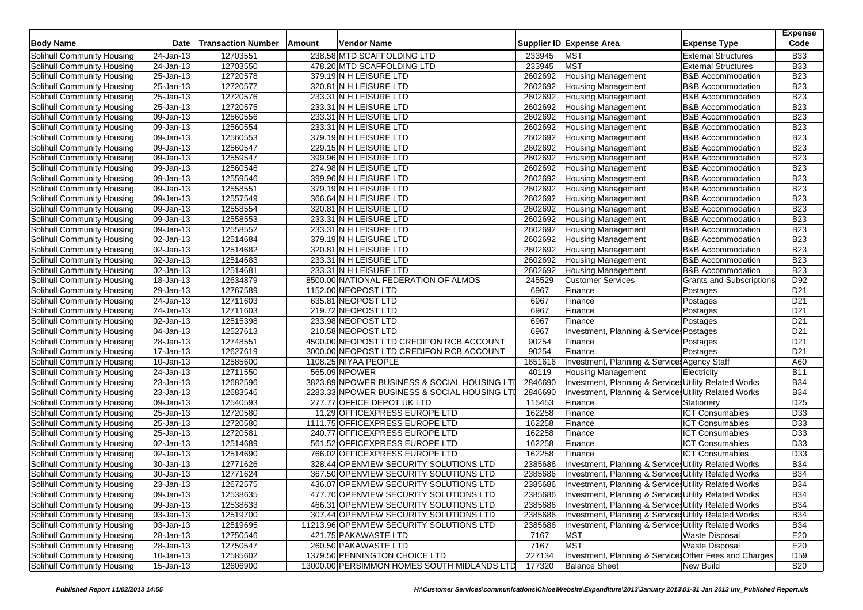| <b>Body Name</b>           | <b>Date</b>             | <b>Transaction Number</b> | Amount | Vendor Name                                  |         | Supplier ID Expense Area                                         | <b>Expense Type</b>             | <b>Expense</b><br>Code |
|----------------------------|-------------------------|---------------------------|--------|----------------------------------------------|---------|------------------------------------------------------------------|---------------------------------|------------------------|
| Solihull Community Housing | 24-Jan-13               | 12703551                  |        | 238.58 MTD SCAFFOLDING LTD                   | 233945  | <b>MST</b>                                                       | <b>External Structures</b>      | <b>B33</b>             |
| Solihull Community Housing | 24-Jan-13               | 12703550                  |        | 478.20 MTD SCAFFOLDING LTD                   | 233945  | <b>MST</b>                                                       | <b>External Structures</b>      | <b>B33</b>             |
| Solihull Community Housing | 25-Jan-13               | 12720578                  |        | 379.19N H LEISURE LTD                        | 2602692 | <b>Housing Management</b>                                        | <b>B&amp;B Accommodation</b>    | <b>B23</b>             |
| Solihull Community Housing | $\overline{25}$ -Jan-13 | 12720577                  |        | 320.81 N H LEISURE LTD                       | 2602692 | <b>Housing Management</b>                                        | <b>B&amp;B Accommodation</b>    | <b>B23</b>             |
| Solihull Community Housing | 25-Jan-13               | 12720576                  |        | 233.31 N H LEISURE LTD                       | 2602692 | <b>Housing Management</b>                                        | <b>B&amp;B Accommodation</b>    | <b>B23</b>             |
| Solihull Community Housing | 25-Jan-13               | 12720575                  |        | 233.31 N H LEISURE LTD                       | 2602692 | <b>Housing Management</b>                                        | <b>B&amp;B Accommodation</b>    | <b>B23</b>             |
| Solihull Community Housing | 09-Jan-13               | 12560556                  |        | 233.31 N H LEISURE LTD                       | 2602692 | <b>Housing Management</b>                                        | <b>B&amp;B Accommodation</b>    | <b>B23</b>             |
| Solihull Community Housing | 09-Jan-13               | 12560554                  |        | 233.31 N H LEISURE LTD                       | 2602692 | <b>Housing Management</b>                                        | <b>B&amp;B Accommodation</b>    | <b>B23</b>             |
| Solihull Community Housing | 09-Jan-13               | 12560553                  |        | 379.19 N H LEISURE LTD                       | 2602692 | <b>Housing Management</b>                                        | <b>B&amp;B Accommodation</b>    | <b>B23</b>             |
| Solihull Community Housing | 09-Jan-13               | 12560547                  |        | 229.15 N H LEISURE LTD                       | 2602692 | Housing Management                                               | <b>B&amp;B Accommodation</b>    | <b>B23</b>             |
| Solihull Community Housing | 09-Jan-13               | 12559547                  |        | 399.96 N H LEISURE LTD                       | 2602692 | <b>Housing Management</b>                                        | <b>B&amp;B Accommodation</b>    | <b>B23</b>             |
| Solihull Community Housing | 09-Jan-13               | 12560546                  |        | 274.98 N H LEISURE LTD                       | 2602692 | <b>Housing Management</b>                                        | <b>B&amp;B Accommodation</b>    | <b>B23</b>             |
| Solihull Community Housing | 09-Jan-13               | 12559546                  |        | 399.96 N H LEISURE LTD                       | 2602692 | <b>Housing Management</b>                                        | <b>B&amp;B Accommodation</b>    | <b>B23</b>             |
| Solihull Community Housing | 09-Jan-13               | 12558551                  |        | 379.19 N H LEISURE LTD                       | 2602692 | <b>Housing Management</b>                                        | <b>B&amp;B Accommodation</b>    | <b>B23</b>             |
| Solihull Community Housing | 09-Jan-13               | 12557549                  |        | 366.64 N H LEISURE LTD                       | 2602692 | <b>Housing Management</b>                                        | <b>B&amp;B Accommodation</b>    | <b>B23</b>             |
| Solihull Community Housing | 09-Jan-13               | 12558554                  |        | 320.81 N H LEISURE LTD                       | 2602692 | <b>Housing Management</b>                                        | <b>B&amp;B Accommodation</b>    | <b>B23</b>             |
| Solihull Community Housing | 09-Jan-13               | 12558553                  |        | 233.31 N H LEISURE LTD                       | 2602692 | <b>Housing Management</b>                                        | <b>B&amp;B Accommodation</b>    | <b>B23</b>             |
| Solihull Community Housing | 09-Jan-13               | 12558552                  |        | 233.31 N H LEISURE LTD                       | 2602692 | <b>Housing Management</b>                                        | <b>B&amp;B</b> Accommodation    | <b>B23</b>             |
| Solihull Community Housing | 02-Jan-13               | 12514684                  |        | 379.19 N H LEISURE LTD                       | 2602692 | <b>Housing Management</b>                                        | <b>B&amp;B Accommodation</b>    | <b>B23</b>             |
| Solihull Community Housing | $02$ -Jan-13            | 12514682                  |        | 320.81 N H LEISURE LTD                       | 2602692 | <b>Housing Management</b>                                        | <b>B&amp;B Accommodation</b>    | <b>B23</b>             |
| Solihull Community Housing | 02-Jan-13               | 12514683                  |        | 233.31 N H LEISURE LTD                       | 2602692 | <b>Housing Management</b>                                        | <b>B&amp;B Accommodation</b>    | <b>B23</b>             |
| Solihull Community Housing | 02-Jan-13               | 12514681                  |        | 233.31 N H LEISURE LTD                       | 2602692 | <b>Housing Management</b>                                        | <b>B&amp;B Accommodation</b>    | <b>B23</b>             |
| Solihull Community Housing | 18-Jan-13               | 12634879                  |        | 8500.00 NATIONAL FEDERATION OF ALMOS         | 245529  | <b>Customer Services</b>                                         | <b>Grants and Subscriptions</b> | D92                    |
| Solihull Community Housing | 29-Jan-13               | 12767589                  |        | 1152.00 NEOPOST LTD                          | 6967    | Finance                                                          | Postages                        | D <sub>21</sub>        |
| Solihull Community Housing | 24-Jan-13               | 12711603                  |        | 635.81 NEOPOST LTD                           | 6967    | Finance                                                          | Postages                        | D <sub>21</sub>        |
| Solihull Community Housing | 24-Jan-13               | 12711603                  |        | 219.72 NEOPOST LTD                           | 6967    | Finance                                                          | Postages                        | D <sub>21</sub>        |
| Solihull Community Housing | 02-Jan-13               | 12515398                  |        | 233.98 NEOPOST LTD                           | 6967    | Finance                                                          | Postages                        | D <sub>21</sub>        |
| Solihull Community Housing | 04-Jan-13               | 12527613                  |        | 210.58 NEOPOST LTD                           | 6967    | Investment, Planning & Service: Postages                         |                                 | D <sub>21</sub>        |
| Solihull Community Housing | 28-Jan-13               | 12748551                  |        | 4500.00 NEOPOST LTD CREDIFON RCB ACCOUNT     | 90254   | Finance                                                          | Postages                        | D <sub>21</sub>        |
| Solihull Community Housing | 17-Jan-13               | 12627619                  |        | 3000.00 NEOPOST LTD CREDIFON RCB ACCOUNT     | 90254   | Finance                                                          | Postages                        | D <sub>21</sub>        |
| Solihull Community Housing | 10-Jan-13               | 12585600                  |        | 1108.25 NIYAA PEOPLE                         | 1651616 | Investment, Planning & Service: Agency Staff                     |                                 | A60                    |
| Solihull Community Housing | 24-Jan-13               | 12711550                  |        | 565.09 NPOWER                                | 40119   | <b>Housing Management</b>                                        | Electricity                     | <b>B11</b>             |
| Solihull Community Housing | 23-Jan-13               | 12682596                  |        | 3823.89 NPOWER BUSINESS & SOCIAL HOUSING LTI | 2846690 | Investment, Planning & Services Utility Related Works            |                                 | <b>B34</b>             |
| Solihull Community Housing | $23$ -Jan-13            | 12683546                  |        | 2283.33 NPOWER BUSINESS & SOCIAL HOUSING LTI | 2846690 | <b>Investment, Planning &amp; Services Utility Related Works</b> |                                 | <b>B34</b>             |
| Solihull Community Housing | 09-Jan-13               | 12540593                  |        | 277.77 OFFICE DEPOT UK LTD                   | 115453  | Finance                                                          | Stationery                      | D <sub>25</sub>        |
| Solihull Community Housing | 25-Jan-13               | 12720580                  |        | 11.29 OFFICEXPRESS EUROPE LTD                | 162258  | Finance                                                          | <b>ICT Consumables</b>          | D33                    |
| Solihull Community Housing | 25-Jan-13               | 12720580                  |        | 1111.75 OFFICEXPRESS EUROPE LTD              | 162258  | Finance                                                          | <b>ICT Consumables</b>          | D33                    |
| Solihull Community Housing | 25-Jan-13               | 12720581                  |        | 240.77 OFFICEXPRESS EUROPE LTD               | 162258  | Finance                                                          | <b>ICT Consumables</b>          | D33                    |
| Solihull Community Housing | 02-Jan-13               | 12514689                  |        | 561.52 OFFICEXPRESS EUROPE LTD               | 162258  | Finance                                                          | <b>ICT Consumables</b>          | D33                    |
| Solihull Community Housing | 02-Jan-13               | 12514690                  |        | 766.02 OFFICEXPRESS EUROPE LTD               | 162258  | Finance                                                          | <b>ICT Consumables</b>          | D33                    |
| Solihull Community Housing | 30-Jan-13               | 12771626                  |        | 328.44 OPENVIEW SECURITY SOLUTIONS LTD       | 2385686 | Investment, Planning & Services Utility Related Works            |                                 | <b>B34</b>             |
| Solihull Community Housing | 30-Jan-13               | 12771624                  |        | 367.50 OPENVIEW SECURITY SOLUTIONS LTD       | 2385686 | Investment, Planning & Services Utility Related Works            |                                 | <b>B34</b>             |
| Solihull Community Housing | 23-Jan-13               | 12672575                  |        | 436.07 OPENVIEW SECURITY SOLUTIONS LTD       | 2385686 | Investment, Planning & Services Utility Related Works            |                                 | <b>B34</b>             |
| Solihull Community Housing | 09-Jan-13               | 12538635                  |        | 477.70 OPENVIEW SECURITY SOLUTIONS LTD       | 2385686 | Investment, Planning & Services Utility Related Works            |                                 | <b>B34</b>             |
| Solihull Community Housing | $\overline{09}$ -Jan-13 | 12538633                  |        | 466.31 OPENVIEW SECURITY SOLUTIONS LTD       | 2385686 | Investment, Planning & Services Utility Related Works            |                                 | <b>B34</b>             |
| Solihull Community Housing | 03-Jan-13               | 12519700                  |        | 307.44 OPENVIEW SECURITY SOLUTIONS LTD       | 2385686 | Investment, Planning & Services Utility Related Works            |                                 | <b>B34</b>             |
| Solihull Community Housing | 03-Jan-13               | 12519695                  |        | 11213.96 OPENVIEW SECURITY SOLUTIONS LTD     | 2385686 | Investment, Planning & Services Utility Related Works            |                                 | <b>B34</b>             |
| Solihull Community Housing | 28-Jan-13               | 12750546                  |        | 421.75 PAKAWASTE LTD                         | 7167    | <b>MST</b>                                                       | <b>Waste Disposal</b>           | E20                    |
| Solihull Community Housing | 28-Jan-13               | 12750547                  |        | 260.50 PAKAWASTE LTD                         | 7167    | <b>MST</b>                                                       | <b>Waste Disposal</b>           | E20                    |
| Solihull Community Housing | $10 - Jan-13$           | 12585602                  |        | 1379.50 PENNINGTON CHOICE LTD                | 227134  | Investment, Planning & Services Other Fees and Charges           |                                 | D <sub>59</sub>        |
| Solihull Community Housing | $15$ -Jan-13            | 12606900                  |        | 13000.00 PERSIMMON HOMES SOUTH MIDLANDS LTD  | 177320  | <b>Balance Sheet</b>                                             | <b>New Build</b>                | S <sub>20</sub>        |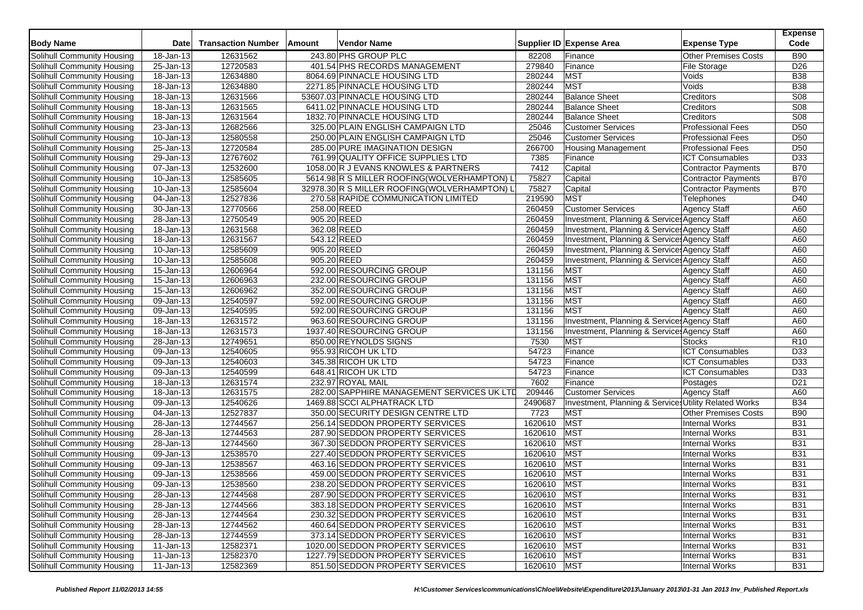| 243.80 PHS GROUP PLC<br><b>B90</b><br>Solihull Community Housing<br>$\overline{18}$ -Jan-13<br>12631562<br><b>Other Premises Costs</b><br>82208<br>Finance<br>12720583<br>401.54 PHS RECORDS MANAGEMENT<br>279840<br>Finance<br>D <sub>26</sub><br>Solihull Community Housing<br>25-Jan-13<br><b>File Storage</b><br>12634880<br><b>MST</b><br>8064.69 PINNACLE HOUSING LTD<br>280244<br><b>B38</b><br>18-Jan-13<br>Voids<br><b>MST</b><br>18-Jan-13<br>12634880<br>2271.85 PINNACLE HOUSING LTD<br>280244<br>Voids<br><b>B38</b><br>Solihull Community Housing<br><b>Balance Sheet</b><br>Solihull Community Housing<br>12631566<br>53607.03 PINNACLE HOUSING LTD<br>280244<br>Creditors<br>S08<br>18-Jan-13<br>12631565<br>280244<br><b>Balance Sheet</b><br>Creditors<br>S08<br>Solihull Community Housing<br>18-Jan-13<br>6411.02 PINNACLE HOUSING LTD<br>S08<br>Solihull Community Housing<br>18-Jan-13<br>12631564<br>1832.70 PINNACLE HOUSING LTD<br>280244<br><b>Balance Sheet</b><br>Creditors<br>12682566<br>D <sub>50</sub><br>23-Jan-13<br>25046<br><b>Customer Services</b><br><b>Professional Fees</b><br>Solihull Community Housing<br>325.00 PLAIN ENGLISH CAMPAIGN LTD<br>D <sub>50</sub><br>12580558<br>25046<br><b>Customer Services</b><br><b>Professional Fees</b><br>Solihull Community Housing<br>10-Jan-13<br>250.00 PLAIN ENGLISH CAMPAIGN LTD<br>12720584<br>D50<br>Solihull Community Housing<br>25-Jan-13<br>285.00 PURE IMAGINATION DESIGN<br>266700<br><b>Housing Management</b><br><b>Professional Fees</b><br>12767602<br>7385<br>761.99 QUALITY OFFICE SUPPLIES LTD<br><b>ICT Consumables</b><br>D33<br>Solihull Community Housing<br>29-Jan-13<br>Finance<br>Solihull Community Housing<br>$\overline{07}$ -Jan-13<br>12532600<br>1058.00 R J EVANS KNOWLES & PARTNERS<br>7412<br>Capital<br><b>Contractor Payments</b><br><b>B70</b><br>75827<br><b>B70</b><br>$\overline{10}$ -Jan-13<br>12585605<br>5614.98 R S MILLER ROOFING(WOLVERHAMPTON) L<br><b>Contractor Payments</b><br>Solihull Community Housing<br>Capital<br>12585604<br>75827<br><b>B70</b><br>10-Jan-13<br>Capital<br><b>Contractor Payments</b><br>Solihull Community Housing<br>32978.30 R S MILLER ROOFING (WOLVERHAMPTON) L<br>12527836<br>219590<br><b>MST</b><br>270.58 RAPIDE COMMUNICATION LIMITED<br>D40<br>Solihull Community Housing<br>04-Jan-13<br><b>Telephones</b><br>30-Jan-13<br>12770566<br>258.00 REED<br>260459<br><b>Customer Services</b><br><b>Agency Staff</b><br>A60<br>Solihull Community Housing<br>12750549<br>905.20 REED<br>260459<br>Investment, Planning & Service Agency Staff<br>Solihull Community Housing<br>28-Jan-13<br>A60<br>18-Jan-13<br>12631568<br>362.08 REED<br>260459<br>Investment, Planning & Service Agency Staff<br>A60<br>Solihull Community Housing<br>$\overline{18}$ -Jan-13<br>12631567<br>543.12 REED<br>260459<br>Investment, Planning & Services Agency Staff<br>A60<br>Solihull Community Housing<br>12585609<br>905.20 REED<br>260459<br>Investment, Planning & Services Agency Staff<br>Solihull Community Housing<br>10-Jan-13<br>A60<br>260459<br>Solihull Community Housing<br>10-Jan-13<br>12585608<br>905.20 REED<br>Investment, Planning & Services Agency Staff<br>A60<br>12606964<br>592.00 RESOURCING GROUP<br>A60<br>Solihull Community Housing<br>$15 - Jan - 13$<br>131156<br><b>MST</b><br><b>Agency Staff</b><br><b>MST</b><br>12606963<br>232.00 RESOURCING GROUP<br>131156<br>A60<br>Solihull Community Housing<br>15-Jan-13<br><b>Agency Staff</b><br>12606962<br>131156<br><b>MST</b><br>Solihull Community Housing<br>15-Jan-13<br>352.00 RESOURCING GROUP<br>A60<br><b>Agency Staff</b><br><b>MST</b><br>12540597<br>131156<br><b>Agency Staff</b><br>A60<br>Solihull Community Housing<br>09-Jan-13<br>592.00 RESOURCING GROUP<br><b>MST</b><br>09-Jan-13<br>12540595<br>592.00 RESOURCING GROUP<br>131156<br><b>Agency Staff</b><br>A60<br>Solihull Community Housing<br>18-Jan-13<br>12631572<br>963.60 RESOURCING GROUP<br>131156<br>Investment, Planning & Services Agency Staff<br>A60<br>Solihull Community Housing<br>12631573<br>131156<br>Investment, Planning & Service: Agency Staff<br>A60<br>Solihull Community Housing<br>18-Jan-13<br>1937.40 RESOURCING GROUP<br>12749651<br>7530<br>R <sub>10</sub><br>28-Jan-13<br>850.00 REYNOLDS SIGNS<br><b>MST</b><br>Solihull Community Housing<br><b>Stocks</b><br>12540605<br><b>ICT Consumables</b><br>Solihull Community Housing<br>09-Jan-13<br>955.93 RICOH UK LTD<br>54723<br>Finance<br>D33<br>54723<br>D <sub>33</sub><br>12540603<br>345.38 RICOH UK LTD<br><b>ICT Consumables</b><br>Solihull Community Housing<br>09-Jan-13<br>Finance<br>12540599<br>D <sub>33</sub><br>09-Jan-13<br>648.41 RICOH UK LTD<br>54723<br>Finance<br><b>ICT Consumables</b><br>Solihull Community Housing<br>D <sub>21</sub><br>Solihull Community Housing<br>$18 - Jan-13$<br>12631574<br>232.97 ROYAL MAIL<br>7602<br>Finance<br>Postages<br>282.00 SAPPHIRE MANAGEMENT SERVICES UK LTD<br>209446<br><b>Customer Services</b><br>A60<br>Solihull Community Housing<br>12631575<br><b>Agency Staff</b><br>18-Jan-13<br>12540626<br>2490687<br><b>B34</b><br>09-Jan-13<br>1469.88 SCCI ALPHATRACK LTD<br>Investment, Planning & Services Utility Related Works<br>Solihull Community Housing<br>12527837<br>7723<br>Solihull Community Housing<br>04-Jan-13<br>350.00 SECURITY DESIGN CENTRE LTD<br>MST<br><b>Other Premises Costs</b><br><b>B90</b><br><b>MST</b><br>Solihull Community Housing<br>256.14 SEDDON PROPERTY SERVICES<br>1620610<br><b>B31</b><br>28-Jan-13<br>12744567<br><b>Internal Works</b><br><b>MST</b><br><b>B31</b><br>28-Jan-13<br>12744563<br>287.90 SEDDON PROPERTY SERVICES<br>1620610<br><b>Internal Works</b><br>Solihull Community Housing<br><b>MST</b><br><b>B31</b><br>Solihull Community Housing<br>28-Jan-13<br>12744560<br>367.30 SEDDON PROPERTY SERVICES<br>1620610<br><b>Internal Works</b><br><b>MST</b><br>Solihull Community Housing<br>12538570<br>227.40 SEDDON PROPERTY SERVICES<br>1620610<br><b>B31</b><br>09-Jan-13<br><b>Internal Works</b><br><b>MST</b><br><b>B31</b><br>12538567<br>463.16 SEDDON PROPERTY SERVICES<br>1620610<br><b>Internal Works</b><br>Solihull Community Housing<br>09-Jan-13<br>12538566<br><b>MST</b><br><b>B31</b><br>Solihull Community Housing<br>09-Jan-13<br>459.00 SEDDON PROPERTY SERVICES<br>1620610<br><b>Internal Works</b><br>MST<br>12538560<br>238.20 SEDDON PROPERTY SERVICES<br>1620610<br><b>Internal Works</b><br><b>B31</b><br>Solihull Community Housing<br>09-Jan-13<br>Solihull Community Housing<br>28-Jan-13<br>287.90 SEDDON PROPERTY SERVICES<br>1620610 MST<br>Internal Works<br><b>B31</b><br>12744568<br>Solihull Community Housing<br>$28$ -Jan-13<br>12744566<br>383.18 SEDDON PROPERTY SERVICES<br>1620610 MST<br><b>Internal Works</b><br><b>B31</b><br>Solihull Community Housing<br>230.32 SEDDON PROPERTY SERVICES<br>1620610 MST<br>Internal Works<br>28-Jan-13<br>12744564<br><b>B31</b><br>Solihull Community Housing<br>12744562<br>460.64 SEDDON PROPERTY SERVICES<br>1620610<br><b>MST</b><br>Internal Works<br><b>B31</b><br>28-Jan-13<br>Solihull Community Housing<br>28-Jan-13<br>373.14 SEDDON PROPERTY SERVICES<br><b>MST</b><br><b>Internal Works</b><br>12744559<br>1620610<br><b>B31</b><br>Solihull Community Housing<br>12582371<br>1020.00 SEDDON PROPERTY SERVICES<br>1620610<br><b>MST</b><br><b>B31</b><br>11-Jan-13<br><b>Internal Works</b><br>12582370<br>1620610<br><b>MST</b><br><b>B31</b><br>Solihull Community Housing<br>$11$ -Jan-13<br>1227.79 SEDDON PROPERTY SERVICES<br><b>Internal Works</b><br>Solihull Community Housing<br>851.50 SEDDON PROPERTY SERVICES<br>1620610 MST<br>11-Jan-13<br>12582369<br><b>Internal Works</b><br><b>B31</b> | <b>Body Name</b>           | <b>Date</b> | <b>Transaction Number</b> | Amount | Vendor Name | Supplier ID Expense Area | <b>Expense Type</b> | <b>Expense</b><br>Code |
|-------------------------------------------------------------------------------------------------------------------------------------------------------------------------------------------------------------------------------------------------------------------------------------------------------------------------------------------------------------------------------------------------------------------------------------------------------------------------------------------------------------------------------------------------------------------------------------------------------------------------------------------------------------------------------------------------------------------------------------------------------------------------------------------------------------------------------------------------------------------------------------------------------------------------------------------------------------------------------------------------------------------------------------------------------------------------------------------------------------------------------------------------------------------------------------------------------------------------------------------------------------------------------------------------------------------------------------------------------------------------------------------------------------------------------------------------------------------------------------------------------------------------------------------------------------------------------------------------------------------------------------------------------------------------------------------------------------------------------------------------------------------------------------------------------------------------------------------------------------------------------------------------------------------------------------------------------------------------------------------------------------------------------------------------------------------------------------------------------------------------------------------------------------------------------------------------------------------------------------------------------------------------------------------------------------------------------------------------------------------------------------------------------------------------------------------------------------------------------------------------------------------------------------------------------------------------------------------------------------------------------------------------------------------------------------------------------------------------------------------------------------------------------------------------------------------------------------------------------------------------------------------------------------------------------------------------------------------------------------------------------------------------------------------------------------------------------------------------------------------------------------------------------------------------------------------------------------------------------------------------------------------------------------------------------------------------------------------------------------------------------------------------------------------------------------------------------------------------------------------------------------------------------------------------------------------------------------------------------------------------------------------------------------------------------------------------------------------------------------------------------------------------------------------------------------------------------------------------------------------------------------------------------------------------------------------------------------------------------------------------------------------------------------------------------------------------------------------------------------------------------------------------------------------------------------------------------------------------------------------------------------------------------------------------------------------------------------------------------------------------------------------------------------------------------------------------------------------------------------------------------------------------------------------------------------------------------------------------------------------------------------------------------------------------------------------------------------------------------------------------------------------------------------------------------------------------------------------------------------------------------------------------------------------------------------------------------------------------------------------------------------------------------------------------------------------------------------------------------------------------------------------------------------------------------------------------------------------------------------------------------------------------------------------------------------------------------------------------------------------------------------------------------------------------------------------------------------------------------------------------------------------------------------------------------------------------------------------------------------------------------------------------------------------------------------------------------------------------------------------------------------------------------------------------------------------------------------------------------------------------------------------------------------------------------------------------------------------------------------------------------------------------------------------------------------------------------------------------------------------------------------------------------------------------------------------------------------------------------------------------------------------------------------------------------------------------------------------------------------------------------------------------------------------------------------------------------------------------------------------------------------------------------------------------------------------------------------------------------------------------------------------------------------------------------------------------------------------------------------------------------------------------------------------------------------------------------------------------------------------------------------------------------------------------------------------------------------------------------------------------------------------------------------------------------------------------------------------------------------------------------------------------------------------------------------------------------------------------------------------------------------------------------------------------------------------------------------------------------------------------------------------------------------------------------------------------------------------------------------------------------------------------------------------------------------------------------------------------------------------------------------------------------------------------------------------------------------------------------------------------------------------------------------------------------------------------------------|----------------------------|-------------|---------------------------|--------|-------------|--------------------------|---------------------|------------------------|
|                                                                                                                                                                                                                                                                                                                                                                                                                                                                                                                                                                                                                                                                                                                                                                                                                                                                                                                                                                                                                                                                                                                                                                                                                                                                                                                                                                                                                                                                                                                                                                                                                                                                                                                                                                                                                                                                                                                                                                                                                                                                                                                                                                                                                                                                                                                                                                                                                                                                                                                                                                                                                                                                                                                                                                                                                                                                                                                                                                                                                                                                                                                                                                                                                                                                                                                                                                                                                                                                                                                                                                                                                                                                                                                                                                                                                                                                                                                                                                                                                                                                                                                                                                                                                                                                                                                                                                                                                                                                                                                                                                                                                                                                                                                                                                                                                                                                                                                                                                                                                                                                                                                                                                                                                                                                                                                                                                                                                                                                                                                                                                                                                                                                                                                                                                                                                                                                                                                                                                                                                                                                                                                                                                                                                                                                                                                                                                                                                                                                                                                                                                                                                                                                                                                                                                                                                                                                                                                                                                                                                                                                                                                                                                                                                                                                                                                                                                                                                                                                                                                                                                                                                                                                                                                                                                                                                                     |                            |             |                           |        |             |                          |                     |                        |
|                                                                                                                                                                                                                                                                                                                                                                                                                                                                                                                                                                                                                                                                                                                                                                                                                                                                                                                                                                                                                                                                                                                                                                                                                                                                                                                                                                                                                                                                                                                                                                                                                                                                                                                                                                                                                                                                                                                                                                                                                                                                                                                                                                                                                                                                                                                                                                                                                                                                                                                                                                                                                                                                                                                                                                                                                                                                                                                                                                                                                                                                                                                                                                                                                                                                                                                                                                                                                                                                                                                                                                                                                                                                                                                                                                                                                                                                                                                                                                                                                                                                                                                                                                                                                                                                                                                                                                                                                                                                                                                                                                                                                                                                                                                                                                                                                                                                                                                                                                                                                                                                                                                                                                                                                                                                                                                                                                                                                                                                                                                                                                                                                                                                                                                                                                                                                                                                                                                                                                                                                                                                                                                                                                                                                                                                                                                                                                                                                                                                                                                                                                                                                                                                                                                                                                                                                                                                                                                                                                                                                                                                                                                                                                                                                                                                                                                                                                                                                                                                                                                                                                                                                                                                                                                                                                                                                                     |                            |             |                           |        |             |                          |                     |                        |
|                                                                                                                                                                                                                                                                                                                                                                                                                                                                                                                                                                                                                                                                                                                                                                                                                                                                                                                                                                                                                                                                                                                                                                                                                                                                                                                                                                                                                                                                                                                                                                                                                                                                                                                                                                                                                                                                                                                                                                                                                                                                                                                                                                                                                                                                                                                                                                                                                                                                                                                                                                                                                                                                                                                                                                                                                                                                                                                                                                                                                                                                                                                                                                                                                                                                                                                                                                                                                                                                                                                                                                                                                                                                                                                                                                                                                                                                                                                                                                                                                                                                                                                                                                                                                                                                                                                                                                                                                                                                                                                                                                                                                                                                                                                                                                                                                                                                                                                                                                                                                                                                                                                                                                                                                                                                                                                                                                                                                                                                                                                                                                                                                                                                                                                                                                                                                                                                                                                                                                                                                                                                                                                                                                                                                                                                                                                                                                                                                                                                                                                                                                                                                                                                                                                                                                                                                                                                                                                                                                                                                                                                                                                                                                                                                                                                                                                                                                                                                                                                                                                                                                                                                                                                                                                                                                                                                                     | Solihull Community Housing |             |                           |        |             |                          |                     |                        |
|                                                                                                                                                                                                                                                                                                                                                                                                                                                                                                                                                                                                                                                                                                                                                                                                                                                                                                                                                                                                                                                                                                                                                                                                                                                                                                                                                                                                                                                                                                                                                                                                                                                                                                                                                                                                                                                                                                                                                                                                                                                                                                                                                                                                                                                                                                                                                                                                                                                                                                                                                                                                                                                                                                                                                                                                                                                                                                                                                                                                                                                                                                                                                                                                                                                                                                                                                                                                                                                                                                                                                                                                                                                                                                                                                                                                                                                                                                                                                                                                                                                                                                                                                                                                                                                                                                                                                                                                                                                                                                                                                                                                                                                                                                                                                                                                                                                                                                                                                                                                                                                                                                                                                                                                                                                                                                                                                                                                                                                                                                                                                                                                                                                                                                                                                                                                                                                                                                                                                                                                                                                                                                                                                                                                                                                                                                                                                                                                                                                                                                                                                                                                                                                                                                                                                                                                                                                                                                                                                                                                                                                                                                                                                                                                                                                                                                                                                                                                                                                                                                                                                                                                                                                                                                                                                                                                                                     |                            |             |                           |        |             |                          |                     |                        |
|                                                                                                                                                                                                                                                                                                                                                                                                                                                                                                                                                                                                                                                                                                                                                                                                                                                                                                                                                                                                                                                                                                                                                                                                                                                                                                                                                                                                                                                                                                                                                                                                                                                                                                                                                                                                                                                                                                                                                                                                                                                                                                                                                                                                                                                                                                                                                                                                                                                                                                                                                                                                                                                                                                                                                                                                                                                                                                                                                                                                                                                                                                                                                                                                                                                                                                                                                                                                                                                                                                                                                                                                                                                                                                                                                                                                                                                                                                                                                                                                                                                                                                                                                                                                                                                                                                                                                                                                                                                                                                                                                                                                                                                                                                                                                                                                                                                                                                                                                                                                                                                                                                                                                                                                                                                                                                                                                                                                                                                                                                                                                                                                                                                                                                                                                                                                                                                                                                                                                                                                                                                                                                                                                                                                                                                                                                                                                                                                                                                                                                                                                                                                                                                                                                                                                                                                                                                                                                                                                                                                                                                                                                                                                                                                                                                                                                                                                                                                                                                                                                                                                                                                                                                                                                                                                                                                                                     |                            |             |                           |        |             |                          |                     |                        |
|                                                                                                                                                                                                                                                                                                                                                                                                                                                                                                                                                                                                                                                                                                                                                                                                                                                                                                                                                                                                                                                                                                                                                                                                                                                                                                                                                                                                                                                                                                                                                                                                                                                                                                                                                                                                                                                                                                                                                                                                                                                                                                                                                                                                                                                                                                                                                                                                                                                                                                                                                                                                                                                                                                                                                                                                                                                                                                                                                                                                                                                                                                                                                                                                                                                                                                                                                                                                                                                                                                                                                                                                                                                                                                                                                                                                                                                                                                                                                                                                                                                                                                                                                                                                                                                                                                                                                                                                                                                                                                                                                                                                                                                                                                                                                                                                                                                                                                                                                                                                                                                                                                                                                                                                                                                                                                                                                                                                                                                                                                                                                                                                                                                                                                                                                                                                                                                                                                                                                                                                                                                                                                                                                                                                                                                                                                                                                                                                                                                                                                                                                                                                                                                                                                                                                                                                                                                                                                                                                                                                                                                                                                                                                                                                                                                                                                                                                                                                                                                                                                                                                                                                                                                                                                                                                                                                                                     |                            |             |                           |        |             |                          |                     |                        |
|                                                                                                                                                                                                                                                                                                                                                                                                                                                                                                                                                                                                                                                                                                                                                                                                                                                                                                                                                                                                                                                                                                                                                                                                                                                                                                                                                                                                                                                                                                                                                                                                                                                                                                                                                                                                                                                                                                                                                                                                                                                                                                                                                                                                                                                                                                                                                                                                                                                                                                                                                                                                                                                                                                                                                                                                                                                                                                                                                                                                                                                                                                                                                                                                                                                                                                                                                                                                                                                                                                                                                                                                                                                                                                                                                                                                                                                                                                                                                                                                                                                                                                                                                                                                                                                                                                                                                                                                                                                                                                                                                                                                                                                                                                                                                                                                                                                                                                                                                                                                                                                                                                                                                                                                                                                                                                                                                                                                                                                                                                                                                                                                                                                                                                                                                                                                                                                                                                                                                                                                                                                                                                                                                                                                                                                                                                                                                                                                                                                                                                                                                                                                                                                                                                                                                                                                                                                                                                                                                                                                                                                                                                                                                                                                                                                                                                                                                                                                                                                                                                                                                                                                                                                                                                                                                                                                                                     |                            |             |                           |        |             |                          |                     |                        |
|                                                                                                                                                                                                                                                                                                                                                                                                                                                                                                                                                                                                                                                                                                                                                                                                                                                                                                                                                                                                                                                                                                                                                                                                                                                                                                                                                                                                                                                                                                                                                                                                                                                                                                                                                                                                                                                                                                                                                                                                                                                                                                                                                                                                                                                                                                                                                                                                                                                                                                                                                                                                                                                                                                                                                                                                                                                                                                                                                                                                                                                                                                                                                                                                                                                                                                                                                                                                                                                                                                                                                                                                                                                                                                                                                                                                                                                                                                                                                                                                                                                                                                                                                                                                                                                                                                                                                                                                                                                                                                                                                                                                                                                                                                                                                                                                                                                                                                                                                                                                                                                                                                                                                                                                                                                                                                                                                                                                                                                                                                                                                                                                                                                                                                                                                                                                                                                                                                                                                                                                                                                                                                                                                                                                                                                                                                                                                                                                                                                                                                                                                                                                                                                                                                                                                                                                                                                                                                                                                                                                                                                                                                                                                                                                                                                                                                                                                                                                                                                                                                                                                                                                                                                                                                                                                                                                                                     |                            |             |                           |        |             |                          |                     |                        |
|                                                                                                                                                                                                                                                                                                                                                                                                                                                                                                                                                                                                                                                                                                                                                                                                                                                                                                                                                                                                                                                                                                                                                                                                                                                                                                                                                                                                                                                                                                                                                                                                                                                                                                                                                                                                                                                                                                                                                                                                                                                                                                                                                                                                                                                                                                                                                                                                                                                                                                                                                                                                                                                                                                                                                                                                                                                                                                                                                                                                                                                                                                                                                                                                                                                                                                                                                                                                                                                                                                                                                                                                                                                                                                                                                                                                                                                                                                                                                                                                                                                                                                                                                                                                                                                                                                                                                                                                                                                                                                                                                                                                                                                                                                                                                                                                                                                                                                                                                                                                                                                                                                                                                                                                                                                                                                                                                                                                                                                                                                                                                                                                                                                                                                                                                                                                                                                                                                                                                                                                                                                                                                                                                                                                                                                                                                                                                                                                                                                                                                                                                                                                                                                                                                                                                                                                                                                                                                                                                                                                                                                                                                                                                                                                                                                                                                                                                                                                                                                                                                                                                                                                                                                                                                                                                                                                                                     |                            |             |                           |        |             |                          |                     |                        |
|                                                                                                                                                                                                                                                                                                                                                                                                                                                                                                                                                                                                                                                                                                                                                                                                                                                                                                                                                                                                                                                                                                                                                                                                                                                                                                                                                                                                                                                                                                                                                                                                                                                                                                                                                                                                                                                                                                                                                                                                                                                                                                                                                                                                                                                                                                                                                                                                                                                                                                                                                                                                                                                                                                                                                                                                                                                                                                                                                                                                                                                                                                                                                                                                                                                                                                                                                                                                                                                                                                                                                                                                                                                                                                                                                                                                                                                                                                                                                                                                                                                                                                                                                                                                                                                                                                                                                                                                                                                                                                                                                                                                                                                                                                                                                                                                                                                                                                                                                                                                                                                                                                                                                                                                                                                                                                                                                                                                                                                                                                                                                                                                                                                                                                                                                                                                                                                                                                                                                                                                                                                                                                                                                                                                                                                                                                                                                                                                                                                                                                                                                                                                                                                                                                                                                                                                                                                                                                                                                                                                                                                                                                                                                                                                                                                                                                                                                                                                                                                                                                                                                                                                                                                                                                                                                                                                                                     |                            |             |                           |        |             |                          |                     |                        |
|                                                                                                                                                                                                                                                                                                                                                                                                                                                                                                                                                                                                                                                                                                                                                                                                                                                                                                                                                                                                                                                                                                                                                                                                                                                                                                                                                                                                                                                                                                                                                                                                                                                                                                                                                                                                                                                                                                                                                                                                                                                                                                                                                                                                                                                                                                                                                                                                                                                                                                                                                                                                                                                                                                                                                                                                                                                                                                                                                                                                                                                                                                                                                                                                                                                                                                                                                                                                                                                                                                                                                                                                                                                                                                                                                                                                                                                                                                                                                                                                                                                                                                                                                                                                                                                                                                                                                                                                                                                                                                                                                                                                                                                                                                                                                                                                                                                                                                                                                                                                                                                                                                                                                                                                                                                                                                                                                                                                                                                                                                                                                                                                                                                                                                                                                                                                                                                                                                                                                                                                                                                                                                                                                                                                                                                                                                                                                                                                                                                                                                                                                                                                                                                                                                                                                                                                                                                                                                                                                                                                                                                                                                                                                                                                                                                                                                                                                                                                                                                                                                                                                                                                                                                                                                                                                                                                                                     |                            |             |                           |        |             |                          |                     |                        |
|                                                                                                                                                                                                                                                                                                                                                                                                                                                                                                                                                                                                                                                                                                                                                                                                                                                                                                                                                                                                                                                                                                                                                                                                                                                                                                                                                                                                                                                                                                                                                                                                                                                                                                                                                                                                                                                                                                                                                                                                                                                                                                                                                                                                                                                                                                                                                                                                                                                                                                                                                                                                                                                                                                                                                                                                                                                                                                                                                                                                                                                                                                                                                                                                                                                                                                                                                                                                                                                                                                                                                                                                                                                                                                                                                                                                                                                                                                                                                                                                                                                                                                                                                                                                                                                                                                                                                                                                                                                                                                                                                                                                                                                                                                                                                                                                                                                                                                                                                                                                                                                                                                                                                                                                                                                                                                                                                                                                                                                                                                                                                                                                                                                                                                                                                                                                                                                                                                                                                                                                                                                                                                                                                                                                                                                                                                                                                                                                                                                                                                                                                                                                                                                                                                                                                                                                                                                                                                                                                                                                                                                                                                                                                                                                                                                                                                                                                                                                                                                                                                                                                                                                                                                                                                                                                                                                                                     |                            |             |                           |        |             |                          |                     |                        |
|                                                                                                                                                                                                                                                                                                                                                                                                                                                                                                                                                                                                                                                                                                                                                                                                                                                                                                                                                                                                                                                                                                                                                                                                                                                                                                                                                                                                                                                                                                                                                                                                                                                                                                                                                                                                                                                                                                                                                                                                                                                                                                                                                                                                                                                                                                                                                                                                                                                                                                                                                                                                                                                                                                                                                                                                                                                                                                                                                                                                                                                                                                                                                                                                                                                                                                                                                                                                                                                                                                                                                                                                                                                                                                                                                                                                                                                                                                                                                                                                                                                                                                                                                                                                                                                                                                                                                                                                                                                                                                                                                                                                                                                                                                                                                                                                                                                                                                                                                                                                                                                                                                                                                                                                                                                                                                                                                                                                                                                                                                                                                                                                                                                                                                                                                                                                                                                                                                                                                                                                                                                                                                                                                                                                                                                                                                                                                                                                                                                                                                                                                                                                                                                                                                                                                                                                                                                                                                                                                                                                                                                                                                                                                                                                                                                                                                                                                                                                                                                                                                                                                                                                                                                                                                                                                                                                                                     |                            |             |                           |        |             |                          |                     |                        |
|                                                                                                                                                                                                                                                                                                                                                                                                                                                                                                                                                                                                                                                                                                                                                                                                                                                                                                                                                                                                                                                                                                                                                                                                                                                                                                                                                                                                                                                                                                                                                                                                                                                                                                                                                                                                                                                                                                                                                                                                                                                                                                                                                                                                                                                                                                                                                                                                                                                                                                                                                                                                                                                                                                                                                                                                                                                                                                                                                                                                                                                                                                                                                                                                                                                                                                                                                                                                                                                                                                                                                                                                                                                                                                                                                                                                                                                                                                                                                                                                                                                                                                                                                                                                                                                                                                                                                                                                                                                                                                                                                                                                                                                                                                                                                                                                                                                                                                                                                                                                                                                                                                                                                                                                                                                                                                                                                                                                                                                                                                                                                                                                                                                                                                                                                                                                                                                                                                                                                                                                                                                                                                                                                                                                                                                                                                                                                                                                                                                                                                                                                                                                                                                                                                                                                                                                                                                                                                                                                                                                                                                                                                                                                                                                                                                                                                                                                                                                                                                                                                                                                                                                                                                                                                                                                                                                                                     |                            |             |                           |        |             |                          |                     |                        |
|                                                                                                                                                                                                                                                                                                                                                                                                                                                                                                                                                                                                                                                                                                                                                                                                                                                                                                                                                                                                                                                                                                                                                                                                                                                                                                                                                                                                                                                                                                                                                                                                                                                                                                                                                                                                                                                                                                                                                                                                                                                                                                                                                                                                                                                                                                                                                                                                                                                                                                                                                                                                                                                                                                                                                                                                                                                                                                                                                                                                                                                                                                                                                                                                                                                                                                                                                                                                                                                                                                                                                                                                                                                                                                                                                                                                                                                                                                                                                                                                                                                                                                                                                                                                                                                                                                                                                                                                                                                                                                                                                                                                                                                                                                                                                                                                                                                                                                                                                                                                                                                                                                                                                                                                                                                                                                                                                                                                                                                                                                                                                                                                                                                                                                                                                                                                                                                                                                                                                                                                                                                                                                                                                                                                                                                                                                                                                                                                                                                                                                                                                                                                                                                                                                                                                                                                                                                                                                                                                                                                                                                                                                                                                                                                                                                                                                                                                                                                                                                                                                                                                                                                                                                                                                                                                                                                                                     |                            |             |                           |        |             |                          |                     |                        |
|                                                                                                                                                                                                                                                                                                                                                                                                                                                                                                                                                                                                                                                                                                                                                                                                                                                                                                                                                                                                                                                                                                                                                                                                                                                                                                                                                                                                                                                                                                                                                                                                                                                                                                                                                                                                                                                                                                                                                                                                                                                                                                                                                                                                                                                                                                                                                                                                                                                                                                                                                                                                                                                                                                                                                                                                                                                                                                                                                                                                                                                                                                                                                                                                                                                                                                                                                                                                                                                                                                                                                                                                                                                                                                                                                                                                                                                                                                                                                                                                                                                                                                                                                                                                                                                                                                                                                                                                                                                                                                                                                                                                                                                                                                                                                                                                                                                                                                                                                                                                                                                                                                                                                                                                                                                                                                                                                                                                                                                                                                                                                                                                                                                                                                                                                                                                                                                                                                                                                                                                                                                                                                                                                                                                                                                                                                                                                                                                                                                                                                                                                                                                                                                                                                                                                                                                                                                                                                                                                                                                                                                                                                                                                                                                                                                                                                                                                                                                                                                                                                                                                                                                                                                                                                                                                                                                                                     |                            |             |                           |        |             |                          |                     |                        |
|                                                                                                                                                                                                                                                                                                                                                                                                                                                                                                                                                                                                                                                                                                                                                                                                                                                                                                                                                                                                                                                                                                                                                                                                                                                                                                                                                                                                                                                                                                                                                                                                                                                                                                                                                                                                                                                                                                                                                                                                                                                                                                                                                                                                                                                                                                                                                                                                                                                                                                                                                                                                                                                                                                                                                                                                                                                                                                                                                                                                                                                                                                                                                                                                                                                                                                                                                                                                                                                                                                                                                                                                                                                                                                                                                                                                                                                                                                                                                                                                                                                                                                                                                                                                                                                                                                                                                                                                                                                                                                                                                                                                                                                                                                                                                                                                                                                                                                                                                                                                                                                                                                                                                                                                                                                                                                                                                                                                                                                                                                                                                                                                                                                                                                                                                                                                                                                                                                                                                                                                                                                                                                                                                                                                                                                                                                                                                                                                                                                                                                                                                                                                                                                                                                                                                                                                                                                                                                                                                                                                                                                                                                                                                                                                                                                                                                                                                                                                                                                                                                                                                                                                                                                                                                                                                                                                                                     |                            |             |                           |        |             |                          |                     |                        |
|                                                                                                                                                                                                                                                                                                                                                                                                                                                                                                                                                                                                                                                                                                                                                                                                                                                                                                                                                                                                                                                                                                                                                                                                                                                                                                                                                                                                                                                                                                                                                                                                                                                                                                                                                                                                                                                                                                                                                                                                                                                                                                                                                                                                                                                                                                                                                                                                                                                                                                                                                                                                                                                                                                                                                                                                                                                                                                                                                                                                                                                                                                                                                                                                                                                                                                                                                                                                                                                                                                                                                                                                                                                                                                                                                                                                                                                                                                                                                                                                                                                                                                                                                                                                                                                                                                                                                                                                                                                                                                                                                                                                                                                                                                                                                                                                                                                                                                                                                                                                                                                                                                                                                                                                                                                                                                                                                                                                                                                                                                                                                                                                                                                                                                                                                                                                                                                                                                                                                                                                                                                                                                                                                                                                                                                                                                                                                                                                                                                                                                                                                                                                                                                                                                                                                                                                                                                                                                                                                                                                                                                                                                                                                                                                                                                                                                                                                                                                                                                                                                                                                                                                                                                                                                                                                                                                                                     |                            |             |                           |        |             |                          |                     |                        |
|                                                                                                                                                                                                                                                                                                                                                                                                                                                                                                                                                                                                                                                                                                                                                                                                                                                                                                                                                                                                                                                                                                                                                                                                                                                                                                                                                                                                                                                                                                                                                                                                                                                                                                                                                                                                                                                                                                                                                                                                                                                                                                                                                                                                                                                                                                                                                                                                                                                                                                                                                                                                                                                                                                                                                                                                                                                                                                                                                                                                                                                                                                                                                                                                                                                                                                                                                                                                                                                                                                                                                                                                                                                                                                                                                                                                                                                                                                                                                                                                                                                                                                                                                                                                                                                                                                                                                                                                                                                                                                                                                                                                                                                                                                                                                                                                                                                                                                                                                                                                                                                                                                                                                                                                                                                                                                                                                                                                                                                                                                                                                                                                                                                                                                                                                                                                                                                                                                                                                                                                                                                                                                                                                                                                                                                                                                                                                                                                                                                                                                                                                                                                                                                                                                                                                                                                                                                                                                                                                                                                                                                                                                                                                                                                                                                                                                                                                                                                                                                                                                                                                                                                                                                                                                                                                                                                                                     |                            |             |                           |        |             |                          |                     |                        |
|                                                                                                                                                                                                                                                                                                                                                                                                                                                                                                                                                                                                                                                                                                                                                                                                                                                                                                                                                                                                                                                                                                                                                                                                                                                                                                                                                                                                                                                                                                                                                                                                                                                                                                                                                                                                                                                                                                                                                                                                                                                                                                                                                                                                                                                                                                                                                                                                                                                                                                                                                                                                                                                                                                                                                                                                                                                                                                                                                                                                                                                                                                                                                                                                                                                                                                                                                                                                                                                                                                                                                                                                                                                                                                                                                                                                                                                                                                                                                                                                                                                                                                                                                                                                                                                                                                                                                                                                                                                                                                                                                                                                                                                                                                                                                                                                                                                                                                                                                                                                                                                                                                                                                                                                                                                                                                                                                                                                                                                                                                                                                                                                                                                                                                                                                                                                                                                                                                                                                                                                                                                                                                                                                                                                                                                                                                                                                                                                                                                                                                                                                                                                                                                                                                                                                                                                                                                                                                                                                                                                                                                                                                                                                                                                                                                                                                                                                                                                                                                                                                                                                                                                                                                                                                                                                                                                                                     |                            |             |                           |        |             |                          |                     |                        |
|                                                                                                                                                                                                                                                                                                                                                                                                                                                                                                                                                                                                                                                                                                                                                                                                                                                                                                                                                                                                                                                                                                                                                                                                                                                                                                                                                                                                                                                                                                                                                                                                                                                                                                                                                                                                                                                                                                                                                                                                                                                                                                                                                                                                                                                                                                                                                                                                                                                                                                                                                                                                                                                                                                                                                                                                                                                                                                                                                                                                                                                                                                                                                                                                                                                                                                                                                                                                                                                                                                                                                                                                                                                                                                                                                                                                                                                                                                                                                                                                                                                                                                                                                                                                                                                                                                                                                                                                                                                                                                                                                                                                                                                                                                                                                                                                                                                                                                                                                                                                                                                                                                                                                                                                                                                                                                                                                                                                                                                                                                                                                                                                                                                                                                                                                                                                                                                                                                                                                                                                                                                                                                                                                                                                                                                                                                                                                                                                                                                                                                                                                                                                                                                                                                                                                                                                                                                                                                                                                                                                                                                                                                                                                                                                                                                                                                                                                                                                                                                                                                                                                                                                                                                                                                                                                                                                                                     |                            |             |                           |        |             |                          |                     |                        |
|                                                                                                                                                                                                                                                                                                                                                                                                                                                                                                                                                                                                                                                                                                                                                                                                                                                                                                                                                                                                                                                                                                                                                                                                                                                                                                                                                                                                                                                                                                                                                                                                                                                                                                                                                                                                                                                                                                                                                                                                                                                                                                                                                                                                                                                                                                                                                                                                                                                                                                                                                                                                                                                                                                                                                                                                                                                                                                                                                                                                                                                                                                                                                                                                                                                                                                                                                                                                                                                                                                                                                                                                                                                                                                                                                                                                                                                                                                                                                                                                                                                                                                                                                                                                                                                                                                                                                                                                                                                                                                                                                                                                                                                                                                                                                                                                                                                                                                                                                                                                                                                                                                                                                                                                                                                                                                                                                                                                                                                                                                                                                                                                                                                                                                                                                                                                                                                                                                                                                                                                                                                                                                                                                                                                                                                                                                                                                                                                                                                                                                                                                                                                                                                                                                                                                                                                                                                                                                                                                                                                                                                                                                                                                                                                                                                                                                                                                                                                                                                                                                                                                                                                                                                                                                                                                                                                                                     |                            |             |                           |        |             |                          |                     |                        |
|                                                                                                                                                                                                                                                                                                                                                                                                                                                                                                                                                                                                                                                                                                                                                                                                                                                                                                                                                                                                                                                                                                                                                                                                                                                                                                                                                                                                                                                                                                                                                                                                                                                                                                                                                                                                                                                                                                                                                                                                                                                                                                                                                                                                                                                                                                                                                                                                                                                                                                                                                                                                                                                                                                                                                                                                                                                                                                                                                                                                                                                                                                                                                                                                                                                                                                                                                                                                                                                                                                                                                                                                                                                                                                                                                                                                                                                                                                                                                                                                                                                                                                                                                                                                                                                                                                                                                                                                                                                                                                                                                                                                                                                                                                                                                                                                                                                                                                                                                                                                                                                                                                                                                                                                                                                                                                                                                                                                                                                                                                                                                                                                                                                                                                                                                                                                                                                                                                                                                                                                                                                                                                                                                                                                                                                                                                                                                                                                                                                                                                                                                                                                                                                                                                                                                                                                                                                                                                                                                                                                                                                                                                                                                                                                                                                                                                                                                                                                                                                                                                                                                                                                                                                                                                                                                                                                                                     |                            |             |                           |        |             |                          |                     |                        |
|                                                                                                                                                                                                                                                                                                                                                                                                                                                                                                                                                                                                                                                                                                                                                                                                                                                                                                                                                                                                                                                                                                                                                                                                                                                                                                                                                                                                                                                                                                                                                                                                                                                                                                                                                                                                                                                                                                                                                                                                                                                                                                                                                                                                                                                                                                                                                                                                                                                                                                                                                                                                                                                                                                                                                                                                                                                                                                                                                                                                                                                                                                                                                                                                                                                                                                                                                                                                                                                                                                                                                                                                                                                                                                                                                                                                                                                                                                                                                                                                                                                                                                                                                                                                                                                                                                                                                                                                                                                                                                                                                                                                                                                                                                                                                                                                                                                                                                                                                                                                                                                                                                                                                                                                                                                                                                                                                                                                                                                                                                                                                                                                                                                                                                                                                                                                                                                                                                                                                                                                                                                                                                                                                                                                                                                                                                                                                                                                                                                                                                                                                                                                                                                                                                                                                                                                                                                                                                                                                                                                                                                                                                                                                                                                                                                                                                                                                                                                                                                                                                                                                                                                                                                                                                                                                                                                                                     |                            |             |                           |        |             |                          |                     |                        |
|                                                                                                                                                                                                                                                                                                                                                                                                                                                                                                                                                                                                                                                                                                                                                                                                                                                                                                                                                                                                                                                                                                                                                                                                                                                                                                                                                                                                                                                                                                                                                                                                                                                                                                                                                                                                                                                                                                                                                                                                                                                                                                                                                                                                                                                                                                                                                                                                                                                                                                                                                                                                                                                                                                                                                                                                                                                                                                                                                                                                                                                                                                                                                                                                                                                                                                                                                                                                                                                                                                                                                                                                                                                                                                                                                                                                                                                                                                                                                                                                                                                                                                                                                                                                                                                                                                                                                                                                                                                                                                                                                                                                                                                                                                                                                                                                                                                                                                                                                                                                                                                                                                                                                                                                                                                                                                                                                                                                                                                                                                                                                                                                                                                                                                                                                                                                                                                                                                                                                                                                                                                                                                                                                                                                                                                                                                                                                                                                                                                                                                                                                                                                                                                                                                                                                                                                                                                                                                                                                                                                                                                                                                                                                                                                                                                                                                                                                                                                                                                                                                                                                                                                                                                                                                                                                                                                                                     |                            |             |                           |        |             |                          |                     |                        |
|                                                                                                                                                                                                                                                                                                                                                                                                                                                                                                                                                                                                                                                                                                                                                                                                                                                                                                                                                                                                                                                                                                                                                                                                                                                                                                                                                                                                                                                                                                                                                                                                                                                                                                                                                                                                                                                                                                                                                                                                                                                                                                                                                                                                                                                                                                                                                                                                                                                                                                                                                                                                                                                                                                                                                                                                                                                                                                                                                                                                                                                                                                                                                                                                                                                                                                                                                                                                                                                                                                                                                                                                                                                                                                                                                                                                                                                                                                                                                                                                                                                                                                                                                                                                                                                                                                                                                                                                                                                                                                                                                                                                                                                                                                                                                                                                                                                                                                                                                                                                                                                                                                                                                                                                                                                                                                                                                                                                                                                                                                                                                                                                                                                                                                                                                                                                                                                                                                                                                                                                                                                                                                                                                                                                                                                                                                                                                                                                                                                                                                                                                                                                                                                                                                                                                                                                                                                                                                                                                                                                                                                                                                                                                                                                                                                                                                                                                                                                                                                                                                                                                                                                                                                                                                                                                                                                                                     |                            |             |                           |        |             |                          |                     |                        |
|                                                                                                                                                                                                                                                                                                                                                                                                                                                                                                                                                                                                                                                                                                                                                                                                                                                                                                                                                                                                                                                                                                                                                                                                                                                                                                                                                                                                                                                                                                                                                                                                                                                                                                                                                                                                                                                                                                                                                                                                                                                                                                                                                                                                                                                                                                                                                                                                                                                                                                                                                                                                                                                                                                                                                                                                                                                                                                                                                                                                                                                                                                                                                                                                                                                                                                                                                                                                                                                                                                                                                                                                                                                                                                                                                                                                                                                                                                                                                                                                                                                                                                                                                                                                                                                                                                                                                                                                                                                                                                                                                                                                                                                                                                                                                                                                                                                                                                                                                                                                                                                                                                                                                                                                                                                                                                                                                                                                                                                                                                                                                                                                                                                                                                                                                                                                                                                                                                                                                                                                                                                                                                                                                                                                                                                                                                                                                                                                                                                                                                                                                                                                                                                                                                                                                                                                                                                                                                                                                                                                                                                                                                                                                                                                                                                                                                                                                                                                                                                                                                                                                                                                                                                                                                                                                                                                                                     |                            |             |                           |        |             |                          |                     |                        |
|                                                                                                                                                                                                                                                                                                                                                                                                                                                                                                                                                                                                                                                                                                                                                                                                                                                                                                                                                                                                                                                                                                                                                                                                                                                                                                                                                                                                                                                                                                                                                                                                                                                                                                                                                                                                                                                                                                                                                                                                                                                                                                                                                                                                                                                                                                                                                                                                                                                                                                                                                                                                                                                                                                                                                                                                                                                                                                                                                                                                                                                                                                                                                                                                                                                                                                                                                                                                                                                                                                                                                                                                                                                                                                                                                                                                                                                                                                                                                                                                                                                                                                                                                                                                                                                                                                                                                                                                                                                                                                                                                                                                                                                                                                                                                                                                                                                                                                                                                                                                                                                                                                                                                                                                                                                                                                                                                                                                                                                                                                                                                                                                                                                                                                                                                                                                                                                                                                                                                                                                                                                                                                                                                                                                                                                                                                                                                                                                                                                                                                                                                                                                                                                                                                                                                                                                                                                                                                                                                                                                                                                                                                                                                                                                                                                                                                                                                                                                                                                                                                                                                                                                                                                                                                                                                                                                                                     |                            |             |                           |        |             |                          |                     |                        |
|                                                                                                                                                                                                                                                                                                                                                                                                                                                                                                                                                                                                                                                                                                                                                                                                                                                                                                                                                                                                                                                                                                                                                                                                                                                                                                                                                                                                                                                                                                                                                                                                                                                                                                                                                                                                                                                                                                                                                                                                                                                                                                                                                                                                                                                                                                                                                                                                                                                                                                                                                                                                                                                                                                                                                                                                                                                                                                                                                                                                                                                                                                                                                                                                                                                                                                                                                                                                                                                                                                                                                                                                                                                                                                                                                                                                                                                                                                                                                                                                                                                                                                                                                                                                                                                                                                                                                                                                                                                                                                                                                                                                                                                                                                                                                                                                                                                                                                                                                                                                                                                                                                                                                                                                                                                                                                                                                                                                                                                                                                                                                                                                                                                                                                                                                                                                                                                                                                                                                                                                                                                                                                                                                                                                                                                                                                                                                                                                                                                                                                                                                                                                                                                                                                                                                                                                                                                                                                                                                                                                                                                                                                                                                                                                                                                                                                                                                                                                                                                                                                                                                                                                                                                                                                                                                                                                                                     |                            |             |                           |        |             |                          |                     |                        |
|                                                                                                                                                                                                                                                                                                                                                                                                                                                                                                                                                                                                                                                                                                                                                                                                                                                                                                                                                                                                                                                                                                                                                                                                                                                                                                                                                                                                                                                                                                                                                                                                                                                                                                                                                                                                                                                                                                                                                                                                                                                                                                                                                                                                                                                                                                                                                                                                                                                                                                                                                                                                                                                                                                                                                                                                                                                                                                                                                                                                                                                                                                                                                                                                                                                                                                                                                                                                                                                                                                                                                                                                                                                                                                                                                                                                                                                                                                                                                                                                                                                                                                                                                                                                                                                                                                                                                                                                                                                                                                                                                                                                                                                                                                                                                                                                                                                                                                                                                                                                                                                                                                                                                                                                                                                                                                                                                                                                                                                                                                                                                                                                                                                                                                                                                                                                                                                                                                                                                                                                                                                                                                                                                                                                                                                                                                                                                                                                                                                                                                                                                                                                                                                                                                                                                                                                                                                                                                                                                                                                                                                                                                                                                                                                                                                                                                                                                                                                                                                                                                                                                                                                                                                                                                                                                                                                                                     |                            |             |                           |        |             |                          |                     |                        |
|                                                                                                                                                                                                                                                                                                                                                                                                                                                                                                                                                                                                                                                                                                                                                                                                                                                                                                                                                                                                                                                                                                                                                                                                                                                                                                                                                                                                                                                                                                                                                                                                                                                                                                                                                                                                                                                                                                                                                                                                                                                                                                                                                                                                                                                                                                                                                                                                                                                                                                                                                                                                                                                                                                                                                                                                                                                                                                                                                                                                                                                                                                                                                                                                                                                                                                                                                                                                                                                                                                                                                                                                                                                                                                                                                                                                                                                                                                                                                                                                                                                                                                                                                                                                                                                                                                                                                                                                                                                                                                                                                                                                                                                                                                                                                                                                                                                                                                                                                                                                                                                                                                                                                                                                                                                                                                                                                                                                                                                                                                                                                                                                                                                                                                                                                                                                                                                                                                                                                                                                                                                                                                                                                                                                                                                                                                                                                                                                                                                                                                                                                                                                                                                                                                                                                                                                                                                                                                                                                                                                                                                                                                                                                                                                                                                                                                                                                                                                                                                                                                                                                                                                                                                                                                                                                                                                                                     |                            |             |                           |        |             |                          |                     |                        |
|                                                                                                                                                                                                                                                                                                                                                                                                                                                                                                                                                                                                                                                                                                                                                                                                                                                                                                                                                                                                                                                                                                                                                                                                                                                                                                                                                                                                                                                                                                                                                                                                                                                                                                                                                                                                                                                                                                                                                                                                                                                                                                                                                                                                                                                                                                                                                                                                                                                                                                                                                                                                                                                                                                                                                                                                                                                                                                                                                                                                                                                                                                                                                                                                                                                                                                                                                                                                                                                                                                                                                                                                                                                                                                                                                                                                                                                                                                                                                                                                                                                                                                                                                                                                                                                                                                                                                                                                                                                                                                                                                                                                                                                                                                                                                                                                                                                                                                                                                                                                                                                                                                                                                                                                                                                                                                                                                                                                                                                                                                                                                                                                                                                                                                                                                                                                                                                                                                                                                                                                                                                                                                                                                                                                                                                                                                                                                                                                                                                                                                                                                                                                                                                                                                                                                                                                                                                                                                                                                                                                                                                                                                                                                                                                                                                                                                                                                                                                                                                                                                                                                                                                                                                                                                                                                                                                                                     |                            |             |                           |        |             |                          |                     |                        |
|                                                                                                                                                                                                                                                                                                                                                                                                                                                                                                                                                                                                                                                                                                                                                                                                                                                                                                                                                                                                                                                                                                                                                                                                                                                                                                                                                                                                                                                                                                                                                                                                                                                                                                                                                                                                                                                                                                                                                                                                                                                                                                                                                                                                                                                                                                                                                                                                                                                                                                                                                                                                                                                                                                                                                                                                                                                                                                                                                                                                                                                                                                                                                                                                                                                                                                                                                                                                                                                                                                                                                                                                                                                                                                                                                                                                                                                                                                                                                                                                                                                                                                                                                                                                                                                                                                                                                                                                                                                                                                                                                                                                                                                                                                                                                                                                                                                                                                                                                                                                                                                                                                                                                                                                                                                                                                                                                                                                                                                                                                                                                                                                                                                                                                                                                                                                                                                                                                                                                                                                                                                                                                                                                                                                                                                                                                                                                                                                                                                                                                                                                                                                                                                                                                                                                                                                                                                                                                                                                                                                                                                                                                                                                                                                                                                                                                                                                                                                                                                                                                                                                                                                                                                                                                                                                                                                                                     |                            |             |                           |        |             |                          |                     |                        |
|                                                                                                                                                                                                                                                                                                                                                                                                                                                                                                                                                                                                                                                                                                                                                                                                                                                                                                                                                                                                                                                                                                                                                                                                                                                                                                                                                                                                                                                                                                                                                                                                                                                                                                                                                                                                                                                                                                                                                                                                                                                                                                                                                                                                                                                                                                                                                                                                                                                                                                                                                                                                                                                                                                                                                                                                                                                                                                                                                                                                                                                                                                                                                                                                                                                                                                                                                                                                                                                                                                                                                                                                                                                                                                                                                                                                                                                                                                                                                                                                                                                                                                                                                                                                                                                                                                                                                                                                                                                                                                                                                                                                                                                                                                                                                                                                                                                                                                                                                                                                                                                                                                                                                                                                                                                                                                                                                                                                                                                                                                                                                                                                                                                                                                                                                                                                                                                                                                                                                                                                                                                                                                                                                                                                                                                                                                                                                                                                                                                                                                                                                                                                                                                                                                                                                                                                                                                                                                                                                                                                                                                                                                                                                                                                                                                                                                                                                                                                                                                                                                                                                                                                                                                                                                                                                                                                                                     |                            |             |                           |        |             |                          |                     |                        |
|                                                                                                                                                                                                                                                                                                                                                                                                                                                                                                                                                                                                                                                                                                                                                                                                                                                                                                                                                                                                                                                                                                                                                                                                                                                                                                                                                                                                                                                                                                                                                                                                                                                                                                                                                                                                                                                                                                                                                                                                                                                                                                                                                                                                                                                                                                                                                                                                                                                                                                                                                                                                                                                                                                                                                                                                                                                                                                                                                                                                                                                                                                                                                                                                                                                                                                                                                                                                                                                                                                                                                                                                                                                                                                                                                                                                                                                                                                                                                                                                                                                                                                                                                                                                                                                                                                                                                                                                                                                                                                                                                                                                                                                                                                                                                                                                                                                                                                                                                                                                                                                                                                                                                                                                                                                                                                                                                                                                                                                                                                                                                                                                                                                                                                                                                                                                                                                                                                                                                                                                                                                                                                                                                                                                                                                                                                                                                                                                                                                                                                                                                                                                                                                                                                                                                                                                                                                                                                                                                                                                                                                                                                                                                                                                                                                                                                                                                                                                                                                                                                                                                                                                                                                                                                                                                                                                                                     |                            |             |                           |        |             |                          |                     |                        |
|                                                                                                                                                                                                                                                                                                                                                                                                                                                                                                                                                                                                                                                                                                                                                                                                                                                                                                                                                                                                                                                                                                                                                                                                                                                                                                                                                                                                                                                                                                                                                                                                                                                                                                                                                                                                                                                                                                                                                                                                                                                                                                                                                                                                                                                                                                                                                                                                                                                                                                                                                                                                                                                                                                                                                                                                                                                                                                                                                                                                                                                                                                                                                                                                                                                                                                                                                                                                                                                                                                                                                                                                                                                                                                                                                                                                                                                                                                                                                                                                                                                                                                                                                                                                                                                                                                                                                                                                                                                                                                                                                                                                                                                                                                                                                                                                                                                                                                                                                                                                                                                                                                                                                                                                                                                                                                                                                                                                                                                                                                                                                                                                                                                                                                                                                                                                                                                                                                                                                                                                                                                                                                                                                                                                                                                                                                                                                                                                                                                                                                                                                                                                                                                                                                                                                                                                                                                                                                                                                                                                                                                                                                                                                                                                                                                                                                                                                                                                                                                                                                                                                                                                                                                                                                                                                                                                                                     |                            |             |                           |        |             |                          |                     |                        |
|                                                                                                                                                                                                                                                                                                                                                                                                                                                                                                                                                                                                                                                                                                                                                                                                                                                                                                                                                                                                                                                                                                                                                                                                                                                                                                                                                                                                                                                                                                                                                                                                                                                                                                                                                                                                                                                                                                                                                                                                                                                                                                                                                                                                                                                                                                                                                                                                                                                                                                                                                                                                                                                                                                                                                                                                                                                                                                                                                                                                                                                                                                                                                                                                                                                                                                                                                                                                                                                                                                                                                                                                                                                                                                                                                                                                                                                                                                                                                                                                                                                                                                                                                                                                                                                                                                                                                                                                                                                                                                                                                                                                                                                                                                                                                                                                                                                                                                                                                                                                                                                                                                                                                                                                                                                                                                                                                                                                                                                                                                                                                                                                                                                                                                                                                                                                                                                                                                                                                                                                                                                                                                                                                                                                                                                                                                                                                                                                                                                                                                                                                                                                                                                                                                                                                                                                                                                                                                                                                                                                                                                                                                                                                                                                                                                                                                                                                                                                                                                                                                                                                                                                                                                                                                                                                                                                                                     |                            |             |                           |        |             |                          |                     |                        |
|                                                                                                                                                                                                                                                                                                                                                                                                                                                                                                                                                                                                                                                                                                                                                                                                                                                                                                                                                                                                                                                                                                                                                                                                                                                                                                                                                                                                                                                                                                                                                                                                                                                                                                                                                                                                                                                                                                                                                                                                                                                                                                                                                                                                                                                                                                                                                                                                                                                                                                                                                                                                                                                                                                                                                                                                                                                                                                                                                                                                                                                                                                                                                                                                                                                                                                                                                                                                                                                                                                                                                                                                                                                                                                                                                                                                                                                                                                                                                                                                                                                                                                                                                                                                                                                                                                                                                                                                                                                                                                                                                                                                                                                                                                                                                                                                                                                                                                                                                                                                                                                                                                                                                                                                                                                                                                                                                                                                                                                                                                                                                                                                                                                                                                                                                                                                                                                                                                                                                                                                                                                                                                                                                                                                                                                                                                                                                                                                                                                                                                                                                                                                                                                                                                                                                                                                                                                                                                                                                                                                                                                                                                                                                                                                                                                                                                                                                                                                                                                                                                                                                                                                                                                                                                                                                                                                                                     |                            |             |                           |        |             |                          |                     |                        |
|                                                                                                                                                                                                                                                                                                                                                                                                                                                                                                                                                                                                                                                                                                                                                                                                                                                                                                                                                                                                                                                                                                                                                                                                                                                                                                                                                                                                                                                                                                                                                                                                                                                                                                                                                                                                                                                                                                                                                                                                                                                                                                                                                                                                                                                                                                                                                                                                                                                                                                                                                                                                                                                                                                                                                                                                                                                                                                                                                                                                                                                                                                                                                                                                                                                                                                                                                                                                                                                                                                                                                                                                                                                                                                                                                                                                                                                                                                                                                                                                                                                                                                                                                                                                                                                                                                                                                                                                                                                                                                                                                                                                                                                                                                                                                                                                                                                                                                                                                                                                                                                                                                                                                                                                                                                                                                                                                                                                                                                                                                                                                                                                                                                                                                                                                                                                                                                                                                                                                                                                                                                                                                                                                                                                                                                                                                                                                                                                                                                                                                                                                                                                                                                                                                                                                                                                                                                                                                                                                                                                                                                                                                                                                                                                                                                                                                                                                                                                                                                                                                                                                                                                                                                                                                                                                                                                                                     |                            |             |                           |        |             |                          |                     |                        |
|                                                                                                                                                                                                                                                                                                                                                                                                                                                                                                                                                                                                                                                                                                                                                                                                                                                                                                                                                                                                                                                                                                                                                                                                                                                                                                                                                                                                                                                                                                                                                                                                                                                                                                                                                                                                                                                                                                                                                                                                                                                                                                                                                                                                                                                                                                                                                                                                                                                                                                                                                                                                                                                                                                                                                                                                                                                                                                                                                                                                                                                                                                                                                                                                                                                                                                                                                                                                                                                                                                                                                                                                                                                                                                                                                                                                                                                                                                                                                                                                                                                                                                                                                                                                                                                                                                                                                                                                                                                                                                                                                                                                                                                                                                                                                                                                                                                                                                                                                                                                                                                                                                                                                                                                                                                                                                                                                                                                                                                                                                                                                                                                                                                                                                                                                                                                                                                                                                                                                                                                                                                                                                                                                                                                                                                                                                                                                                                                                                                                                                                                                                                                                                                                                                                                                                                                                                                                                                                                                                                                                                                                                                                                                                                                                                                                                                                                                                                                                                                                                                                                                                                                                                                                                                                                                                                                                                     |                            |             |                           |        |             |                          |                     |                        |
|                                                                                                                                                                                                                                                                                                                                                                                                                                                                                                                                                                                                                                                                                                                                                                                                                                                                                                                                                                                                                                                                                                                                                                                                                                                                                                                                                                                                                                                                                                                                                                                                                                                                                                                                                                                                                                                                                                                                                                                                                                                                                                                                                                                                                                                                                                                                                                                                                                                                                                                                                                                                                                                                                                                                                                                                                                                                                                                                                                                                                                                                                                                                                                                                                                                                                                                                                                                                                                                                                                                                                                                                                                                                                                                                                                                                                                                                                                                                                                                                                                                                                                                                                                                                                                                                                                                                                                                                                                                                                                                                                                                                                                                                                                                                                                                                                                                                                                                                                                                                                                                                                                                                                                                                                                                                                                                                                                                                                                                                                                                                                                                                                                                                                                                                                                                                                                                                                                                                                                                                                                                                                                                                                                                                                                                                                                                                                                                                                                                                                                                                                                                                                                                                                                                                                                                                                                                                                                                                                                                                                                                                                                                                                                                                                                                                                                                                                                                                                                                                                                                                                                                                                                                                                                                                                                                                                                     |                            |             |                           |        |             |                          |                     |                        |
|                                                                                                                                                                                                                                                                                                                                                                                                                                                                                                                                                                                                                                                                                                                                                                                                                                                                                                                                                                                                                                                                                                                                                                                                                                                                                                                                                                                                                                                                                                                                                                                                                                                                                                                                                                                                                                                                                                                                                                                                                                                                                                                                                                                                                                                                                                                                                                                                                                                                                                                                                                                                                                                                                                                                                                                                                                                                                                                                                                                                                                                                                                                                                                                                                                                                                                                                                                                                                                                                                                                                                                                                                                                                                                                                                                                                                                                                                                                                                                                                                                                                                                                                                                                                                                                                                                                                                                                                                                                                                                                                                                                                                                                                                                                                                                                                                                                                                                                                                                                                                                                                                                                                                                                                                                                                                                                                                                                                                                                                                                                                                                                                                                                                                                                                                                                                                                                                                                                                                                                                                                                                                                                                                                                                                                                                                                                                                                                                                                                                                                                                                                                                                                                                                                                                                                                                                                                                                                                                                                                                                                                                                                                                                                                                                                                                                                                                                                                                                                                                                                                                                                                                                                                                                                                                                                                                                                     |                            |             |                           |        |             |                          |                     |                        |
|                                                                                                                                                                                                                                                                                                                                                                                                                                                                                                                                                                                                                                                                                                                                                                                                                                                                                                                                                                                                                                                                                                                                                                                                                                                                                                                                                                                                                                                                                                                                                                                                                                                                                                                                                                                                                                                                                                                                                                                                                                                                                                                                                                                                                                                                                                                                                                                                                                                                                                                                                                                                                                                                                                                                                                                                                                                                                                                                                                                                                                                                                                                                                                                                                                                                                                                                                                                                                                                                                                                                                                                                                                                                                                                                                                                                                                                                                                                                                                                                                                                                                                                                                                                                                                                                                                                                                                                                                                                                                                                                                                                                                                                                                                                                                                                                                                                                                                                                                                                                                                                                                                                                                                                                                                                                                                                                                                                                                                                                                                                                                                                                                                                                                                                                                                                                                                                                                                                                                                                                                                                                                                                                                                                                                                                                                                                                                                                                                                                                                                                                                                                                                                                                                                                                                                                                                                                                                                                                                                                                                                                                                                                                                                                                                                                                                                                                                                                                                                                                                                                                                                                                                                                                                                                                                                                                                                     |                            |             |                           |        |             |                          |                     |                        |
|                                                                                                                                                                                                                                                                                                                                                                                                                                                                                                                                                                                                                                                                                                                                                                                                                                                                                                                                                                                                                                                                                                                                                                                                                                                                                                                                                                                                                                                                                                                                                                                                                                                                                                                                                                                                                                                                                                                                                                                                                                                                                                                                                                                                                                                                                                                                                                                                                                                                                                                                                                                                                                                                                                                                                                                                                                                                                                                                                                                                                                                                                                                                                                                                                                                                                                                                                                                                                                                                                                                                                                                                                                                                                                                                                                                                                                                                                                                                                                                                                                                                                                                                                                                                                                                                                                                                                                                                                                                                                                                                                                                                                                                                                                                                                                                                                                                                                                                                                                                                                                                                                                                                                                                                                                                                                                                                                                                                                                                                                                                                                                                                                                                                                                                                                                                                                                                                                                                                                                                                                                                                                                                                                                                                                                                                                                                                                                                                                                                                                                                                                                                                                                                                                                                                                                                                                                                                                                                                                                                                                                                                                                                                                                                                                                                                                                                                                                                                                                                                                                                                                                                                                                                                                                                                                                                                                                     |                            |             |                           |        |             |                          |                     |                        |
|                                                                                                                                                                                                                                                                                                                                                                                                                                                                                                                                                                                                                                                                                                                                                                                                                                                                                                                                                                                                                                                                                                                                                                                                                                                                                                                                                                                                                                                                                                                                                                                                                                                                                                                                                                                                                                                                                                                                                                                                                                                                                                                                                                                                                                                                                                                                                                                                                                                                                                                                                                                                                                                                                                                                                                                                                                                                                                                                                                                                                                                                                                                                                                                                                                                                                                                                                                                                                                                                                                                                                                                                                                                                                                                                                                                                                                                                                                                                                                                                                                                                                                                                                                                                                                                                                                                                                                                                                                                                                                                                                                                                                                                                                                                                                                                                                                                                                                                                                                                                                                                                                                                                                                                                                                                                                                                                                                                                                                                                                                                                                                                                                                                                                                                                                                                                                                                                                                                                                                                                                                                                                                                                                                                                                                                                                                                                                                                                                                                                                                                                                                                                                                                                                                                                                                                                                                                                                                                                                                                                                                                                                                                                                                                                                                                                                                                                                                                                                                                                                                                                                                                                                                                                                                                                                                                                                                     |                            |             |                           |        |             |                          |                     |                        |
|                                                                                                                                                                                                                                                                                                                                                                                                                                                                                                                                                                                                                                                                                                                                                                                                                                                                                                                                                                                                                                                                                                                                                                                                                                                                                                                                                                                                                                                                                                                                                                                                                                                                                                                                                                                                                                                                                                                                                                                                                                                                                                                                                                                                                                                                                                                                                                                                                                                                                                                                                                                                                                                                                                                                                                                                                                                                                                                                                                                                                                                                                                                                                                                                                                                                                                                                                                                                                                                                                                                                                                                                                                                                                                                                                                                                                                                                                                                                                                                                                                                                                                                                                                                                                                                                                                                                                                                                                                                                                                                                                                                                                                                                                                                                                                                                                                                                                                                                                                                                                                                                                                                                                                                                                                                                                                                                                                                                                                                                                                                                                                                                                                                                                                                                                                                                                                                                                                                                                                                                                                                                                                                                                                                                                                                                                                                                                                                                                                                                                                                                                                                                                                                                                                                                                                                                                                                                                                                                                                                                                                                                                                                                                                                                                                                                                                                                                                                                                                                                                                                                                                                                                                                                                                                                                                                                                                     |                            |             |                           |        |             |                          |                     |                        |
|                                                                                                                                                                                                                                                                                                                                                                                                                                                                                                                                                                                                                                                                                                                                                                                                                                                                                                                                                                                                                                                                                                                                                                                                                                                                                                                                                                                                                                                                                                                                                                                                                                                                                                                                                                                                                                                                                                                                                                                                                                                                                                                                                                                                                                                                                                                                                                                                                                                                                                                                                                                                                                                                                                                                                                                                                                                                                                                                                                                                                                                                                                                                                                                                                                                                                                                                                                                                                                                                                                                                                                                                                                                                                                                                                                                                                                                                                                                                                                                                                                                                                                                                                                                                                                                                                                                                                                                                                                                                                                                                                                                                                                                                                                                                                                                                                                                                                                                                                                                                                                                                                                                                                                                                                                                                                                                                                                                                                                                                                                                                                                                                                                                                                                                                                                                                                                                                                                                                                                                                                                                                                                                                                                                                                                                                                                                                                                                                                                                                                                                                                                                                                                                                                                                                                                                                                                                                                                                                                                                                                                                                                                                                                                                                                                                                                                                                                                                                                                                                                                                                                                                                                                                                                                                                                                                                                                     |                            |             |                           |        |             |                          |                     |                        |
|                                                                                                                                                                                                                                                                                                                                                                                                                                                                                                                                                                                                                                                                                                                                                                                                                                                                                                                                                                                                                                                                                                                                                                                                                                                                                                                                                                                                                                                                                                                                                                                                                                                                                                                                                                                                                                                                                                                                                                                                                                                                                                                                                                                                                                                                                                                                                                                                                                                                                                                                                                                                                                                                                                                                                                                                                                                                                                                                                                                                                                                                                                                                                                                                                                                                                                                                                                                                                                                                                                                                                                                                                                                                                                                                                                                                                                                                                                                                                                                                                                                                                                                                                                                                                                                                                                                                                                                                                                                                                                                                                                                                                                                                                                                                                                                                                                                                                                                                                                                                                                                                                                                                                                                                                                                                                                                                                                                                                                                                                                                                                                                                                                                                                                                                                                                                                                                                                                                                                                                                                                                                                                                                                                                                                                                                                                                                                                                                                                                                                                                                                                                                                                                                                                                                                                                                                                                                                                                                                                                                                                                                                                                                                                                                                                                                                                                                                                                                                                                                                                                                                                                                                                                                                                                                                                                                                                     |                            |             |                           |        |             |                          |                     |                        |
|                                                                                                                                                                                                                                                                                                                                                                                                                                                                                                                                                                                                                                                                                                                                                                                                                                                                                                                                                                                                                                                                                                                                                                                                                                                                                                                                                                                                                                                                                                                                                                                                                                                                                                                                                                                                                                                                                                                                                                                                                                                                                                                                                                                                                                                                                                                                                                                                                                                                                                                                                                                                                                                                                                                                                                                                                                                                                                                                                                                                                                                                                                                                                                                                                                                                                                                                                                                                                                                                                                                                                                                                                                                                                                                                                                                                                                                                                                                                                                                                                                                                                                                                                                                                                                                                                                                                                                                                                                                                                                                                                                                                                                                                                                                                                                                                                                                                                                                                                                                                                                                                                                                                                                                                                                                                                                                                                                                                                                                                                                                                                                                                                                                                                                                                                                                                                                                                                                                                                                                                                                                                                                                                                                                                                                                                                                                                                                                                                                                                                                                                                                                                                                                                                                                                                                                                                                                                                                                                                                                                                                                                                                                                                                                                                                                                                                                                                                                                                                                                                                                                                                                                                                                                                                                                                                                                                                     |                            |             |                           |        |             |                          |                     |                        |
|                                                                                                                                                                                                                                                                                                                                                                                                                                                                                                                                                                                                                                                                                                                                                                                                                                                                                                                                                                                                                                                                                                                                                                                                                                                                                                                                                                                                                                                                                                                                                                                                                                                                                                                                                                                                                                                                                                                                                                                                                                                                                                                                                                                                                                                                                                                                                                                                                                                                                                                                                                                                                                                                                                                                                                                                                                                                                                                                                                                                                                                                                                                                                                                                                                                                                                                                                                                                                                                                                                                                                                                                                                                                                                                                                                                                                                                                                                                                                                                                                                                                                                                                                                                                                                                                                                                                                                                                                                                                                                                                                                                                                                                                                                                                                                                                                                                                                                                                                                                                                                                                                                                                                                                                                                                                                                                                                                                                                                                                                                                                                                                                                                                                                                                                                                                                                                                                                                                                                                                                                                                                                                                                                                                                                                                                                                                                                                                                                                                                                                                                                                                                                                                                                                                                                                                                                                                                                                                                                                                                                                                                                                                                                                                                                                                                                                                                                                                                                                                                                                                                                                                                                                                                                                                                                                                                                                     |                            |             |                           |        |             |                          |                     |                        |
|                                                                                                                                                                                                                                                                                                                                                                                                                                                                                                                                                                                                                                                                                                                                                                                                                                                                                                                                                                                                                                                                                                                                                                                                                                                                                                                                                                                                                                                                                                                                                                                                                                                                                                                                                                                                                                                                                                                                                                                                                                                                                                                                                                                                                                                                                                                                                                                                                                                                                                                                                                                                                                                                                                                                                                                                                                                                                                                                                                                                                                                                                                                                                                                                                                                                                                                                                                                                                                                                                                                                                                                                                                                                                                                                                                                                                                                                                                                                                                                                                                                                                                                                                                                                                                                                                                                                                                                                                                                                                                                                                                                                                                                                                                                                                                                                                                                                                                                                                                                                                                                                                                                                                                                                                                                                                                                                                                                                                                                                                                                                                                                                                                                                                                                                                                                                                                                                                                                                                                                                                                                                                                                                                                                                                                                                                                                                                                                                                                                                                                                                                                                                                                                                                                                                                                                                                                                                                                                                                                                                                                                                                                                                                                                                                                                                                                                                                                                                                                                                                                                                                                                                                                                                                                                                                                                                                                     |                            |             |                           |        |             |                          |                     |                        |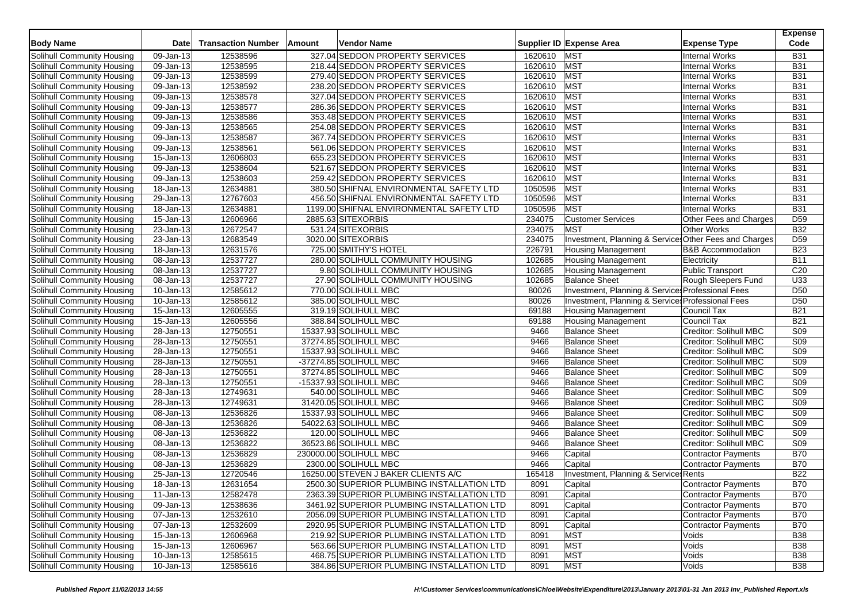| <b>Body Name</b>                                         | <b>Date</b>             | <b>Transaction Number</b> | Amount | <b>Vendor Name</b>                         |                  | Supplier ID Expense Area                              | <b>Expense Type</b>                          | <b>Expense</b><br>Code        |
|----------------------------------------------------------|-------------------------|---------------------------|--------|--------------------------------------------|------------------|-------------------------------------------------------|----------------------------------------------|-------------------------------|
| Solihull Community Housing                               | 09-Jan-13               | 12538596                  |        | 327.04 SEDDON PROPERTY SERVICES            | 1620610          | <b>MST</b>                                            | <b>Internal Works</b>                        | <b>B31</b>                    |
| Solihull Community Housing                               | 09-Jan-13               | 12538595                  |        | 218.44 SEDDON PROPERTY SERVICES            | 1620610 MST      |                                                       | <b>Internal Works</b>                        | <b>B31</b>                    |
| Solihull Community Housing                               | 09-Jan-13               | 12538599                  |        | 279.40 SEDDON PROPERTY SERVICES            | 1620610 MST      |                                                       | <b>Internal Works</b>                        | <b>B31</b>                    |
| Solihull Community Housing                               | 09-Jan-13               | 12538592                  |        | 238.20 SEDDON PROPERTY SERVICES            | 1620610          | <b>MST</b>                                            | <b>Internal Works</b>                        | <b>B31</b>                    |
| Solihull Community Housing                               | 09-Jan-13               | 12538578                  |        | 327.04 SEDDON PROPERTY SERVICES            | 1620610          | MST                                                   | <b>Internal Works</b>                        | <b>B31</b>                    |
| Solihull Community Housing                               | 09-Jan-13               | 12538577                  |        | 286.36 SEDDON PROPERTY SERVICES            | 1620610          | <b>MST</b>                                            | <b>Internal Works</b>                        | <b>B31</b>                    |
| Solihull Community Housing                               | 09-Jan-13               | 12538586                  |        | 353.48 SEDDON PROPERTY SERVICES            | 1620610          | <b>MST</b>                                            | <b>Internal Works</b>                        | <b>B31</b>                    |
| Solihull Community Housing                               | 09-Jan-13               | 12538565                  |        | 254.08 SEDDON PROPERTY SERVICES            | 1620610          | MST                                                   | <b>Internal Works</b>                        | <b>B31</b>                    |
| Solihull Community Housing                               | 09-Jan-13               | 12538587                  |        | 367.74 SEDDON PROPERTY SERVICES            | 1620610          | MST                                                   | <b>Internal Works</b>                        | <b>B31</b>                    |
| Solihull Community Housing                               | 09-Jan-13               | 12538561                  |        | 561.06 SEDDON PROPERTY SERVICES            | 1620610          | MST                                                   | <b>Internal Works</b>                        | <b>B31</b>                    |
| Solihull Community Housing                               | 15-Jan-13               | 12606803                  |        | 655.23 SEDDON PROPERTY SERVICES            | 1620610          | <b>MST</b>                                            | <b>Internal Works</b>                        | <b>B31</b>                    |
| Solihull Community Housing                               | $\overline{09}$ -Jan-13 | 12538604                  |        | 521.67 SEDDON PROPERTY SERVICES            | 1620610          | <b>MST</b>                                            | <b>Internal Works</b>                        | <b>B31</b>                    |
| Solihull Community Housing                               | $\overline{09}$ -Jan-13 | 12538603                  |        | 259.42 SEDDON PROPERTY SERVICES            | 1620610          | <b>MST</b>                                            | <b>Internal Works</b>                        | <b>B31</b>                    |
| Solihull Community Housing                               | 18-Jan-13               | 12634881                  |        | 380.50 SHIFNAL ENVIRONMENTAL SAFETY LTD    | 1050596          | MST                                                   | <b>Internal Works</b>                        | <b>B31</b>                    |
| Solihull Community Housing                               | 29-Jan-13               | 12767603                  |        | 456.50 SHIFNAL ENVIRONMENTAL SAFETY LTD    | 1050596          | <b>MST</b>                                            | <b>Internal Works</b>                        | <b>B31</b>                    |
|                                                          |                         |                           |        |                                            |                  | <b>MST</b>                                            |                                              | <b>B31</b>                    |
| Solihull Community Housing                               | 18-Jan-13               | 12634881                  |        | 1199.00 SHIFNAL ENVIRONMENTAL SAFETY LTD   | 1050596          |                                                       | <b>Internal Works</b>                        |                               |
| Solihull Community Housing<br>Solihull Community Housing | 15-Jan-13<br>23-Jan-13  | 12606966<br>12672547      |        | 2885.63 SITEXORBIS<br>531.24 SITEXORBIS    | 234075<br>234075 | <b>Customer Services</b><br><b>MST</b>                | Other Fees and Charges<br><b>Other Works</b> | D <sub>59</sub><br><b>B32</b> |
|                                                          | $23$ -Jan-13            | 12683549                  |        | 3020.00 SITEXORBIS                         | 234075           | Investment, Planning & Service Other Fees and Charges |                                              | D <sub>59</sub>               |
| Solihull Community Housing                               | 18-Jan-13               | 12631576                  |        | 725.00 SMITHY'S HOTEL                      | 226791           | <b>Housing Management</b>                             | <b>B&amp;B Accommodation</b>                 | <b>B23</b>                    |
| Solihull Community Housing                               | 08-Jan-13               | 12537727                  |        |                                            | 102685           |                                                       |                                              | <b>B11</b>                    |
| Solihull Community Housing                               |                         |                           |        | 280.00 SOLIHULL COMMUNITY HOUSING          |                  | <b>Housing Management</b>                             | Electricity<br>Public Transport              |                               |
| <b>Solihull Community Housing</b>                        | 08-Jan-13               | 12537727                  |        | 9.80 SOLIHULL COMMUNITY HOUSING            | 102685           | <b>Housing Management</b>                             |                                              | C <sub>20</sub>               |
| Solihull Community Housing                               | 08-Jan-13               | 12537727                  |        | 27.90 SOLIHULL COMMUNITY HOUSING           | 102685           | <b>Balance Sheet</b>                                  | Rough Sleepers Fund                          | U33                           |
| Solihull Community Housing                               | 10-Jan-13               | 12585612                  |        | 770.00 SOLIHULL MBC                        | 80026            | Investment, Planning & Services Professional Fees     |                                              | D <sub>50</sub>               |
| Solihull Community Housing                               | $\overline{10}$ -Jan-13 | 12585612                  |        | 385.00 SOLIHULL MBC                        | 80026            | Investment, Planning & Service: Professional Fees     |                                              | D <sub>50</sub>               |
| Solihull Community Housing                               | 15-Jan-13               | 12605555                  |        | 319.19 SOLIHULL MBC                        | 69188            | <b>Housing Management</b>                             | Council Tax                                  | <b>B21</b>                    |
| Solihull Community Housing                               | 15-Jan-13               | 12605556                  |        | 388.84 SOLIHULL MBC                        | 69188            | <b>Housing Management</b>                             | Council Tax                                  | <b>B21</b>                    |
| Solihull Community Housing                               | $\overline{28}$ -Jan-13 | 12750551                  |        | 15337.93 SOLIHULL MBC                      | 9466             | <b>Balance Sheet</b>                                  | Creditor: Solihull MBC                       | S <sub>09</sub>               |
| Solihull Community Housing                               | 28-Jan-13               | 12750551                  |        | 37274.85 SOLIHULL MBC                      | 9466             | <b>Balance Sheet</b>                                  | Creditor: Solihull MBC                       | S <sub>09</sub>               |
| Solihull Community Housing                               | 28-Jan-13               | 12750551                  |        | 15337.93 SOLIHULL MBC                      | 9466             | <b>Balance Sheet</b>                                  | Creditor: Solihull MBC                       | S09                           |
| Solihull Community Housing                               | $\overline{28}$ -Jan-13 | 12750551                  |        | -37274.85 SOLIHULL MBC                     | 9466             | <b>Balance Sheet</b>                                  | Creditor: Solihull MBC                       | S <sub>09</sub>               |
| Solihull Community Housing                               | 28-Jan-13               | 12750551                  |        | 37274.85 SOLIHULL MBC                      | 9466             | <b>Balance Sheet</b>                                  | Creditor: Solihull MBC                       | S <sub>09</sub>               |
| Solihull Community Housing                               | 28-Jan-13               | 12750551                  |        | -15337.93 SOLIHULL MBC                     | 9466             | <b>Balance Sheet</b>                                  | Creditor: Solihull MBC                       | S09                           |
| Solihull Community Housing                               | 28-Jan-13               | 12749631                  |        | 540.00 SOLIHULL MBC                        | 9466             | <b>Balance Sheet</b>                                  | Creditor: Solihull MBC                       | <b>S09</b>                    |
| Solihull Community Housing                               | 28-Jan-13               | 12749631                  |        | 31420.05 SOLIHULL MBC                      | 9466             | <b>Balance Sheet</b>                                  | Creditor: Solihull MBC                       | S <sub>09</sub>               |
| Solihull Community Housing                               | 08-Jan-13               | 12536826                  |        | 15337.93 SOLIHULL MBC                      | 9466             | <b>Balance Sheet</b>                                  | Creditor: Solihull MBC                       | S <sub>09</sub>               |
| Solihull Community Housing                               | 08-Jan-13               | 12536826                  |        | 54022.63 SOLIHULL MBC                      | 9466             | <b>Balance Sheet</b>                                  | Creditor: Solihull MBC                       | <b>S09</b>                    |
| Solihull Community Housing                               | 08-Jan-13               | 12536822                  |        | 120.00 SOLIHULL MBC                        | 9466             | <b>Balance Sheet</b>                                  | Creditor: Solihull MBC                       | S09                           |
| Solihull Community Housing                               | 08-Jan-13               | 12536822                  |        | 36523.86 SOLIHULL MBC                      | 9466             | <b>Balance Sheet</b>                                  | Creditor: Solihull MBC                       | S <sub>09</sub>               |
| Solihull Community Housing                               | 08-Jan-13               | 12536829                  |        | 230000.00 SOLIHULL MBC                     | 9466             | Capital                                               | Contractor Payments                          | <b>B70</b>                    |
| Solihull Community Housing                               | 08-Jan-13               | 12536829                  |        | 2300.00 SOLIHULL MBC                       | 9466             | Capital                                               | Contractor Payments                          | <b>B70</b>                    |
| Solihull Community Housing                               | 25-Jan-13               | 12720546                  |        | 16250.00 STEVEN J BAKER CLIENTS A/C        | 165418           | Investment, Planning & Services Rents                 |                                              | <b>B22</b>                    |
| Solihull Community Housing                               | 18-Jan-13               | 12631654                  |        | 2500.30 SUPERIOR PLUMBING INSTALLATION LTD | 8091             | Capital                                               | Contractor Payments                          | <b>B70</b>                    |
| Solihull Community Housing                               | $11$ -Jan-13            | 12582478                  |        | 2363.39 SUPERIOR PLUMBING INSTALLATION LTD | 8091             | Capital                                               | Contractor Payments                          | <b>B70</b>                    |
| Solihull Community Housing                               | 09-Jan-13               | 12538636                  |        | 3461.92 SUPERIOR PLUMBING INSTALLATION LTD | 8091             | Capital                                               | Contractor Payments                          | <b>B70</b>                    |
| Solihull Community Housing                               | 07-Jan-13               | 12532610                  |        | 2056.09 SUPERIOR PLUMBING INSTALLATION LTD | 8091             | Capital                                               | Contractor Payments                          | <b>B70</b>                    |
| Solihull Community Housing                               | 07-Jan-13               | 12532609                  |        | 2920.95 SUPERIOR PLUMBING INSTALLATION LTD | 8091             | Capital                                               | Contractor Payments                          | <b>B70</b>                    |
| Solihull Community Housing                               | 15-Jan-13               | 12606968                  |        | 219.92 SUPERIOR PLUMBING INSTALLATION LTD  | 8091             | <b>MST</b>                                            | Voids                                        | <b>B38</b>                    |
| Solihull Community Housing                               | 15-Jan-13               | 12606967                  |        | 563.66 SUPERIOR PLUMBING INSTALLATION LTD  | 8091             | <b>MST</b>                                            | Voids                                        | <b>B38</b>                    |
| Solihull Community Housing                               | 10-Jan-13               | 12585615                  |        | 468.75 SUPERIOR PLUMBING INSTALLATION LTD  | 8091             | <b>MST</b>                                            | Voids                                        | <b>B38</b>                    |
| Solihull Community Housing                               | 10-Jan-13               | 12585616                  |        | 384.86 SUPERIOR PLUMBING INSTALLATION LTD  | 8091             | <b>MST</b>                                            | Voids                                        | <b>B38</b>                    |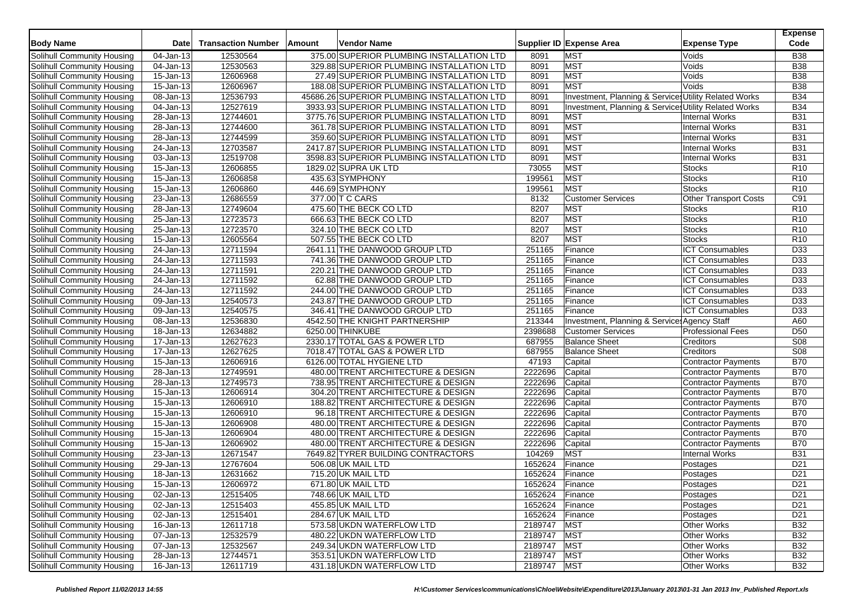| <b>Body Name</b>                  | <b>Date</b>             | <b>Transaction Number</b> | Amount | <b>Vendor Name</b>                          |                 | Supplier ID Expense Area                              | <b>Expense Type</b>          | <b>Expense</b><br>Code |
|-----------------------------------|-------------------------|---------------------------|--------|---------------------------------------------|-----------------|-------------------------------------------------------|------------------------------|------------------------|
| Solihull Community Housing        | 04-Jan-13               | 12530564                  |        | 375.00 SUPERIOR PLUMBING INSTALLATION LTD   | 8091            | <b>MST</b>                                            | Voids                        | <b>B38</b>             |
| Solihull Community Housing        | 04-Jan-13               | 12530563                  |        | 329.88 SUPERIOR PLUMBING INSTALLATION LTD   | 8091            | <b>MST</b>                                            | Voids                        | <b>B38</b>             |
| <b>Solihull Community Housing</b> | 15-Jan-13               | 12606968                  |        | 27.49 SUPERIOR PLUMBING INSTALLATION LTD    | 8091            | <b>MST</b>                                            | Voids                        | <b>B</b> 38            |
| Solihull Community Housing        | 15-Jan-13               | 12606967                  |        | 188.08 SUPERIOR PLUMBING INSTALLATION LTD   | 8091            | <b>MST</b>                                            | Voids                        | <b>B38</b>             |
| Solihull Community Housing        | 08-Jan-13               | 12536793                  |        | 45686.26 SUPERIOR PLUMBING INSTALLATION LTD | 8091            | Investment, Planning & Services Utility Related Works |                              | <b>B34</b>             |
| Solihull Community Housing        | 04-Jan-13               | 12527619                  |        | 3933.93 SUPERIOR PLUMBING INSTALLATION LTD  | 8091            | Investment, Planning & Service Utility Related Works  |                              | <b>B34</b>             |
| Solihull Community Housing        | 28-Jan-13               | 12744601                  |        | 3775.76 SUPERIOR PLUMBING INSTALLATION LTD  | 8091            | <b>MST</b>                                            | <b>Internal Works</b>        | <b>B31</b>             |
| Solihull Community Housing        | 28-Jan-13               | 12744600                  |        | 361.78 SUPERIOR PLUMBING INSTALLATION LTD   | 8091            | <b>MST</b>                                            | <b>Internal Works</b>        | <b>B31</b>             |
| Solihull Community Housing        | 28-Jan-13               | 12744599                  |        | 359.60 SUPERIOR PLUMBING INSTALLATION LTD   | 8091            | <b>MST</b>                                            | <b>Internal Works</b>        | <b>B31</b>             |
| Solihull Community Housing        | 24-Jan-13               | 12703587                  |        | 2417.87 SUPERIOR PLUMBING INSTALLATION LTD  | 8091            | <b>MST</b>                                            | <b>Internal Works</b>        | <b>B31</b>             |
| Solihull Community Housing        | 03-Jan-13               | 12519708                  |        | 3598.83 SUPERIOR PLUMBING INSTALLATION LTD  | 8091            | <b>MST</b>                                            | <b>Internal Works</b>        | <b>B31</b>             |
| Solihull Community Housing        | 15-Jan-13               | 12606855                  |        | 1829.02 SUPRA UK LTD                        | 73055           | <b>MST</b>                                            | <b>Stocks</b>                | R <sub>10</sub>        |
| Solihull Community Housing        | 15-Jan-13               | 12606858                  |        | 435.63 SYMPHONY                             | 199561          | <b>MST</b>                                            | <b>Stocks</b>                | R10                    |
| Solihull Community Housing        | 15-Jan-13               | 12606860                  |        | 446.69 SYMPHONY                             | 199561          | <b>MST</b>                                            | <b>Stocks</b>                | R <sub>10</sub>        |
| <b>Solihull Community Housing</b> | 23-Jan-13               | 12686559                  |        | 377.00 T C CARS                             | 8132            | <b>Customer Services</b>                              | <b>Other Transport Costs</b> | C91                    |
| Solihull Community Housing        | 28-Jan-13               | 12749604                  |        | 475.60 THE BECK CO LTD                      | 8207            | <b>MST</b>                                            | Stocks                       | R <sub>10</sub>        |
| Solihull Community Housing        | 25-Jan-13               | 12723573                  |        | 666.63 THE BECK CO LTD                      | 8207            | <b>MST</b>                                            | <b>Stocks</b>                | R <sub>10</sub>        |
| Solihull Community Housing        | 25-Jan-13               | 12723570                  |        | 324.10 THE BECK CO LTD                      | 8207            | <b>MST</b>                                            | Stocks                       | R <sub>10</sub>        |
| Solihull Community Housing        | 15-Jan-13               | 12605564                  |        | 507.55 THE BECK CO LTD                      | 8207            | <b>MST</b>                                            | <b>Stocks</b>                | R10                    |
| Solihull Community Housing        | 24-Jan-13               | 12711594                  |        | 2641.11 THE DANWOOD GROUP LTD               | 251165          | Finance                                               | <b>ICT Consumables</b>       | D33                    |
| Solihull Community Housing        | 24-Jan-13               | 12711593                  |        | 741.36 THE DANWOOD GROUP LTD                | 251165          | Finance                                               | <b>ICT Consumables</b>       | D33                    |
| <b>Solihull Community Housing</b> | $24$ -Jan-13            | 12711591                  |        | 220.21 THE DANWOOD GROUP LTD                | 251165          | Finance                                               | <b>ICT Consumables</b>       | D <sub>33</sub>        |
| Solihull Community Housing        | 24-Jan-13               | 12711592                  |        | 62.88 THE DANWOOD GROUP LTD                 | 251165          | Finance                                               | <b>ICT Consumables</b>       | D33                    |
| Solihull Community Housing        | $\overline{24}$ -Jan-13 | 12711592                  |        | 244.00 THE DANWOOD GROUP LTD                | 251165          | Finance                                               | <b>ICT Consumables</b>       | D33                    |
| Solihull Community Housing        | 09-Jan-13               | 12540573                  |        | 243.87 THE DANWOOD GROUP LTD                | 251165          | Finance                                               | <b>ICT Consumables</b>       | D <sub>33</sub>        |
| Solihull Community Housing        | 09-Jan-13               | 12540575                  |        | 346.41 THE DANWOOD GROUP LTD                | 251165          | Finance                                               | <b>ICT Consumables</b>       | D33                    |
| Solihull Community Housing        | 08-Jan-13               | 12536830                  |        | 4542.50 THE KNIGHT PARTNERSHIP              | 213344          | Investment, Planning & Services Agency Staff          |                              | A60                    |
| Solihull Community Housing        | 18-Jan-13               | 12634882                  |        | 6250.00 THINKUBE                            | 2398688         | <b>Customer Services</b>                              | <b>Professional Fees</b>     | D <sub>50</sub>        |
| <b>Solihull Community Housing</b> | 17-Jan-13               | 12627623                  |        | 2330.17 TOTAL GAS & POWER LTD               | 687955          | <b>Balance Sheet</b>                                  | Creditors                    | S <sub>08</sub>        |
| Solihull Community Housing        | 17-Jan-13               | 12627625                  |        | 7018.47 TOTAL GAS & POWER LTD               | 687955          | <b>Balance Sheet</b>                                  | Creditors                    | S <sub>08</sub>        |
| Solihull Community Housing        | $15 - Jan-13$           | 12606916                  |        | 6126.00 TOTAL HYGIENE LTD                   | 47193           | Capital                                               | Contractor Payments          | <b>B70</b>             |
| Solihull Community Housing        | 28-Jan-13               | 12749591                  |        | 480.00 TRENT ARCHITECTURE & DESIGN          | 2222696         | Capital                                               | Contractor Payments          | <b>B70</b>             |
| Solihull Community Housing        | 28-Jan-13               | 12749573                  |        | 738.95 TRENT ARCHITECTURE & DESIGN          | 2222696         | Capital                                               | <b>Contractor Payments</b>   | <b>B70</b>             |
| Solihull Community Housing        | 15-Jan-13               | 12606914                  |        | 304.20 TRENT ARCHITECTURE & DESIGN          | 2222696         | Capital                                               | <b>Contractor Payments</b>   | <b>B70</b>             |
| Solihull Community Housing        | 15-Jan-13               | 12606910                  |        | 188.82 TRENT ARCHITECTURE & DESIGN          | 2222696         | Capital                                               | <b>Contractor Payments</b>   | <b>B70</b>             |
| Solihull Community Housing        | 15-Jan-13               | 12606910                  |        | 96.18 TRENT ARCHITECTURE & DESIGN           | 2222696         | Capital                                               | Contractor Payments          | <b>B70</b>             |
| Solihull Community Housing        | 15-Jan-13               | 12606908                  |        | 480.00 TRENT ARCHITECTURE & DESIGN          | 2222696         | Capital                                               | Contractor Payments          | <b>B70</b>             |
| Solihull Community Housing        | 15-Jan-13               | 12606904                  |        | 480.00 TRENT ARCHITECTURE & DESIGN          | 2222696         | Capital                                               | <b>Contractor Payments</b>   | <b>B70</b>             |
| Solihull Community Housing        | 15-Jan-13               | 12606902                  |        | 480.00 TRENT ARCHITECTURE & DESIGN          | 2222696         | Capital                                               | <b>Contractor Payments</b>   | <b>B70</b>             |
| Solihull Community Housing        | 23-Jan-13               | 12671547                  |        | 7649.82 TYRER BUILDING CONTRACTORS          | 104269          | <b>MST</b>                                            | <b>Internal Works</b>        | <b>B31</b>             |
| Solihull Community Housing        | 29-Jan-13               | 12767604                  |        | 506.08 UK MAIL LTD                          | 1652624         | Finance                                               | Postages                     | D <sub>21</sub>        |
| Solihull Community Housing        | $18 - Jan-13$           | 12631662                  |        | 715.20 UK MAIL LTD                          | 1652624         | Finance                                               | Postages                     | D <sub>21</sub>        |
| Solihull Community Housing        | 15-Jan-13               | 12606972                  |        | 671.80 UK MAIL LTD                          | 1652624         | Finance                                               | Postages                     | D <sub>21</sub>        |
| Solihull Community Housing        | 02-Jan-13               | 12515405                  |        | 748.66 UK MAIL LTD                          | 1652624 Finance |                                                       | Postages                     | D <sub>21</sub>        |
| Solihull Community Housing        | 02-Jan-13               | 12515403                  |        | 455.85 UK MAIL LTD                          | 1652624         | Finance                                               | Postages                     | D <sub>21</sub>        |
| Solihull Community Housing        | 02-Jan-13               | 12515401                  |        | 284.67 UK MAIL LTD                          | 1652624         | Finance                                               | Postages                     | D <sub>21</sub>        |
| Solihull Community Housing        | 16-Jan-13               | 12611718                  |        | 573.58 UKDN WATERFLOW LTD                   | 2189747         | <b>MST</b>                                            | Other Works                  | <b>B32</b>             |
| Solihull Community Housing        | 07-Jan-13               | 12532579                  |        | 480.22 UKDN WATERFLOW LTD                   | 2189747 MST     |                                                       | <b>Other Works</b>           | <b>B32</b>             |
| Solihull Community Housing        | 07-Jan-13               | 12532567                  |        | 249.34 UKDN WATERFLOW LTD                   | 2189747         | MST                                                   | Other Works                  | <b>B32</b>             |
| Solihull Community Housing        | 28-Jan-13               | 12744571                  |        | 353.51 UKDN WATERFLOW LTD                   | 2189747         | <b>MST</b>                                            | Other Works                  | <b>B32</b>             |
| Solihull Community Housing        | 16-Jan-13               | 12611719                  |        | 431.18 UKDN WATERFLOW LTD                   | 2189747 MST     |                                                       | Other Works                  | <b>B32</b>             |
|                                   |                         |                           |        |                                             |                 |                                                       |                              |                        |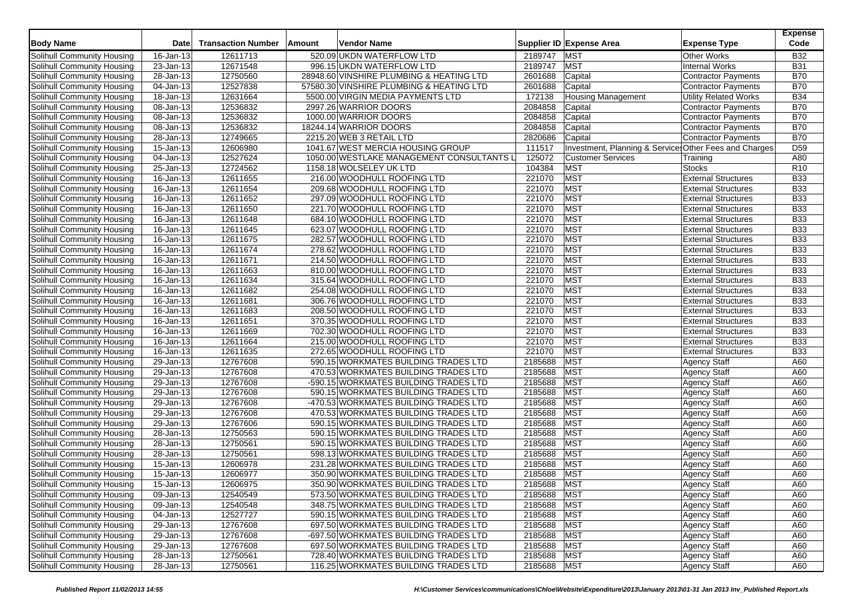| <b>Body Name</b>           | <b>Date</b>             | <b>Transaction Number</b> | Amount | <b>Vendor Name</b>                        |             | Supplier ID Expense Area                               | <b>Expense Type</b>          | <b>Expense</b><br>Code |
|----------------------------|-------------------------|---------------------------|--------|-------------------------------------------|-------------|--------------------------------------------------------|------------------------------|------------------------|
| Solihull Community Housing | 16-Jan-13               | 12611713                  |        | 520.09 UKDN WATERFLOW LTD                 | 2189747     | <b>MST</b>                                             | <b>Other Works</b>           | <b>B32</b>             |
| Solihull Community Housing | 23-Jan-13               | 12671548                  |        | 996.15 UKDN WATERFLOW LTD                 | 2189747     | <b>MST</b>                                             | <b>Internal Works</b>        | <b>B31</b>             |
| Solihull Community Housing | 28-Jan-13               | 12750560                  |        | 28948.60 VINSHIRE PLUMBING & HEATING LTD  | 2601688     | Capital                                                | <b>Contractor Payments</b>   | <b>B70</b>             |
| Solihull Community Housing | 04-Jan-13               | 12527838                  |        | 57580.30 VINSHIRE PLUMBING & HEATING LTD  | 2601688     | Capital                                                | <b>Contractor Payments</b>   | <b>B70</b>             |
| Solihull Community Housing | 18-Jan-13               | 12631664                  |        | 5500.00 VIRGIN MEDIA PAYMENTS LTD         | 172138      | <b>Housing Management</b>                              | <b>Utility Related Works</b> | <b>B34</b>             |
| Solihull Community Housing | 08-Jan-13               | 12536832                  |        | 2997.26 WARRIOR DOORS                     | 2084858     | Capital                                                | <b>Contractor Payments</b>   | <b>B70</b>             |
| Solihull Community Housing | 08-Jan-13               | 12536832                  |        | 1000.00 WARRIOR DOORS                     | 2084858     | Capital                                                | Contractor Payments          | <b>B70</b>             |
| Solihull Community Housing | 08-Jan-13               | 12536832                  |        | 18244.14 WARRIOR DOORS                    | 2084858     | Capital                                                | Contractor Payments          | <b>B70</b>             |
| Solihull Community Housing | 28-Jan-13               | 12749665                  |        | 2215.20 WEB 3 RETAIL LTD                  | 2820686     | Capital                                                | <b>Contractor Payments</b>   | <b>B70</b>             |
| Solihull Community Housing | 15-Jan-13               | 12606980                  |        | 1041.67 WEST MERCIA HOUSING GROUP         | 111517      | Investment, Planning & Services Other Fees and Charges |                              | D <sub>59</sub>        |
| Solihull Community Housing | 04-Jan-13               | 12527624                  |        | 1050.00 WESTLAKE MANAGEMENT CONSULTANTS L | 125072      | <b>Customer Services</b>                               | Training                     | A80                    |
| Solihull Community Housing | $25$ -Jan-13            | 12724562                  |        | 1158.18 WOLSELEY UK LTD                   | 104384      | MST                                                    | <b>Stocks</b>                | R <sub>10</sub>        |
| Solihull Community Housing | 16-Jan-13               | 12611655                  |        | 216.00 WOODHULL ROOFING LTD               | 221070      | MST                                                    | <b>External Structures</b>   | <b>B33</b>             |
| Solihull Community Housing | 16-Jan-13               | 12611654                  |        | 209.68 WOODHULL ROOFING LTD               | 221070      | <b>MST</b>                                             | <b>External Structures</b>   | <b>B33</b>             |
| Solihull Community Housing | 16-Jan-13               | 12611652                  |        | 297.09 WOODHULL ROOFING LTD               | 221070      | <b>MST</b>                                             | <b>External Structures</b>   | <b>B33</b>             |
| Solihull Community Housing | 16-Jan-13               | 12611650                  |        | 221.70 WOODHULL ROOFING LTD               | 221070      | MST                                                    | <b>External Structures</b>   | <b>B33</b>             |
| Solihull Community Housing | 16-Jan-13               | 12611648                  |        | 684.10 WOODHULL ROOFING LTD               | 221070      | MST                                                    | <b>External Structures</b>   | <b>B33</b>             |
| Solihull Community Housing | 16-Jan-13               | 12611645                  |        | 623.07 WOODHULL ROOFING LTD               | 221070      | <b>MST</b>                                             | <b>External Structures</b>   | <b>B33</b>             |
| Solihull Community Housing | $16$ -Jan-13            | 12611675                  |        | 282.57 WOODHULL ROOFING LTD               | 221070      | MST                                                    | <b>External Structures</b>   | <b>B33</b>             |
| Solihull Community Housing | 16-Jan-13               | 12611674                  |        | 278.62 WOODHULL ROOFING LTD               | 221070      | <b>MST</b>                                             | <b>External Structures</b>   | <b>B33</b>             |
| Solihull Community Housing | 16-Jan-13               | 12611671                  |        | 214.50 WOODHULL ROOFING LTD               | 221070      | <b>MST</b>                                             | <b>External Structures</b>   | <b>B33</b>             |
| Solihull Community Housing | 16-Jan-13               | 12611663                  |        | 810.00 WOODHULL ROOFING LTD               | 221070      | <b>MST</b>                                             | <b>External Structures</b>   | <b>B33</b>             |
| Solihull Community Housing | 16-Jan-13               | 12611634                  |        | 315.64 WOODHULL ROOFING LTD               | 221070      | <b>MST</b>                                             | <b>External Structures</b>   | <b>B33</b>             |
| Solihull Community Housing | 16-Jan-13               | 12611682                  |        | 254.08 WOODHULL ROOFING LTD               | 221070      | <b>MST</b>                                             | <b>External Structures</b>   | <b>B33</b>             |
| Solihull Community Housing | 16-Jan-13               | 12611681                  |        | 306.76 WOODHULL ROOFING LTD               | 221070      | <b>MST</b>                                             | <b>External Structures</b>   | <b>B33</b>             |
| Solihull Community Housing | 16-Jan-13               | 12611683                  |        | 208.50 WOODHULL ROOFING LTD               | 221070      | <b>MST</b>                                             | <b>External Structures</b>   | <b>B33</b>             |
| Solihull Community Housing | 16-Jan-13               | 12611651                  |        | 370.35 WOODHULL ROOFING LTD               | 221070      | <b>MST</b>                                             | <b>External Structures</b>   | <b>B33</b>             |
| Solihull Community Housing | 16-Jan-13               | 12611669                  |        | 702.30 WOODHULL ROOFING LTD               | 221070      | <b>MST</b>                                             | <b>External Structures</b>   | <b>B33</b>             |
| Solihull Community Housing | 16-Jan-13               | 12611664                  |        | 215.00 WOODHULL ROOFING LTD               | 221070      | <b>MST</b>                                             | <b>External Structures</b>   | <b>B33</b>             |
| Solihull Community Housing | 16-Jan-13               | 12611635                  |        | 272.65 WOODHULL ROOFING LTD               | 221070      | <b>MST</b>                                             | <b>External Structures</b>   | <b>B33</b>             |
| Solihull Community Housing | 29-Jan-13               | 12767608                  |        | 590.15 WORKMATES BUILDING TRADES LTD      | 2185688     | <b>MST</b>                                             | <b>Agency Staff</b>          | A60                    |
| Solihull Community Housing | 29-Jan-13               | 12767608                  |        | 470.53 WORKMATES BUILDING TRADES LTD      | 2185688     | MST                                                    | <b>Agency Staff</b>          | A60                    |
| Solihull Community Housing | 29-Jan-13               | 12767608                  |        | -590.15 WORKMATES BUILDING TRADES LTD     | 2185688     | <b>MST</b>                                             | <b>Agency Staff</b>          | A60                    |
| Solihull Community Housing | $\overline{29}$ -Jan-13 | 12767608                  |        | 590.15 WORKMATES BUILDING TRADES LTD      | 2185688     | <b>MST</b>                                             | <b>Agency Staff</b>          | A60                    |
| Solihull Community Housing | 29-Jan-13               | 12767608                  |        | -470.53 WORKMATES BUILDING TRADES LTD     | 2185688     | MST                                                    | <b>Agency Staff</b>          | A60                    |
| Solihull Community Housing | 29-Jan-13               | 12767608                  |        | 470.53 WORKMATES BUILDING TRADES LTD      | 2185688     | <b>MST</b>                                             | <b>Agency Staff</b>          | A60                    |
| Solihull Community Housing | 29-Jan-13               | 12767606                  |        | 590.15 WORKMATES BUILDING TRADES LTD      | 2185688     | MST                                                    | <b>Agency Staff</b>          | A60                    |
| Solihull Community Housing | 28-Jan-13               | 12750563                  |        | 590.15 WORKMATES BUILDING TRADES LTD      | 2185688     | <b>MST</b>                                             | <b>Agency Staff</b>          | A60                    |
| Solihull Community Housing | 28-Jan-13               | 12750561                  |        | 590.15 WORKMATES BUILDING TRADES LTD      | 2185688     | <b>MST</b>                                             | <b>Agency Staff</b>          | A60                    |
| Solihull Community Housing | 28-Jan-13               | 12750561                  |        | 598.13 WORKMATES BUILDING TRADES LTD      | 2185688     | MST                                                    | <b>Agency Staff</b>          | A60                    |
| Solihull Community Housing | 15-Jan-13               | 12606978                  |        | 231.28 WORKMATES BUILDING TRADES LTD      | 2185688     | <b>MST</b>                                             | <b>Agency Staff</b>          | A60                    |
| Solihull Community Housing | $15$ -Jan-13            | 12606977                  |        | 350.90 WORKMATES BUILDING TRADES LTD      | 2185688     | <b>MST</b>                                             | <b>Agency Staff</b>          | A60                    |
| Solihull Community Housing | 15-Jan-13               | 12606975                  |        | 350.90 WORKMATES BUILDING TRADES LTD      | 2185688     | <b>MST</b>                                             | <b>Agency Staff</b>          | A60                    |
| Solihull Community Housing | 09-Jan-13               | 12540549                  |        | 573.50 WORKMATES BUILDING TRADES LTD      | 2185688 MST |                                                        | <b>Agency Staff</b>          | A60                    |
| Solihull Community Housing | 09-Jan-13               | 12540548                  |        | 348.75 WORKMATES BUILDING TRADES LTD      | 2185688 MST |                                                        | <b>Agency Staff</b>          | A60                    |
| Solihull Community Housing | 04-Jan-13               | 12527727                  |        | 590.15 WORKMATES BUILDING TRADES LTD      | 2185688 MST |                                                        | <b>Agency Staff</b>          | A60                    |
| Solihull Community Housing | 29-Jan-13               | 12767608                  |        | 697.50 WORKMATES BUILDING TRADES LTD      | 2185688 MST |                                                        | <b>Agency Staff</b>          | A60                    |
| Solihull Community Housing | 29-Jan-13               | 12767608                  |        | -697.50 WORKMATES BUILDING TRADES LTD     | 2185688 MST |                                                        | <b>Agency Staff</b>          | A60                    |
| Solihull Community Housing | 29-Jan-13               | 12767608                  |        | 697.50 WORKMATES BUILDING TRADES LTD      | 2185688     | <b>MST</b>                                             | <b>Agency Staff</b>          | A60                    |
| Solihull Community Housing | 28-Jan-13               | 12750561                  |        | 728.40 WORKMATES BUILDING TRADES LTD      | 2185688 MST |                                                        | <b>Agency Staff</b>          | A60                    |
| Solihull Community Housing | 28-Jan-13               | 12750561                  |        | 116.25 WORKMATES BUILDING TRADES LTD      | 2185688 MST |                                                        | <b>Agency Staff</b>          | A60                    |